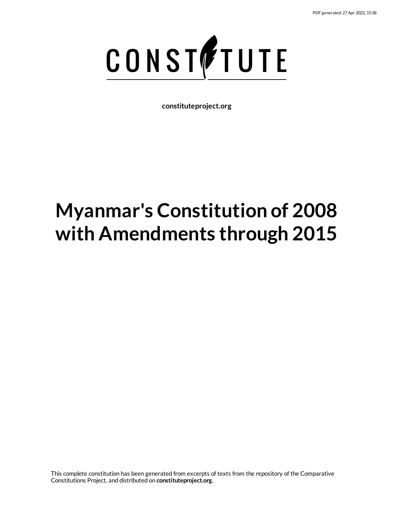

**constituteproject.org**

# **Myanmar's Constitution of 2008 with Amendments through 2015**

This complete constitution has been generated from excerpts of texts from the repository of the Comparative Constitutions Project, and distributed on **constituteproject.org**.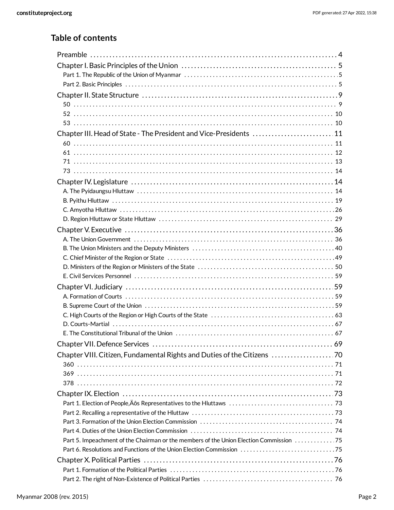# **Table of contents**

| Chapter III. Head of State - The President and Vice-Presidents 11                      |  |  |  |
|----------------------------------------------------------------------------------------|--|--|--|
|                                                                                        |  |  |  |
|                                                                                        |  |  |  |
|                                                                                        |  |  |  |
|                                                                                        |  |  |  |
|                                                                                        |  |  |  |
|                                                                                        |  |  |  |
|                                                                                        |  |  |  |
|                                                                                        |  |  |  |
|                                                                                        |  |  |  |
|                                                                                        |  |  |  |
|                                                                                        |  |  |  |
|                                                                                        |  |  |  |
|                                                                                        |  |  |  |
|                                                                                        |  |  |  |
|                                                                                        |  |  |  |
|                                                                                        |  |  |  |
|                                                                                        |  |  |  |
|                                                                                        |  |  |  |
|                                                                                        |  |  |  |
|                                                                                        |  |  |  |
|                                                                                        |  |  |  |
|                                                                                        |  |  |  |
| Chapter VIII. Citizen, Fundamental Rights and Duties of the Citizens 70                |  |  |  |
|                                                                                        |  |  |  |
|                                                                                        |  |  |  |
|                                                                                        |  |  |  |
|                                                                                        |  |  |  |
|                                                                                        |  |  |  |
|                                                                                        |  |  |  |
|                                                                                        |  |  |  |
|                                                                                        |  |  |  |
| Part 5. Impeachment of the Chairman or the members of the Union Election Commission 75 |  |  |  |
|                                                                                        |  |  |  |
|                                                                                        |  |  |  |
|                                                                                        |  |  |  |
|                                                                                        |  |  |  |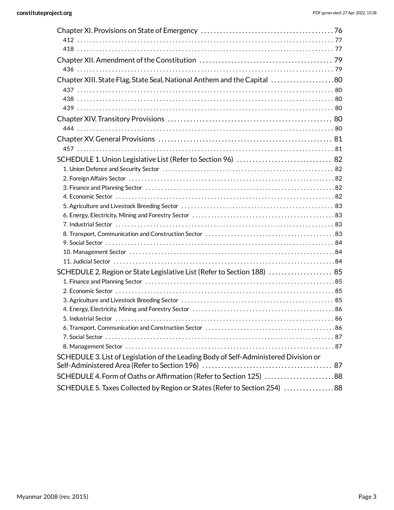| Chapter XIII. State Flag, State Seal, National Anthem and the Capital 80             |  |
|--------------------------------------------------------------------------------------|--|
|                                                                                      |  |
|                                                                                      |  |
|                                                                                      |  |
|                                                                                      |  |
|                                                                                      |  |
|                                                                                      |  |
|                                                                                      |  |
|                                                                                      |  |
|                                                                                      |  |
|                                                                                      |  |
|                                                                                      |  |
|                                                                                      |  |
|                                                                                      |  |
|                                                                                      |  |
|                                                                                      |  |
|                                                                                      |  |
|                                                                                      |  |
|                                                                                      |  |
|                                                                                      |  |
| SCHEDULE 2. Region or State Legislative List (Refer to Section 188)  85              |  |
|                                                                                      |  |
|                                                                                      |  |
|                                                                                      |  |
|                                                                                      |  |
|                                                                                      |  |
|                                                                                      |  |
|                                                                                      |  |
|                                                                                      |  |
| SCHEDULE 3. List of Legislation of the Leading Body of Self-Administered Division or |  |
| SCHEDULE 4. Form of Oaths or Affirmation (Refer to Section 125) 88                   |  |
|                                                                                      |  |
| SCHEDULE 5. Taxes Collected by Region or States (Refer to Section 254) 88            |  |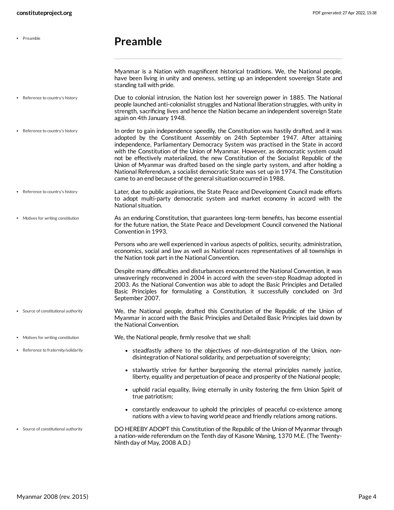| Preamble |
|----------|

# <span id="page-3-0"></span>**Preamble**

Myanmar is a Nation with magnificent historical traditions. We, the National people, have been living in unity and oneness, setting up an independent sovereign State and standing tall with pride.

- Due to colonial intrusion, the Nation lost her sovereign power in 1885. The National people launched anti-colonialist struggles and National liberation struggles, with unity in strength, sacrificing lives and hence the Nation became an independent sovereign State again on 4th January 1948. • Reference to country's history
- In order to gain independence speedily, the Constitution was hastily drafted, and it was adopted by the Constituent Assembly on 24th September 1947. After attaining independence, Parliamentary Democracy System was practised in the State in accord with the Constitution of the Union of Myanmar. However, as democratic system could not be effectively materialized, the new Constitution of the Socialist Republic of the Union of Myanmar was drafted based on the single party system, and after holding a National Referendum, a socialist democratic State was set up in 1974. The Constitution came to an end because of the general situation occurred in 1988. • Reference to country's history
- Later, due to public aspirations, the State Peace and Development Council made efforts to adopt multi-party democratic system and market economy in accord with the National situation. • Reference to country's history
- As an enduring Constitution, that guarantees long-term benefits, has become essential for the future nation, the State Peace and Development Council convened the National Convention in 1993. Motives for writing constitution

Persons who are well experienced in various aspects of politics, security, administration, economics, social and law as well as National races representatives of all townships in the Nation took part in the National Convention.

Despite many difficulties and disturbances encountered the National Convention, it was unwaveringly reconvened in 2004 in accord with the seven-step Roadmap adopted in 2003. As the National Convention was able to adopt the Basic Principles and Detailed Basic Principles for formulating a Constitution, it successfully concluded on 3rd September 2007.

We, the National people, drafted this Constitution of the Republic of the Union of Myanmar in accord with the Basic Principles and Detailed Basic Principles laid down by the National Convention.

We, the National people, firmly resolve that we shall:

- steadfastly adhere to the objectives of non-disintegration of the Union, nondisintegration of National solidarity, and perpetuation of sovereignty;
- stalwartly strive for further burgeoning the eternal principles namely justice, liberty, equality and perpetuation of peace and prosperity of the National people;
- uphold racial equality, living eternally in unity fostering the firm Union Spirit of true patriotism;
- constantly endeavour to uphold the principles of peaceful co-existence among nations with a view to having world peace and friendly relations among nations.
- DO HEREBY ADOPT this Constitution of the Republic of the Union of Myanmar through a nation-wide referendum on the Tenth day of Kasone Waning, 1370 M.E. (The Twenty-Ninth day of May, 2008 A.D.) • Source of constitutional authority

Source of constitutional authority

Motives for writing constitution • Reference to fraternity/solidarity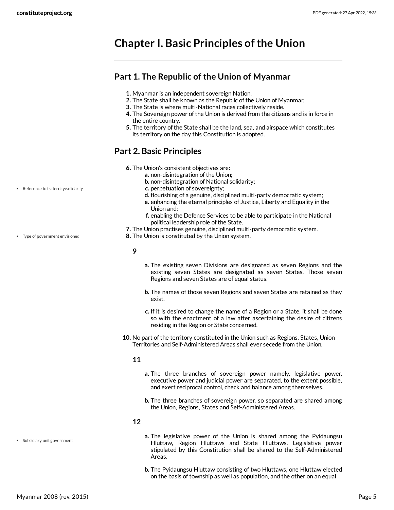# <span id="page-4-0"></span>**Chapter I. Basic Principles of the Union**

# <span id="page-4-1"></span>**Part 1. The Republic of the Union of Myanmar**

- **1.** Myanmar is an independent sovereign Nation.
- **2.** The State shall be known as the Republic of the Union of Myanmar.
- **3.** The State is where multi-National races collectively reside.
- **4.** The Sovereign power of the Union is derived from the citizens and is in force in the entire country.
- **5.** The territory of the State shall be the land, sea, and airspace which constitutes its territory on the day this Constitution is adopted.

# <span id="page-4-2"></span>**Part 2. Basic Principles**

- **6.** The Union's consistent objectives are:
	- **a.** non-disintegration of the Union;
		- **b.** non-disintegration of National solidarity;
	- **c.** perpetuation of sovereignty;
	- **d.** flourishing of a genuine, disciplined multi-party democratic system;
	- **e.** enhancing the eternal principles of Justice, Liberty and Equality in the Union and;
	- **f.** enabling the Defence Services to be able to participate in the National political leadership role of the State.
- **7.** The Union practises genuine, disciplined multi-party democratic system.
- **8.** The Union is constituted by the Union system.
	- **9**
- **a.** The existing seven Divisions are designated as seven Regions and the existing seven States are designated as seven States. Those seven Regions and seven States are of equal status.
- **b.** The names of those seven Regions and seven States are retained as they exist.
- **c.** If it is desired to change the name of a Region or a State, it shall be done so with the enactment of a law after ascertaining the desire of citizens residing in the Region or State concerned.
- **10.** No part of the territory constituted in the Union such as Regions, States, Union Territories and Self-Administered Areas shall ever secede from the Union.

#### **11**

- **a.** The three branches of sovereign power namely, legislative power, executive power and judicial power are separated, to the extent possible, and exert reciprocal control, check and balance among themselves.
- **b.** The three branches of sovereign power, so separated are shared among the Union, Regions, States and Self-Administered Areas.

#### **12**

- **a.** The legislative power of the Union is shared among the Pyidaungsu Hluttaw, Region Hluttaws and State Hluttaws. Legislative power stipulated by this Constitution shall be shared to the Self-Administered Areas.
- **b.** The Pyidaungsu Hluttaw consisting of two Hluttaws, one Hluttaw elected on the basis of township as well as population, and the other on an equal

• Reference to fraternity/solidarity

Type of government envisioned

Subsidiary unit government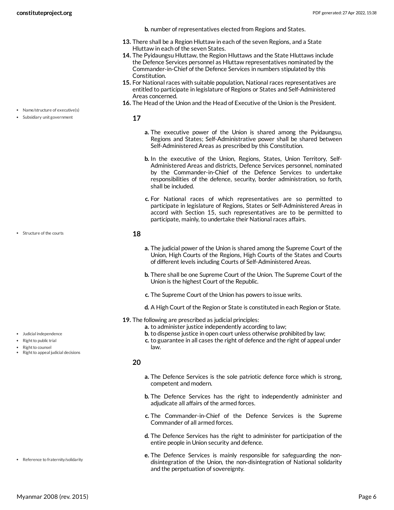**b.** number of representatives elected from Regions and States.

- **13.** There shall be a Region Hluttaw in each of the seven Regions, and a State Hluttaw in each of the seven States.
- **14.** The Pyidaungsu Hluttaw, the Region Hluttaws and the State Hluttaws include the Defence Services personnel as Hluttaw representatives nominated by the Commander-in-Chief of the Defence Services in numbers stipulated by this Constitution.
- **15.** For National races with suitable population, National races representatives are entitled to participate in legislature of Regions or States and Self-Administered Areas concerned.
- **16.** The Head of the Union and the Head of Executive of the Union is the President.
	- **17**

# **a.** The executive power of the Union is shared among the Pyidaungsu, Regions and States; Self-Administrative power shall be shared between Self-Administered Areas as prescribed by this Constitution.

- **b.** In the executive of the Union, Regions, States, Union Territory, Self-Administered Areas and districts, Defence Services personnel, nominated by the Commander-in-Chief of the Defence Services to undertake responsibilities of the defence, security, border administration, so forth, shall be included.
- **c.** For National races of which representatives are so permitted to participate in legislature of Regions, States or Self-Administered Areas in accord with Section 15, such representatives are to be permitted to participate, mainly, to undertake their National races affairs.

#### **18**

- **a.** The judicial power of the Union is shared among the Supreme Court of the Union, High Courts of the Regions, High Courts of the States and Courts of different levels including Courts of Self-Administered Areas.
- **b.** There shall be one Supreme Court of the Union. The Supreme Court of the Union is the highest Court of the Republic.
- **c.** The Supreme Court of the Union has powers to issue writs.
- **d.** A High Court of the Region or State is constituted in each Region or State.
- **19.** The following are prescribed as judicial principles:
	- **a.** to administer justice independently according to law;
	- **b.** to dispense justice in open court unless otherwise prohibited by law;
	- **c.** to guarantee in all cases the right of defence and the right of appeal under law.

#### **20**

- **a.** The Defence Services is the sole patriotic defence force which is strong, competent and modern.
- **b.** The Defence Services has the right to independently administer and adjudicate all affairs of the armed forces.
- **c.** The Commander-in-Chief of the Defence Services is the Supreme Commander of all armed forces.
- **d.** The Defence Services has the right to administer for participation of the entire people in Union security and defence.
- **e.** The Defence Services is mainly responsible for safeguarding the nondisintegration of the Union, the non-disintegration of National solidarity and the perpetuation of sovereignty.
- Name/structure of executive(s)
- Subsidiary unit government

• Structure of the courts

- Judicial independence
- Right to public trial
- Right to counsel
- Right to appeal judicial decisions

• Reference to fraternity/solidarity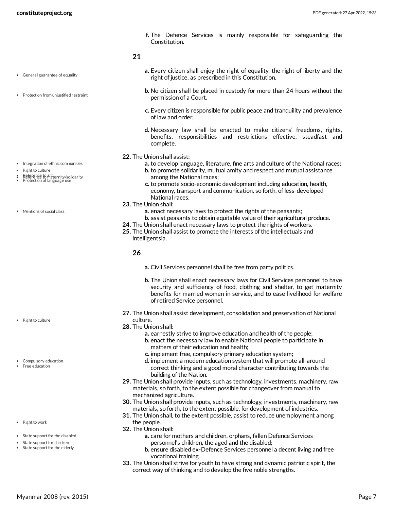• General guarantee of equality

Protection from unjustified restraint

**f.** The Defence Services is mainly responsible for safeguarding the Constitution.

#### **21**

- **a.** Every citizen shall enjoy the right of equality, the right of liberty and the right of justice, as prescribed in this Constitution.
- **b.** No citizen shall be placed in custody for more than 24 hours without the permission of a Court.
- **c.** Every citizen is responsible for public peace and tranquility and prevalence of law and order.
- **d.** Necessary law shall be enacted to make citizens' freedoms, rights, benefits, responsibilities and restrictions effective, steadfast and complete.
- **22.** The Union shall assist:
	- **a.** to develop language, literature, fine arts and culture of the National races; **b.** to promote solidarity, mutual amity and respect and mutual assistance
	- among the National races;
		- **c.** to promote socio-economic development including education, health, economy, transport and communication, so forth, of less-developed National races.
- **23.** The Union shall:
	- **a.** enact necessary laws to protect the rights of the peasants;
	- **b.** assist peasants to obtain equitable value of their agricultural produce.
- **24.** The Union shall enact necessary laws to protect the rights of workers.
- **25.** The Union shall assist to promote the interests of the intellectuals and intelligentsia.

#### **26**

- **a.** Civil Services personnel shall be free from party politics.
- **b.** The Union shall enact necessary laws for Civil Services personnel to have security and sufficiency of food, clothing and shelter, to get maternity benefits for married women in service, and to ease livelihood for welfare of retired Service personnel.
- **27.** The Union shall assist development, consolidation and preservation of National
- culture. **28.** The Union shall:
	- **a.** earnestly strive to improve education and health of the people;
	- **b.** enact the necessary law to enable National people to participate in matters of their education and health;
	- **c.** implement free, compulsory primary education system;
	- **d.** implement a modern education system that will promote all-around correct thinking and a good moral character contributing towards the building of the Nation.
- **29.** The Union shall provide inputs, such as technology, investments, machinery, raw materials, so forth, to the extent possible for changeover from manual to mechanized agriculture.
- **30.** The Union shall provide inputs, such as technology, investments, machinery, raw materials, so forth, to the extent possible, for development of industries.
- **31.** The Union shall, to the extent possible, assist to reduce unemployment among the people.
- **32.** The Union shall:
	- **a.** care for mothers and children, orphans, fallen Defence Services personnel's children, the aged and the disabled;
	- **b.** ensure disabled ex-Defence Services personnel a decent living and free vocational training.
- **33.** The Union shall strive for youth to have strong and dynamic patriotic spirit, the correct way of thinking and to develop the five noble strengths.
- Integration of ethnic communities
- Right to culture
- Reference to art Protection of language use Reference to fraternity/solidarity
- Mentions of social class

- Right to culture
- Compulsory education
- Free education
- Right to work
- State support for the disabled
- State support for children State support for the elderly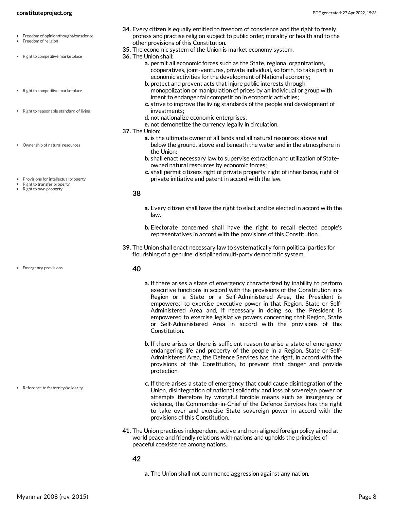#### **constituteproject.org** PDF generated: 27 Apr 2022, 15:38

- Freedom of opinion/thought/conscience
- Freedom of religion
- Right to competitive marketplace
- Right to competitive marketplace
- Right to reasonable standard of living
- Ownership of natural resources
- Provisions for intellectual property
- Right to transfer property
- Right to own property

• Emergency provisions

- 
- **34.** Every citizen is equally entitled to freedom of conscience and the right to freely profess and practise religion subject to public order, morality or health and to the other provisions of this Constitution.
- **35.** The economic system of the Union is market economy system.
- **36.** The Union shall:
	- **a.** permit all economic forces such as the State, regional organizations, cooperatives, joint-ventures, private individual, so forth, to take part in economic activities for the development of National economy;
	- **b.** protect and prevent acts that injure public interests through monopolization or manipulation of prices by an individual or group with intent to endanger fair competition in economic activities;
	- **c.** strive to improve the living standards of the people and development of investments;
	- **d.** not nationalize economic enterprises;
	- **e.** not demonetize the currency legally in circulation.
- **37.** The Union:
	- **a.** is the ultimate owner of all lands and all natural resources above and below the ground, above and beneath the water and in the atmosphere in the Union;
	- **b.** shall enact necessary law to supervise extraction and utilization of Stateowned natural resources by economic forces;
	- **c.** shall permit citizens right of private property, right of inheritance, right of private initiative and patent in accord with the law.
	- **38**
- **a.** Every citizen shall have the right to elect and be elected in accord with the law.
- **b.** Electorate concerned shall have the right to recall elected people's representatives in accord with the provisions of this Constitution.
- **39.** The Union shall enact necessary law to systematically form political parties for flourishing of a genuine, disciplined multi-party democratic system.
	- **40**
- **a.** If there arises a state of emergency characterized by inability to perform executive functions in accord with the provisions of the Constitution in a Region or a State or a Self-Administered Area, the President is empowered to exercise executive power in that Region, State or Self-Administered Area and, if necessary in doing so, the President is empowered to exercise legislative powers concerning that Region, State or Self-Administered Area in accord with the provisions of this Constitution.
- **b.** If there arises or there is sufficient reason to arise a state of emergency endangering life and property of the people in a Region, State or Self-Administered Area, the Defence Services has the right, in accord with the provisions of this Constitution, to prevent that danger and provide protection.
- **c.** If there arises a state of emergency that could cause disintegration of the Union, disintegration of national solidarity and loss of sovereign power or attempts therefore by wrongful forcible means such as insurgency or violence, the Commander-in-Chief of the Defence Services has the right to take over and exercise State sovereign power in accord with the provisions of this Constitution.
- **41.** The Union practises independent, active and non-aligned foreign policy aimed at world peace and friendly relations with nations and upholds the principles of peaceful coexistence among nations.
	- **42**
- **a.** The Union shall not commence aggression against any nation.

• Reference to fraternity/solidarity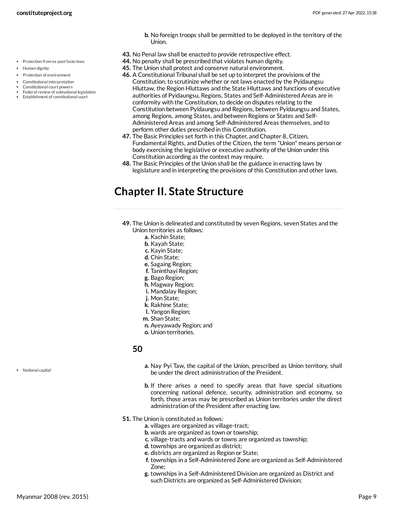• Protection from ex post facto laws

• Protection of environment Constitutional interpretation Constitutional court powers Federal review of subnational legislation Establishment of constitutional court

• Human dignity

- **b.** No foreign troops shall be permitted to be deployed in the territory of the Union.
- **43.** No Penal law shall be enacted to provide retrospective effect.
- **44.** No penalty shall be prescribed that violates human dignity.
- **45.** The Union shall protect and conserve natural environment.
- **46.** A Constitutional Tribunal shall be set up to interpret the provisions of the Constitution, to scrutinize whether or not laws enacted by the Pyidaungsu Hluttaw, the Region Hluttaws and the State Hluttaws and functions of executive authorities of Pyidaungsu, Regions, States and Self-Administered Areas are in conformity with the Constitution, to decide on disputes relating to the Constitution between Pyidaungsu and Regions, between Pyidaungsu and States, among Regions, among States, and between Regions or States and Self-Administered Areas and among Self-Administered Areas themselves, and to perform other duties prescribed in this Constitution.
- **47.** The Basic Principles set forth in this Chapter, and Chapter 8, Citizen, Fundamental Rights, and Duties of the Citizen, the term "Union" means person or body exercising the legislative or executive authority of the Union under this Constitution according as the context may require.
- **48.** The Basic Principles of the Union shall be the guidance in enacting laws by legislature and in interpreting the provisions of this Constitution and other laws.

# <span id="page-8-0"></span>**Chapter II. State Structure**

- **49.** The Union is delineated and constituted by seven Regions, seven States and the Union territories as follows:
	- **a.** Kachin State;
	- **b.** Kayah State;
	- **c.** Kayin State;
	- **d.** Chin State;
	- **e.** Sagaing Region;
	- **f.** Taninthayi Region;
	- **g.** Bago Region;
	- **h.** Magway Region;
	- **i.** Mandalay Region;
	- **j.** Mon State;
	- **k.** Rakhine State;
	- **l.** Yangon Region;
	- **m.** Shan State;
	- **n.** Ayeyawady Region; and
	- **o.** Union territories.

# <span id="page-8-1"></span>**50**

National capital

- **a.** Nay Pyi Taw, the capital of the Union, prescribed as Union territory, shall be under the direct administration of the President.
- **b.** If there arises a need to specify areas that have special situations concerning national defence, security, administration and economy, so forth, those areas may be prescribed as Union territories under the direct administration of the President after enacting law.
- **51.** The Union is constituted as follows:
	- **a.** villages are organized as village-tract;
	- **b.** wards are organized as town or township;
	- **c.** village-tracts and wards or towns are organized as township;
	- **d.** townships are organized as district;
	- **e.** districts are organized as Region or State;
		- **f.** townships in a Self-Administered Zone are organized as Self-Administered Zone;
		- **g.** townships in a Self-Administered Division are organized as District and such Districts are organized as Self-Administered Division;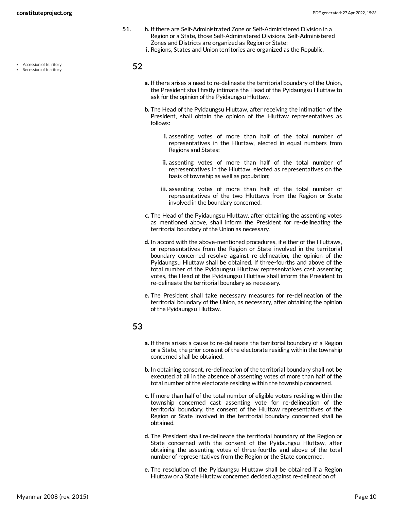- **51. h.** If there are Self-Administrated Zone or Self-Administered Division in a Region or a State, those Self-Administered Divisions, Self-Administered Zones and Districts are organized as Region or State;
	- **i.** Regions, States and Union territories are organized as the Republic.

#### <span id="page-9-0"></span>**52**

- **a.** If there arises a need to re-delineate the territorial boundary of the Union, the President shall firstly intimate the Head of the Pyidaungsu Hluttaw to ask for the opinion of the Pyidaungsu Hluttaw.
- **b.** The Head of the Pyidaungsu Hluttaw, after receiving the intimation of the President, shall obtain the opinion of the Hluttaw representatives as follows:
	- **i.** assenting votes of more than half of the total number of representatives in the Hluttaw, elected in equal numbers from Regions and States;
	- **ii.** assenting votes of more than half of the total number of representatives in the Hluttaw, elected as representatives on the basis of township as well as population;
	- **iii.** assenting votes of more than half of the total number of representatives of the two Hluttaws from the Region or State involved in the boundary concerned.
- **c.** The Head of the Pyidaungsu Hluttaw, after obtaining the assenting votes as mentioned above, shall inform the President for re-delineating the territorial boundary of the Union as necessary.
- **d.** In accord with the above-mentioned procedures, if either of the Hluttaws, or representatives from the Region or State involved in the territorial boundary concerned resolve against re-delineation, the opinion of the Pyidaungsu Hluttaw shall be obtained. If three-fourths and above of the total number of the Pyidaungsu Hluttaw representatives cast assenting votes, the Head of the Pyidaungsu Hluttaw shall inform the President to re-delineate the territorial boundary as necessary.
- **e.** The President shall take necessary measures for re-delineation of the territorial boundary of the Union, as necessary, after obtaining the opinion of the Pyidaungsu Hluttaw.

# <span id="page-9-1"></span>**53**

- **a.** If there arises a cause to re-delineate the territorial boundary of a Region or a State, the prior consent of the electorate residing within the township concerned shall be obtained.
- **b.** In obtaining consent, re-delineation of the territorial boundary shall not be executed at all in the absence of assenting votes of more than half of the total number of the electorate residing within the township concerned.
- **c.** If more than half of the total number of eligible voters residing within the township concerned cast assenting vote for re-delineation of the territorial boundary, the consent of the Hluttaw representatives of the Region or State involved in the territorial boundary concerned shall be obtained.
- **d.** The President shall re-delineate the territorial boundary of the Region or State concerned with the consent of the Pyidaungsu Hluttaw, after obtaining the assenting votes of three-fourths and above of the total number of representatives from the Region or the State concerned.
- **e.** The resolution of the Pyidaungsu Hluttaw shall be obtained if a Region Hluttaw or a State Hluttaw concerned decided against re-delineation of

Accession of territory

Secession of territory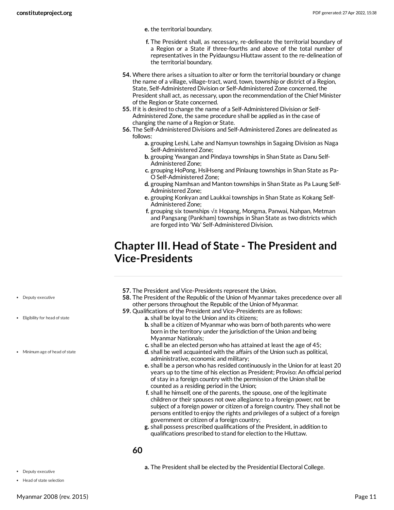- **e.** the territorial boundary.
- **f.** The President shall, as necessary, re-delineate the territorial boundary of a Region or a State if three-fourths and above of the total number of representatives in the Pyidaungsu Hluttaw assent to the re-delineation of the territorial boundary.
- **54.** Where there arises a situation to alter or form the territorial boundary or change the name of a village, village-tract, ward, town, township or district of a Region, State, Self-Administered Division or Self-Administered Zone concerned, the President shall act, as necessary, upon the recommendation of the Chief Minister of the Region or State concerned.
- **55.** If it is desired to change the name of a Self-Administered Division or Self-Administered Zone, the same procedure shall be applied as in the case of changing the name of a Region or State.
- **56.** The Self-Administered Divisions and Self-Administered Zones are delineated as follows:
	- **a.** grouping Leshi, Lahe and Namyun townships in Sagaing Division as Naga Self-Administered Zone;
	- **b.** grouping Ywangan and Pindaya townships in Shan State as Danu Self-Administered Zone;
	- **c.** grouping HoPong, HsiHseng and Pinlaung townships in Shan State as Pa-O Self-Administered Zone;
	- **d.** grouping Namhsan and Manton townships in Shan State as Pa Laung Self-Administered Zone;
	- **e.** grouping Konkyan and Laukkai townships in Shan State as Kokang Self-Administered Zone;
	- **f.** grouping six townships √± Hopang, Mongma, Panwai, Nahpan, Metman and Pangsang (Pankham) townships in Shan State as two districts which are forged into 'Wa' Self-Administered Division.

# <span id="page-10-0"></span>**Chapter III. Head of State - The President and Vice-Presidents**

**57.** The President and Vice-Presidents represent the Union. **58.** The President of the Republic of the Union of Myanmar takes precedence over all other persons throughout the Republic of the Union of Myanmar. **59.** Qualifications of the President and Vice-Presidents are as follows: **a.** shall be loyal to the Union and its citizens; **b.** shall be a citizen of Myanmar who was born of both parents who were born in the territory under the jurisdiction of the Union and being Myanmar Nationals; **c.** shall be an elected person who has attained at least the age of 45; **d.** shall be well acquainted with the affairs of the Union such as political, administrative, economic and military; **e.** shall be a person who has resided continuously in the Union for at least 20 years up to the time of his election as President; Proviso: An official period of stay in a foreign country with the permission of the Union shall be counted as a residing period in the Union; **f.** shall he himself, one of the parents, the spouse, one of the legitimate children or their spouses not owe allegiance to a foreign power, not be subject of a foreign power or citizen of a foreign country. They shall not be persons entitled to enjoy the rights and privileges of a subject of a foreign government or citizen of a foreign country; **g.** shall possess prescribed qualifications of the President, in addition to qualifications prescribed to stand for election to the Hluttaw. • Deputy executive Eligibility for head of state Minimum age of head of state

# <span id="page-10-1"></span>**60**

**a.** The President shall be elected by the Presidential Electoral College.

- Deputy executive
- Head of state selection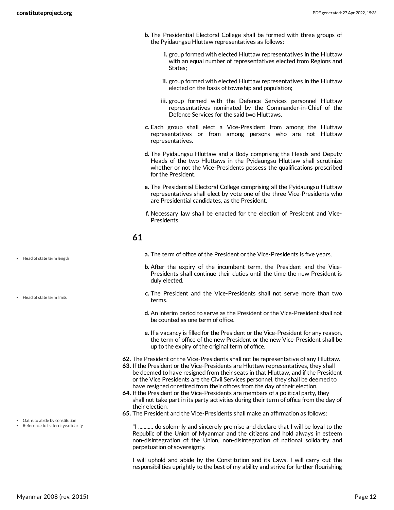- **b.** The Presidential Electoral College shall be formed with three groups of the Pyidaungsu Hluttaw representatives as follows:
	- **i.** group formed with elected Hluttaw representatives in the Hluttaw with an equal number of representatives elected from Regions and States;
	- **ii.** group formed with elected Hluttaw representatives in the Hluttaw elected on the basis of township and population;
	- **iii.** group formed with the Defence Services personnel Hluttaw representatives nominated by the Commander-in-Chief of the Defence Services for the said two Hluttaws.
- **c.** Each group shall elect a Vice-President from among the Hluttaw representatives or from among persons who are not Hluttaw representatives.
- **d.** The Pyidaungsu Hluttaw and a Body comprising the Heads and Deputy Heads of the two Hluttaws in the Pyidaungsu Hluttaw shall scrutinize whether or not the Vice-Presidents possess the qualifications prescribed for the President.
- **e.** The Presidential Electoral College comprising all the Pyidaungsu Hluttaw representatives shall elect by vote one of the three Vice-Presidents who are Presidential candidates, as the President.
- **f.** Necessary law shall be enacted for the election of President and Vice-Presidents.

# <span id="page-11-0"></span>**61**

- **a.** The term of office of the President or the Vice-Presidents is five years.
- **b.** After the expiry of the incumbent term, the President and the Vice-Presidents shall continue their duties until the time the new President is duly elected.
- **c.** The President and the Vice-Presidents shall not serve more than two terms.
- **d.** An interim period to serve as the President or the Vice-President shall not be counted as one term of office.
- **e.** If a vacancy is filled for the President or the Vice-President for any reason, the term of office of the new President or the new Vice-President shall be up to the expiry of the original term of office.
- **62.** The President or the Vice-Presidents shall not be representative of any Hluttaw.
- **63.** If the President or the Vice-Presidents are Hluttaw representatives, they shall be deemed to have resigned from their seats in that Hluttaw, and if the President or the Vice Presidents are the Civil Services personnel, they shall be deemed to have resigned or retired from their offices from the day of their election.
- **64.** If the President or the Vice-Presidents are members of a political party, they shall not take part in its party activities during their term of office from the day of their election.
- **65.** The President and the Vice-Presidents shall make an affirmation as follows:

"I ........... do solemnly and sincerely promise and declare that I will be loyal to the Republic of the Union of Myanmar and the citizens and hold always in esteem non-disintegration of the Union, non-disintegration of national solidarity and perpetuation of sovereignty.

I will uphold and abide by the Constitution and its Laws. I will carry out the responsibilities uprightly to the best of my ability and strive for further flourishing

• Head of state term length

• Head of state term limits

- Oaths to abide by constitution
- Reference to fraternity/solidarity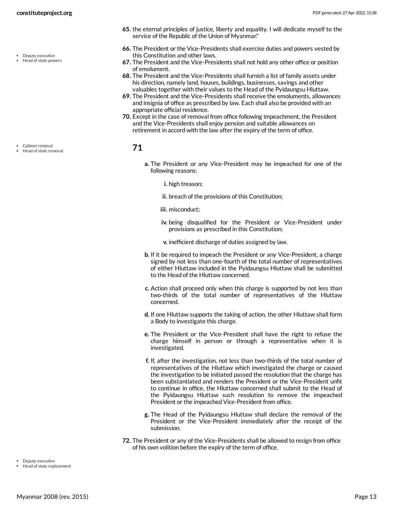• Deputy executive Head of state powers

- **65.** the eternal principles of justice, liberty and equality. I will dedicate myself to the service of the Republic of the Union of Myanmar."
- **66.** The President or the Vice-Presidents shall exercise duties and powers vested by this Constitution and other laws.
- **67.** The President and the Vice-Presidents shall not hold any other office or position of emolument.
- **68.** The President and the Vice-Presidents shall furnish a list of family assets under his direction, namely land, houses, buildings, businesses, savings and other valuables together with their values to the Head of the Pyidaungsu Hluttaw.
- **69.** The President and the Vice-Presidents shall receive the emoluments, allowances and insignia of office as prescribed by law. Each shall also be provided with an appropriate official residence.
- <span id="page-12-0"></span>**70.** Except in the case of removal from office following impeachment, the President and the Vice-Presidents shall enjoy pension and suitable allowances on retirement in accord with the law after the expiry of the term of office.
	- **71**
		- **a.** The President or any Vice-President may be impeached for one of the following reasons:

**i.** high treason;

- **ii.** breach of the provisions of this Constitution;
- **iii.** misconduct;
- **iv.** being disqualified for the President or Vice-President under provisions as prescribed in this Constitution;
- **v.** inefficient discharge of duties assigned by law.
- **b.** If it be required to impeach the President or any Vice-President, a charge signed by not less than one-fourth of the total number of representatives of either Hluttaw included in the Pyidaungsu Hluttaw shall be submitted to the Head of the Hluttaw concerned.
- **c.** Action shall proceed only when this charge is supported by not less than two-thirds of the total number of representatives of the Hluttaw concerned.
- **d.** If one Hluttaw supports the taking of action, the other Hluttaw shall form a Body to investigate this charge.
- **e.** The President or the Vice-President shall have the right to refuse the charge himself in person or through a representative when it is investigated.
- **f.** If, after the investigation, not less than two-thirds of the total number of representatives of the Hluttaw which investigated the charge or caused the investigation to be initiated passed the resolution that the charge has been substantiated and renders the President or the Vice-President unfit to continue in office, the Hluttaw concerned shall submit to the Head of the Pyidaungsu Hluttaw such resolution to remove the impeached President or the impeached Vice-President from office.
- **g.** The Head of the Pyidaungsu Hluttaw shall declare the removal of the President or the Vice-President immediately after the receipt of the submission.
- **72.** The President or any of the Vice-Presidents shall be allowed to resign from office of his own volition before the expiry of the term of office.

Cabinet removal

• Head of state removal

Deputy executive Head of state replacement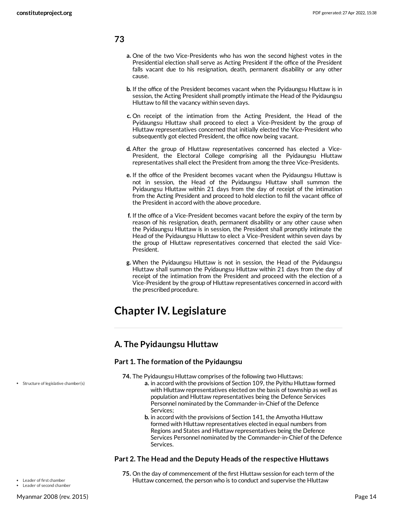## <span id="page-13-0"></span>**73**

- **a.** One of the two Vice-Presidents who has won the second highest votes in the Presidential election shall serve as Acting President if the office of the President falls vacant due to his resignation, death, permanent disability or any other cause.
- **b.** If the office of the President becomes vacant when the Pyidaungsu Hluttaw is in session, the Acting President shall promptly intimate the Head of the Pyidaungsu Hluttaw to fill the vacancy within seven days.
- **c.** On receipt of the intimation from the Acting President, the Head of the Pyidaungsu Hluttaw shall proceed to elect a Vice-President by the group of Hluttaw representatives concerned that initially elected the Vice-President who subsequently got elected President, the office now being vacant.
- **d.** After the group of Hluttaw representatives concerned has elected a Vice-President, the Electoral College comprising all the Pyidaungsu Hluttaw representatives shall elect the President from among the three Vice-Presidents.
- **e.** If the office of the President becomes vacant when the Pyidaungsu Hluttaw is not in session, the Head of the Pyidaungsu Hluttaw shall summon the Pyidaungsu Hluttaw within 21 days from the day of receipt of the intimation from the Acting President and proceed to hold election to fill the vacant office of the President in accord with the above procedure.
- **f.** If the office of a Vice-President becomes vacant before the expiry of the term by reason of his resignation, death, permanent disability or any other cause when the Pyidaungsu Hluttaw is in session, the President shall promptly intimate the Head of the Pyidaungsu Hluttaw to elect a Vice-President within seven days by the group of Hluttaw representatives concerned that elected the said Vice-President.
- **g.** When the Pyidaungsu Hluttaw is not in session, the Head of the Pyidaungsu Hluttaw shall summon the Pyidaungsu Hluttaw within 21 days from the day of receipt of the intimation from the President and proceed with the election of a Vice-President by the group of Hluttaw representatives concerned in accord with the prescribed procedure.

# <span id="page-13-1"></span>**Chapter IV. Legislature**

# <span id="page-13-2"></span>**A. The Pyidaungsu Hluttaw**

#### **Part 1. The formation of the Pyidaungsu**

**74.** The Pyidaungsu Hluttaw comprises of the following two Hluttaws:

- **a.** in accord with the provisions of Section 109, the Pyithu Hluttaw formed with Hluttaw representatives elected on the basis of township as well as population and Hluttaw representatives being the Defence Services Personnel nominated by the Commander-in-Chief of the Defence Services;
- **b.** in accord with the provisions of Section 141, the Amyotha Hluttaw formed with Hluttaw representatives elected in equal numbers from Regions and States and Hluttaw representatives being the Defence Services Personnel nominated by the Commander-in-Chief of the Defence Services.

#### **Part 2. The Head and the Deputy Heads of the respective Hluttaws**

**75.** On the day of commencement of the first Hluttaw session for each term of the Hluttaw concerned, the person who is to conduct and supervise the Hluttaw

• Structure of legislative chamber(s)

Leader of first chamber Leader of second chamber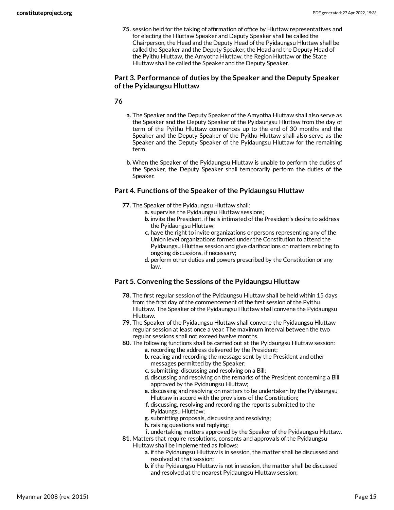**75.** session held for the taking of affirmation of office by Hluttaw representatives and for electing the Hluttaw Speaker and Deputy Speaker shall be called the Chairperson, the Head and the Deputy Head of the Pyidaungsu Hluttaw shall be called the Speaker and the Deputy Speaker, the Head and the Deputy Head of the Pyithu Hluttaw, the Amyotha Hluttaw, the Region Hluttaw or the State Hluttaw shall be called the Speaker and the Deputy Speaker.

## **Part 3. Performance of duties by the Speaker and the Deputy Speaker of the Pyidaungsu Hluttaw**

#### **76**

- **a.** The Speaker and the Deputy Speaker of the Amyotha Hluttaw shall also serve as the Speaker and the Deputy Speaker of the Pyidaungsu Hluttaw from the day of term of the Pyithu Hluttaw commences up to the end of 30 months and the Speaker and the Deputy Speaker of the Pyithu Hluttaw shall also serve as the Speaker and the Deputy Speaker of the Pyidaungsu Hluttaw for the remaining term.
- **b.** When the Speaker of the Pyidaungsu Hluttaw is unable to perform the duties of the Speaker, the Deputy Speaker shall temporarily perform the duties of the Speaker.

## **Part 4. Functions of the Speaker of the Pyidaungsu Hluttaw**

- **77.** The Speaker of the Pyidaungsu Hluttaw shall:
	- **a.** supervise the Pyidaungsu Hluttaw sessions;
	- **b.** invite the President, if he is intimated of the President's desire to address the Pyidaungsu Hluttaw;
	- **c.** have the right to invite organizations or persons representing any of the Union level organizations formed under the Constitution to attend the Pyidaungsu Hluttaw session and give clarifications on matters relating to ongoing discussions, if necessary;
	- **d.** perform other duties and powers prescribed by the Constitution or any law.

# **Part 5. Convening the Sessions of the Pyidaungsu Hluttaw**

- **78.** The first regular session of the Pyidaungsu Hluttaw shall be held within 15 days from the first day of the commencement of the first session of the Pyithu Hluttaw. The Speaker of the Pyidaungsu Hluttaw shall convene the Pyidaungsu Hluttaw.
- **79.** The Speaker of the Pyidaungsu Hluttaw shall convene the Pyidaungsu Hluttaw regular session at least once a year. The maximum interval between the two regular sessions shall not exceed twelve months.
- **80.** The following functions shall be carried out at the Pyidaungsu Hluttaw session:
	- **a.** recording the address delivered by the President;
	- **b.** reading and recording the message sent by the President and other messages permitted by the Speaker;
	- **c.** submitting, discussing and resolving on a Bill;
	- **d.** discussing and resolving on the remarks of the President concerning a Bill approved by the Pyidaungsu Hluttaw;
	- **e.** discussing and resolving on matters to be undertaken by the Pyidaungsu Hluttaw in accord with the provisions of the Constitution;
	- **f.** discussing, resolving and recording the reports submitted to the Pyidaungsu Hluttaw;
	- **g.** submitting proposals, discussing and resolving;
	- **h.** raising questions and replying;
	- **i.** undertaking matters approved by the Speaker of the Pyidaungsu Hluttaw.
- **81.** Matters that require resolutions, consents and approvals of the Pyidaungsu
	- Hluttaw shall be implemented as follows:
		- **a.** if the Pyidaungsu Hluttaw is in session, the matter shall be discussed and resolved at that session;
		- **b.** if the Pyidaungsu Hluttaw is not in session, the matter shall be discussed and resolved at the nearest Pyidaungsu Hluttaw session;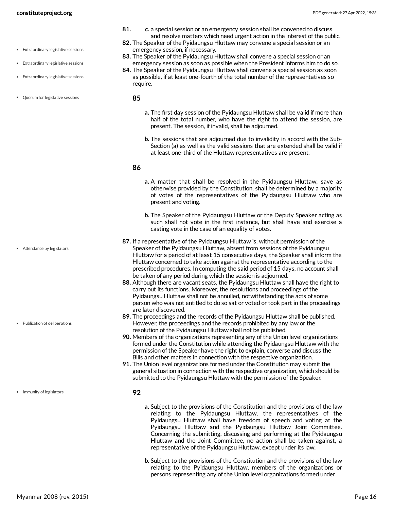- Extraordinary legislative sessions
- Extraordinary legislative sessions
- Extraordinary legislative sessions
- Quorum for legislative sessions

Attendance by legislators

Publication of deliberations

• Immunity of legislators

**85**

require.

emergency session, if necessary.

**a.** The first day session of the Pyidaungsu Hluttaw shall be valid if more than half of the total number, who have the right to attend the session, are present. The session, if invalid, shall be adjourned.

and resolve matters which need urgent action in the interest of the public.

**81. c.** a special session or an emergency session shall be convened to discuss

**82.** The Speaker of the Pyidaungsu Hluttaw may convene a special session or an

**83.** The Speaker of the Pyidaungsu Hluttaw shall convene a special session or an emergency session as soon as possible when the President informs him to do so. **84.** The Speaker of the Pyidaungsu Hluttaw shall convene a special session as soon as possible, if at least one-fourth of the total number of the representatives so

> **b.** The sessions that are adjourned due to invalidity in accord with the Sub-Section (a) as well as the valid sessions that are extended shall be valid if at least one-third of the Hluttaw representatives are present.

#### **86**

- **a.** A matter that shall be resolved in the Pyidaungsu Hluttaw, save as otherwise provided by the Constitution, shall be determined by a majority of votes of the representatives of the Pyidaungsu Hluttaw who are present and voting.
- **b.** The Speaker of the Pyidaungsu Hluttaw or the Deputy Speaker acting as such shall not vote in the first instance, but shall have and exercise a casting vote in the case of an equality of votes.
- **87.** If a representative of the Pyidaungsu Hluttaw is, without permission of the Speaker of the Pyidaungsu Hluttaw, absent from sessions of the Pyidaungsu Hluttaw for a period of at least 15 consecutive days, the Speaker shall inform the Hluttaw concerned to take action against the representative according to the prescribed procedures. In computing the said period of 15 days, no account shall be taken of any period during which the session is adjourned.
- **88.** Although there are vacant seats, the Pyidaungsu Hluttaw shall have the right to carry out its functions. Moreover, the resolutions and proceedings of the Pyidaungsu Hluttaw shall not be annulled, notwithstanding the acts of some person who was not entitled to do so sat or voted or took part in the proceedings are later discovered.
- **89.** The proceedings and the records of the Pyidaungsu Hluttaw shall be published. However, the proceedings and the records prohibited by any law or the resolution of the Pyidaungsu Hluttaw shall not be published.
- **90.** Members of the organizations representing any of the Union level organizations formed under the Constitution while attending the Pyidaungsu Hluttaw with the permission of the Speaker have the right to explain, converse and discuss the Bills and other matters in connection with the respective organization.
- **91.** The Union level organizations formed under the Constitution may submit the general situation in connection with the respective organization, which should be submitted to the Pyidaungsu Hluttaw with the permission of the Speaker.

#### **92**

- **a.** Subject to the provisions of the Constitution and the provisions of the law relating to the Pyidaungsu Hluttaw, the representatives of the Pyidaungsu Hluttaw shall have freedom of speech and voting at the Pyidaungsu Hluttaw and the Pyidaungsu Hluttaw Joint Committee. Concerning the submitting, discussing and performing at the Pyidaungsu Hluttaw and the Joint Committee, no action shall be taken against, a representative of the Pyidaungsu Hluttaw, except under its law.
- **b.** Subject to the provisions of the Constitution and the provisions of the law relating to the Pyidaungsu Hluttaw, members of the organizations or persons representing any of the Union level organizations formed under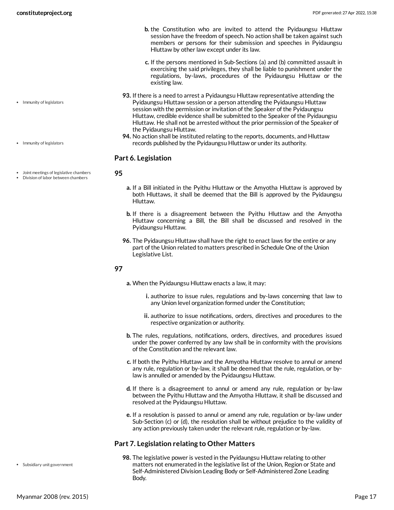- **b.** the Constitution who are invited to attend the Pyidaungsu Hluttaw session have the freedom of speech. No action shall be taken against such members or persons for their submission and speeches in Pyidaungsu Hluttaw by other law except under its law.
- **c.** If the persons mentioned in Sub-Sections (a) and (b) committed assault in exercising the said privileges, they shall be liable to punishment under the regulations, by-laws, procedures of the Pyidaungsu Hluttaw or the existing law.
- **93.** If there is a need to arrest a Pyidaungsu Hluttaw representative attending the Pyidaungsu Hluttaw session or a person attending the Pyidaungsu Hluttaw session with the permission or invitation of the Speaker of the Pyidaungsu Hluttaw, credible evidence shall be submitted to the Speaker of the Pyidaungsu Hluttaw. He shall not be arrested without the prior permission of the Speaker of the Pyidaungsu Hluttaw.
- **94.** No action shall be instituted relating to the reports, documents, and Hluttaw records published by the Pyidaungsu Hluttaw or under its authority.

#### **Part 6. Legislation**

#### **95**

- **a.** If a Bill initiated in the Pyithu Hluttaw or the Amyotha Hluttaw is approved by both Hluttaws, it shall be deemed that the Bill is approved by the Pyidaungsu Hluttaw.
- **b.** If there is a disagreement between the Pyithu Hluttaw and the Amyotha Hluttaw concerning a Bill, the Bill shall be discussed and resolved in the Pyidaungsu Hluttaw.
- **96.** The Pyidaungsu Hluttaw shall have the right to enact laws for the entire or any part of the Union related to matters prescribed in Schedule One of the Union Legislative List.

#### **97**

- **a.** When the Pyidaungsu Hluttaw enacts a law, it may:
	- **i.** authorize to issue rules, regulations and by-laws concerning that law to any Union level organization formed under the Constitution;
	- **ii.** authorize to issue notifications, orders, directives and procedures to the respective organization or authority.
- **b.** The rules, regulations, notifications, orders, directives, and procedures issued under the power conferred by any law shall be in conformity with the provisions of the Constitution and the relevant law.
- **c.** If both the Pyithu Hluttaw and the Amyotha Hluttaw resolve to annul or amend any rule, regulation or by-law, it shall be deemed that the rule, regulation, or bylaw is annulled or amended by the Pyidaungsu Hluttaw.
- **d.** If there is a disagreement to annul or amend any rule, regulation or by-law between the Pyithu Hluttaw and the Amyotha Hluttaw, it shall be discussed and resolved at the Pyidaungsu Hluttaw.
- **e.** If a resolution is passed to annul or amend any rule, regulation or by-law under Sub-Section (c) or (d), the resolution shall be without prejudice to the validity of any action previously taken under the relevant rule, regulation or by-law.

## **Part 7. Legislation relating to Other Matters**

**98.** The legislative power is vested in the Pyidaungsu Hluttaw relating to other matters not enumerated in the legislative list of the Union, Region or State and Self-Administered Division Leading Body or Self-Administered Zone Leading Body.

• Immunity of legislators

• Immunity of legislators

Joint meetings of legislative chambers Division of labor between chambers

Myanmar 2008 (rev. 2015) Page 17

Subsidiary unit government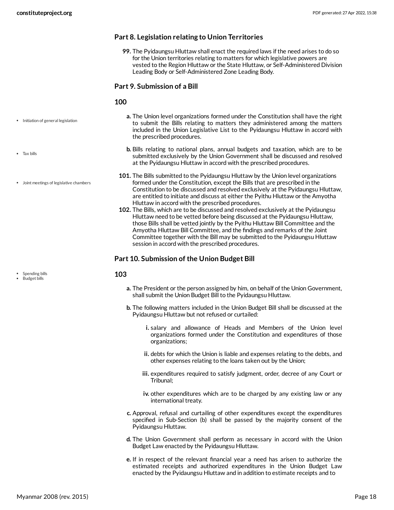## **Part 8. Legislation relating to Union Territories**

**99.** The Pyidaungsu Hluttaw shall enact the required laws if the need arises to do so for the Union territories relating to matters for which legislative powers are vested to the Region Hluttaw or the State Hluttaw, or Self-Administered Division Leading Body or Self-Administered Zone Leading Body.

#### **Part 9. Submission of a Bill**

#### **100**

|                                     | a. The Union level organizations formed under the Constitution shall have the right |
|-------------------------------------|-------------------------------------------------------------------------------------|
| • Initiation of general legislation | to submit the Bills relating to matters they administered among the matters         |
|                                     | included in the Union Legislative List to the Pyidaungsu Hluttaw in accord with     |

the prescribed procedures.

- **b.** Bills relating to national plans, annual budgets and taxation, which are to be submitted exclusively by the Union Government shall be discussed and resolved at the Pyidaungsu Hluttaw in accord with the prescribed procedures.
- **101.** The Bills submitted to the Pyidaungsu Hluttaw by the Union level organizations formed under the Constitution, except the Bills that are prescribed in the Constitution to be discussed and resolved exclusively at the Pyidaungsu Hluttaw, are entitled to initiate and discuss at either the Pyithu Hluttaw or the Amyotha Hluttaw in accord with the prescribed procedures.
- **102.** The Bills, which are to be discussed and resolved exclusively at the Pyidaungsu Hluttaw need to be vetted before being discussed at the Pyidaungsu Hluttaw, those Bills shall be vetted jointly by the Pyithu Hluttaw Bill Committee and the Amyotha Hluttaw Bill Committee, and the findings and remarks of the Joint Committee together with the Bill may be submitted to the Pyidaungsu Hluttaw session in accord with the prescribed procedures.

## **Part 10. Submission of the Union Budget Bill**

#### **103**

- **a.** The President or the person assigned by him, on behalf of the Union Government, shall submit the Union Budget Bill to the Pyidaungsu Hluttaw.
- **b.** The following matters included in the Union Budget Bill shall be discussed at the Pyidaungsu Hluttaw but not refused or curtailed:
	- **i.** salary and allowance of Heads and Members of the Union level organizations formed under the Constitution and expenditures of those organizations;
	- **ii.** debts for which the Union is liable and expenses relating to the debts, and other expenses relating to the loans taken out by the Union;
	- **iii.** expenditures required to satisfy judgment, order, decree of any Court or Tribunal;
	- **iv.** other expenditures which are to be charged by any existing law or any international treaty.
- **c.** Approval, refusal and curtailing of other expenditures except the expenditures specified in Sub-Section (b) shall be passed by the majority consent of the Pyidaungsu Hluttaw.
- **d.** The Union Government shall perform as necessary in accord with the Union Budget Law enacted by the Pyidaungsu Hluttaw.
- **e.** If in respect of the relevant financial year a need has arisen to authorize the estimated receipts and authorized expenditures in the Union Budget Law enacted by the Pyidaungsu Hluttaw and in addition to estimate receipts and to

Spending bills Budget bills

Tax bills

Joint meetings of legislative chambers

Myanmar 2008 (rev. 2015) Page 18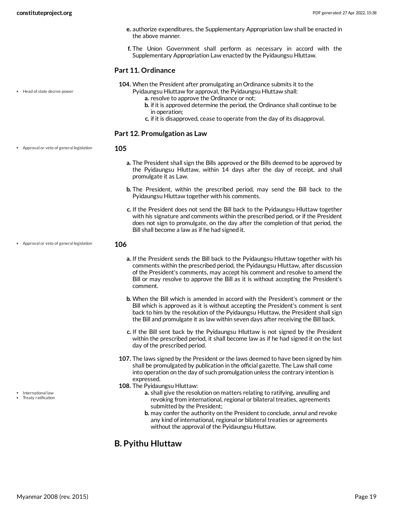- **constituteproject.org** PDF generated: 27 Apr 2022, 15:38 **e.** authorize expenditures, the Supplementary Appropriation law shall be enacted in the above manner. **f.** The Union Government shall perform as necessary in accord with the Supplementary Appropriation Law enacted by the Pyidaungsu Hluttaw. **Part 11. Ordinance 104.** When the President after promulgating an Ordinance submits it to the Pyidaungsu Hluttaw for approval, the Pyidaungsu Hluttaw shall: **a.** resolve to approve the Ordinance or not; **b.** if it is approved determine the period, the Ordinance shall continue to be in operation; **c.** if it is disapproved, cease to operate from the day of its disapproval. **Part 12. Promulgation as Law 105 a.** The President shall sign the Bills approved or the Bills deemed to be approved by the Pyidaungsu Hluttaw, within 14 days after the day of receipt, and shall promulgate it as Law. **b.** The President, within the prescribed period, may send the Bill back to the Pyidaungsu Hluttaw together with his comments. **c.** If the President does not send the Bill back to the Pyidaungsu Hluttaw together with his signature and comments within the prescribed period, or if the President does not sign to promulgate, on the day after the completion of that period, the Bill shall become a law as if he had signed it. **106 a.** If the President sends the Bill back to the Pyidaungsu Hluttaw together with his comments within the prescribed period, the Pyidaungsu Hluttaw, after discussion of the President's comments, may accept his comment and resolve to amend the Bill or may resolve to approve the Bill as it is without accepting the President's comment. **b.** When the Bill which is amended in accord with the President's comment or the Bill which is approved as it is without accepting the President's comment is sent back to him by the resolution of the Pyidaungsu Hluttaw, the President shall sign the Bill and promulgate it as law within seven days after receiving the Bill back. **c.** If the Bill sent back by the Pyidaungsu Hluttaw is not signed by the President within the prescribed period, it shall become law as if he had signed it on the last day of the prescribed period. **107.** The laws signed by the President or the laws deemed to have been signed by him shall be promulgated by publication in the official gazette. The Law shall come into operation on the day of such promulgation unless the contrary intention is expressed. Head of state decree power Approval or veto of general legislation Approval or veto of general legislation
	- **108.** The Pyidaungsu Hluttaw:
		- **a.** shall give the resolution on matters relating to ratifying, annulling and revoking from international, regional or bilateral treaties, agreements submitted by the President;
		- **b.** may confer the authority on the President to conclude, annul and revoke any kind of international, regional or bilateral treaties or agreements without the approval of the Pyidaungsu Hluttaw.

# <span id="page-18-0"></span>**B. Pyithu Hluttaw**

International law Treaty ratification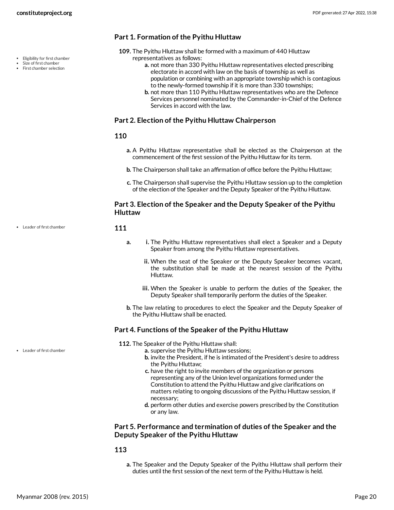- Size of first chamber
- First chamber selection

# **Part 1. Formation of the Pyithu Hluttaw**

- **109.** The Pyithu Hluttaw shall be formed with a maximum of 440 Hluttaw representatives as follows:
	- **a.** not more than 330 Pyithu Hluttaw representatives elected prescribing electorate in accord with law on the basis of township as well as population or combining with an appropriate township which is contagious to the newly-formed township if it is more than 330 townships;
	- **b.** not more than 110 Pyithu Hluttaw representatives who are the Defence Services personnel nominated by the Commander-in-Chief of the Defence Services in accord with the law.

# **Part 2. Election of the Pyithu Hluttaw Chairperson**

#### **110**

- **a.** A Pyithu Hluttaw representative shall be elected as the Chairperson at the commencement of the first session of the Pyithu Hluttaw for its term.
- **b.** The Chairperson shall take an affirmation of office before the Pyithu Hluttaw;
- **c.** The Chairperson shall supervise the Pyithu Hluttaw session up to the completion of the election of the Speaker and the Deputy Speaker of the Pyithu Hluttaw.

#### **Part 3. Election of the Speaker and the Deputy Speaker of the Pyithu Hluttaw**

#### Leader of first chamber

Leader of first chamber

- **111**
	- **a. i.** The Pyithu Hluttaw representatives shall elect a Speaker and a Deputy Speaker from among the Pyithu Hluttaw representatives.
		- **ii.** When the seat of the Speaker or the Deputy Speaker becomes vacant, the substitution shall be made at the nearest session of the Pyithu Hluttaw.
		- **iii.** When the Speaker is unable to perform the duties of the Speaker, the Deputy Speaker shall temporarily perform the duties of the Speaker.
	- **b.** The law relating to procedures to elect the Speaker and the Deputy Speaker of the Pyithu Hluttaw shall be enacted.

## **Part 4. Functions of the Speaker of the Pyithu Hluttaw**

**112.** The Speaker of the Pyithu Hluttaw shall:

- **a.** supervise the Pyithu Hluttaw sessions;
- **b.** invite the President, if he is intimated of the President's desire to address the Pyithu Hluttaw;
- **c.** have the right to invite members of the organization or persons representing any of the Union level organizations formed under the Constitution to attend the Pyithu Hluttaw and give clarifications on matters relating to ongoing discussions of the Pyithu Hluttaw session, if necessary;
- **d.** perform other duties and exercise powers prescribed by the Constitution or any law.

## **Part 5. Performance and termination of duties of the Speaker and the Deputy Speaker of the Pyithu Hluttaw**

## **113**

**a.** The Speaker and the Deputy Speaker of the Pyithu Hluttaw shall perform their duties until the first session of the next term of the Pyithu Hluttaw is held.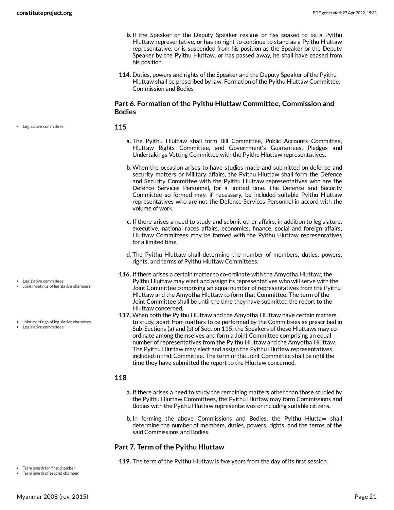- **b.** If the Speaker or the Deputy Speaker resigns or has ceased to be a Pyithu Hluttaw representative, or has no right to continue to stand as a Pyithu Hluttaw representative, or is suspended from his position as the Speaker or the Deputy Speaker by the Pyithu Hluttaw, or has passed away, he shall have ceased from his position.
- **114.** Duties, powers and rights of the Speaker and the Deputy Speaker of the Pyithu Hluttaw shall be prescribed by law. Formation of the Pyithu Hluttaw Committee, Commission and Bodies

#### **Part 6. Formation of the Pyithu Hluttaw Committee, Commission and Bodies**

#### **115**

- **a.** The Pyithu Hluttaw shall form Bill Committee, Public Accounts Committee, Hluttaw Rights Committee, and Government's Guarantees, Pledges and Undertakings Vetting Committee with the Pyithu Hluttaw representatives.
- **b.** When the occasion arises to have studies made and submitted on defence and security matters or Military affairs, the Pyithu Hluttaw shall form the Defence and Security Committee with the Pyithu Hluttaw representatives who are the Defence Services Personnel, for a limited time. The Defence and Security Committee so formed may, if necessary, be included suitable Pyithu Hluttaw representatives who are not the Defence Services Personnel in accord with the volume of work.
- **c.** If there arises a need to study and submit other affairs, in addition to legislature, executive, national races affairs, economics, finance, social and foreign affairs, Hluttaw Committees may be formed with the Pyithu Hluttaw representatives for a limited time.
- **d.** The Pyithu Hluttaw shall determine the number of members, duties, powers, rights, and terms of Pyithu Hluttaw Committees.
- **116.** If there arises a certain matter to co-ordinate with the Amyotha Hluttaw, the Pyithu Hluttaw may elect and assign its representatives who will serve with the Joint Committee comprising an equal number of representatives from the Pyithu Hluttaw and the Amyotha Hluttaw to form that Committee. The term of the Joint Committee shall be until the time they have submitted the report to the Hluttaw concerned.
- **117.** When both the Pyithu Hluttaw and the Amyotha Hluttaw have certain matters to study, apart from matters to be performed by the Committees as prescribed in Sub-Sections (a) and (b) of Section 115, the Speakers of these Hluttaws may coordinate among themselves and form a Joint Committee comprising an equal number of representatives from the Pyithu Hluttaw and the Amyotha Hluttaw. The Pyithu Hluttaw may elect and assign the Pyithu Hluttaw representatives included in that Committee. The term of the Joint Committee shall be until the time they have submitted the report to the Hluttaw concerned.

## **118**

- **a.** If there arises a need to study the remaining matters other than those studied by the Pyithu Hluttaw Committees, the Pyithu Hluttaw may form Commissions and Bodies with the Pyithu Hluttaw representatives or including suitable citizens.
- **b.** In forming the above Commissions and Bodies, the Pyithu Hluttaw shall determine the number of members, duties, powers, rights, and the terms of the said Commissions and Bodies.

## **Part 7. Term of the Pyithu Hluttaw**

**119.** The term of the Pyithu Hluttaw is five years from the day of its first session.

**.** Legislative committees

Legislative committees

- Joint meetings of legislative chambers
- Joint meetings of legislative chambers Legislative committees
- 

Term length of second chamber

Term length for first chamber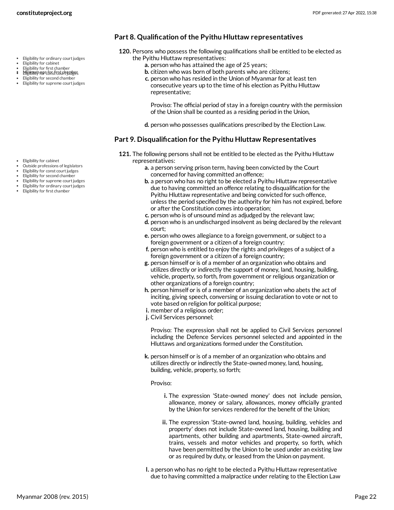• Eligibility for ordinary court judges

Eligibility for first chamber<br>Migibility for constration allows Eligibility for second chamber • Eligibility for supreme court judges

• Eligibility for cabinet

- **Part 8. Qualification of the Pyithu Hluttaw representatives**
	- **120.** Persons who possess the following qualifications shall be entitled to be elected as the Pyithu Hluttaw representatives:
		- **a.** person who has attained the age of 25 years;
		- **b.** citizen who was born of both parents who are citizens;
		- **c.** person who has resided in the Union of Myanmar for at least ten consecutive years up to the time of his election as Pyithu Hluttaw representative;

Proviso: The official period of stay in a foreign country with the permission of the Union shall be counted as a residing period in the Union,

**d.** person who possesses qualifications prescribed by the Election Law.

#### **Part 9. Disqualification for the Pyithu Hluttaw Representatives**

- **121.** The following persons shall not be entitled to be elected as the Pyithu Hluttaw representatives:
	- **a.** a person serving prison term, having been convicted by the Court concerned for having committed an offence;
	- **b.** a person who has no right to be elected a Pyithu Hluttaw representative due to having committed an offence relating to disqualification for the Pyithu Hluttaw representative and being convicted for such offence, unless the period specified by the authority for him has not expired, before or after the Constitution comes into operation;
	- **c.** person who is of unsound mind as adjudged by the relevant law;
	- **d.** person who is an undischarged insolvent as being declared by the relevant court;
	- **e.** person who owes allegiance to a foreign government, or subject to a foreign government or a citizen of a foreign country;
	- **f.** person who is entitled to enjoy the rights and privileges of a subject of a foreign government or a citizen of a foreign country;
	- **g.** person himself or is of a member of an organization who obtains and utilizes directly or indirectly the support of money, land, housing, building, vehicle, property, so forth, from government or religious organization or other organizations of a foreign country;
	- **h.** person himself or is of a member of an organization who abets the act of inciting, giving speech, conversing or issuing declaration to vote or not to vote based on religion for political purpose;
	- **i.** member of a religious order;
	- **j.** Civil Services personnel;

Proviso: The expression shall not be applied to Civil Services personnel including the Defence Services personnel selected and appointed in the Hluttaws and organizations formed under the Constitution.

**k.** person himself or is of a member of an organization who obtains and utilizes directly or indirectly the State-owned money, land, housing, building, vehicle, property, so forth;

#### Proviso:

- **i.** The expression 'State-owned money' does not include pension, allowance, money or salary, allowances, money officially granted by the Union for services rendered for the benefit of the Union;
- **ii.** The expression 'State-owned land, housing, building, vehicles and property' does not include State-owned land, housing, building and apartments, other building and apartments, State-owned aircraft, trains, vessels and motor vehicles and property, so forth, which have been permitted by the Union to be used under an existing law or as required by duty, or leased from the Union on payment.
- **l.** a person who has no right to be elected a Pyithu Hluttaw representative due to having committed a malpractice under relating to the Election Law
- 
- Eligibility for cabinet
- Outside professions of legislators
- Eligibility for const court judges Eligibility for second chamber
- Eligibility for supreme court judges
- Eligibility for ordinary court judges
- Eligibility for first chamber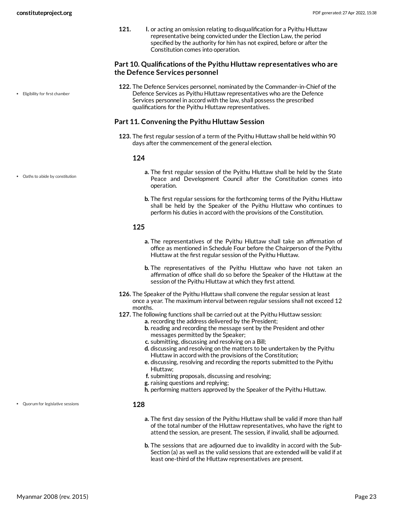Eligibility for first chamber

**121. l.** or acting an omission relating to disqualification for a Pyithu Hluttaw representative being convicted under the Election Law, the period specified by the authority for him has not expired, before or after the Constitution comes into operation.

#### **Part 10. Qualifications of the Pyithu Hluttaw representatives who are the Defence Services personnel**

**122.** The Defence Services personnel, nominated by the Commander-in-Chief of the Defence Services as Pyithu Hluttaw representatives who are the Defence Services personnel in accord with the law, shall possess the prescribed qualifications for the Pyithu Hluttaw representatives.

#### **Part 11. Convening the Pyithu Hluttaw Session**

**123.** The first regular session of a term of the Pyithu Hluttaw shall be held within 90 days after the commencement of the general election.

#### **124**

- **a.** The first regular session of the Pyithu Hluttaw shall be held by the State Peace and Development Council after the Constitution comes into operation.
- **b.** The first regular sessions for the forthcoming terms of the Pyithu Hluttaw shall be held by the Speaker of the Pyithu Hluttaw who continues to perform his duties in accord with the provisions of the Constitution.

#### **125**

- **a.** The representatives of the Pyithu Hluttaw shall take an affirmation of office as mentioned in Schedule Four before the Chairperson of the Pyithu Hluttaw at the first regular session of the Pyithu Hluttaw.
- **b.** The representatives of the Pyithu Hluttaw who have not taken an affirmation of office shall do so before the Speaker of the Hluttaw at the session of the Pyithu Hluttaw at which they first attend.
- **126.** The Speaker of the Pyithu Hluttaw shall convene the regular session at least once a year. The maximum interval between regular sessions shall not exceed 12 months.
- **127.** The following functions shall be carried out at the Pyithu Hluttaw session:
	- **a.** recording the address delivered by the President;
	- **b.** reading and recording the message sent by the President and other messages permitted by the Speaker;
	- **c.** submitting, discussing and resolving on a Bill;
	- **d.** discussing and resolving on the matters to be undertaken by the Pyithu Hluttaw in accord with the provisions of the Constitution;
	- **e.** discussing, resolving and recording the reports submitted to the Pyithu Hluttaw;
	- **f.** submitting proposals, discussing and resolving;
	- **g.** raising questions and replying;
	- **h.** performing matters approved by the Speaker of the Pyithu Hluttaw.

Quorum for legislative sessions

#### **128**

- **a.** The first day session of the Pyithu Hluttaw shall be valid if more than half of the total number of the Hluttaw representatives, who have the right to attend the session, are present. The session, if invalid, shall be adjourned.
- **b.** The sessions that are adjourned due to invalidity in accord with the Sub-Section (a) as well as the valid sessions that are extended will be valid if at least one-third of the Hluttaw representatives are present.

Oaths to abide by constitution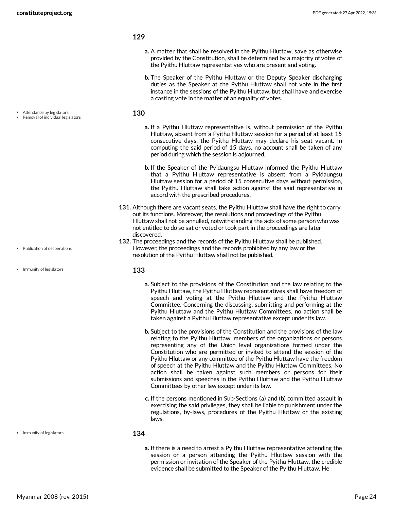#### **129**

- **a.** A matter that shall be resolved in the Pyithu Hluttaw, save as otherwise provided by the Constitution, shall be determined by a majority of votes of the Pyithu Hluttaw representatives who are present and voting.
- **b.** The Speaker of the Pyithu Hluttaw or the Deputy Speaker discharging duties as the Speaker at the Pyithu Hluttaw shall not vote in the first instance in the sessions of the Pyithu Hluttaw, but shall have and exercise a casting vote in the matter of an equality of votes.

#### **130**

- **a.** If a Pyithu Hluttaw representative is, without permission of the Pyithu Hluttaw, absent from a Pyithu Hluttaw session for a period of at least 15 consecutive days, the Pyithu Hluttaw may declare his seat vacant. In computing the said period of 15 days, no account shall be taken of any period during which the session is adjourned.
- **b.** If the Speaker of the Pyidaungsu Hluttaw informed the Pyithu Hluttaw that a Pyithu Hluttaw representative is absent from a Pyidaungsu Hluttaw session for a period of 15 consecutive days without permission, the Pyithu Hluttaw shall take action against the said representative in accord with the prescribed procedures.
- **131.** Although there are vacant seats, the Pyithu Hluttaw shall have the right to carry out its functions. Moreover, the resolutions and proceedings of the Pyithu Hluttaw shall not be annulled, notwithstanding the acts of some person who was not entitled to do so sat or voted or took part in the proceedings are later discovered.
- **132.** The proceedings and the records of the Pyithu Hluttaw shall be published. However, the proceedings and the records prohibited by any law or the resolution of the Pyithu Hluttaw shall not be published.

#### **133**

- **a.** Subject to the provisions of the Constitution and the law relating to the Pyithu Hluttaw, the Pyithu Hluttaw representatives shall have freedom of speech and voting at the Pyithu Hluttaw and the Pyithu Hluttaw Committee. Concerning the discussing, submitting and performing at the Pyithu Hluttaw and the Pyithu Hluttaw Committees, no action shall be taken against a Pyithu Hluttaw representative except under its law.
- **b.** Subject to the provisions of the Constitution and the provisions of the law relating to the Pyithu Hluttaw, members of the organizations or persons representing any of the Union level organizations formed under the Constitution who are permitted or invited to attend the session of the Pyithu Hluttaw or any committee of the Pyithu Hluttaw have the freedom of speech at the Pyithu Hluttaw and the Pyithu Hluttaw Committees. No action shall be taken against such members or persons for their submissions and speeches in the Pyithu Hluttaw and the Pyithu Hluttaw Committees by other law except under its law.
- **c.** If the persons mentioned in Sub-Sections (a) and (b) committed assault in exercising the said privileges, they shall be liable to punishment under the regulations, by-laws, procedures of the Pyithu Hluttaw or the existing laws.

#### **134**

**a.** If there is a need to arrest a Pyithu Hluttaw representative attending the session or a person attending the Pyithu Hluttaw session with the permission or invitation of the Speaker of the Pyithu Hluttaw, the credible evidence shall be submitted to the Speaker of the Pyithu Hluttaw. He

Attendance by legislators

Removal of individual legislators

- Publication of deliberations
- Immunity of legislators

• Immunity of legislators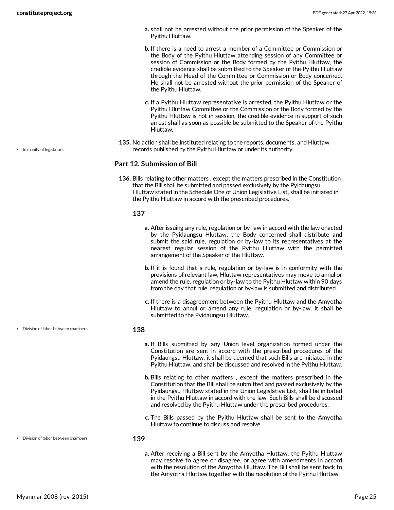- **a.** shall not be arrested without the prior permission of the Speaker of the Pyithu Hluttaw.
- **b.** If there is a need to arrest a member of a Committee or Commission or the Body of the Pyithu Hluttaw attending session of any Committee or session of Commission or the Body formed by the Pyithu Hluttaw, the credible evidence shall be submitted to the Speaker of the Pyithu Hluttaw through the Head of the Committee or Commission or Body concerned. He shall not be arrested without the prior permission of the Speaker of the Pyithu Hluttaw.
- **c.** If a Pyithu Hluttaw representative is arrested, the Pyithu Hluttaw or the Pyithu Hluttaw Committee or the Commission or the Body formed by the Pyithu Hluttaw is not in session, the credible evidence in support of such arrest shall as soon as possible be submitted to the Speaker of the Pyithu Hluttaw.
- **135.** No action shall be instituted relating to the reports, documents, and Hluttaw records published by the Pyithu Hluttaw or under its authority.

## **Part 12. Submission of Bill**

**136.** Bills relating to other matters , except the matters prescribed in the Constitution that the Bill shall be submitted and passed exclusively by the Pyidaungsu Hluttaw stated in the Schedule One of Union Legislative List, shall be initiated in the Pyithu Hluttaw in accord with the prescribed procedures.

## **137**

- **a.** After issuing any rule, regulation or by-law in accord with the law enacted by the Pyidaungsu Hluttaw, the Body concerned shall distribute and submit the said rule, regulation or by-law to its representatives at the nearest regular session of the Pyithu Hluttaw with the permitted arrangement of the Speaker of the Hluttaw.
- **b.** If it is found that a rule, regulation or by-law is in conformity with the provisions of relevant law, Hluttaw representatives may move to annul or amend the rule, regulation or by-law to the Pyithu Hluttaw within 90 days from the day that rule, regulation or by-law is submitted and distributed.
- **c.** If there is a disagreement between the Pyithu Hluttaw and the Amyotha Hluttaw to annul or amend any rule, regulation or by-law, it shall be submitted to the Pyidaungsu Hluttaw.

#### **138**

- **a.** If Bills submitted by any Union level organization formed under the Constitution are sent in accord with the prescribed procedures of the Pyidaungsu Hluttaw, it shall be deemed that such Bills are initiated in the Pyithu Hluttaw, and shall be discussed and resolved in the Pyithu Hluttaw.
- **b.** Bills relating to other matters , except the matters prescribed in the Constitution that the Bill shall be submitted and passed exclusively by the Pyidaungsu Hluttaw stated in the Union Legislative List, shall be initiated in the Pyithu Hluttaw in accord with the law. Such Bills shall be discussed and resolved by the Pyithu Hluttaw under the prescribed procedures.
- **c.** The Bills passed by the Pyithu Hluttaw shall be sent to the Amyotha Hluttaw to continue to discuss and resolve.

Division of labor between chambers

Division of labor between chambers

- **139**
	- **a.** After receiving a Bill sent by the Amyotha Hluttaw, the Pyithu Hluttaw may resolve to agree or disagree, or agree with amendments in accord with the resolution of the Amyotha Hluttaw. The Bill shall be sent back to the Amyotha Hluttaw together with the resolution of the Pyithu Hluttaw.

• Immunity of legislators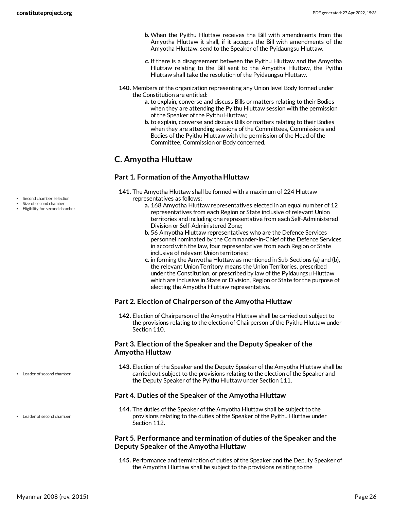- **b.** When the Pyithu Hluttaw receives the Bill with amendments from the Amyotha Hluttaw it shall, if it accepts the Bill with amendments of the Amyotha Hluttaw, send to the Speaker of the Pyidaungsu Hluttaw.
- **c.** If there is a disagreement between the Pyithu Hluttaw and the Amyotha Hluttaw relating to the Bill sent to the Amyotha Hluttaw, the Pyithu Hluttaw shall take the resolution of the Pyidaungsu Hluttaw.
- **140.** Members of the organization representing any Union level Body formed under the Constitution are entitled:
	- **a.** to explain, converse and discuss Bills or matters relating to their Bodies when they are attending the Pyithu Hluttaw session with the permission of the Speaker of the Pyithu Hluttaw;
	- **b.** to explain, converse and discuss Bills or matters relating to their Bodies when they are attending sessions of the Committees, Commissions and Bodies of the Pyithu Hluttaw with the permission of the Head of the Committee, Commission or Body concerned.

# <span id="page-25-0"></span>**C. Amyotha Hluttaw**

# **Part 1. Formation of the Amyotha Hluttaw**

- **141.** The Amyotha Hluttaw shall be formed with a maximum of 224 Hluttaw representatives as follows:
	- **a.** 168 Amyotha Hluttaw representatives elected in an equal number of 12 representatives from each Region or State inclusive of relevant Union territories and including one representative from each Self-Administered Division or Self-Administered Zone;
	- **b.** 56 Amyotha Hluttaw representatives who are the Defence Services personnel nominated by the Commander-in-Chief of the Defence Services in accord with the law, four representatives from each Region or State inclusive of relevant Union territories;
	- **c.** in forming the Amyotha Hluttaw as mentioned in Sub-Sections (a) and (b), the relevant Union Territory means the Union Territories, prescribed under the Constitution, or prescribed by law of the Pyidaungsu Hluttaw, which are inclusive in State or Division, Region or State for the purpose of electing the Amyotha Hluttaw representative.

# **Part 2. Election of Chairperson of the Amyotha Hluttaw**

**142.** Election of Chairperson of the Amyotha Hluttaw shall be carried out subject to the provisions relating to the election of Chairperson of the Pyithu Hluttaw under Section 110.

## **Part 3. Election of the Speaker and the Deputy Speaker of the Amyotha Hluttaw**

**143.** Election of the Speaker and the Deputy Speaker of the Amyotha Hluttaw shall be carried out subject to the provisions relating to the election of the Speaker and the Deputy Speaker of the Pyithu Hluttaw under Section 111.

# **Part 4. Duties of the Speaker of the Amyotha Hluttaw**

**144.** The duties of the Speaker of the Amyotha Hluttaw shall be subject to the provisions relating to the duties of the Speaker of the Pyithu Hluttaw under Section 112.

## **Part 5. Performance and termination of duties of the Speaker and the Deputy Speaker of the Amyotha Hluttaw**

**145.** Performance and termination of duties of the Speaker and the Deputy Speaker of the Amyotha Hluttaw shall be subject to the provisions relating to the

- Second chamber selection
- Size of second chamber
- Eligibility for second chamber

- Leader of second chamber
- Leader of second chamber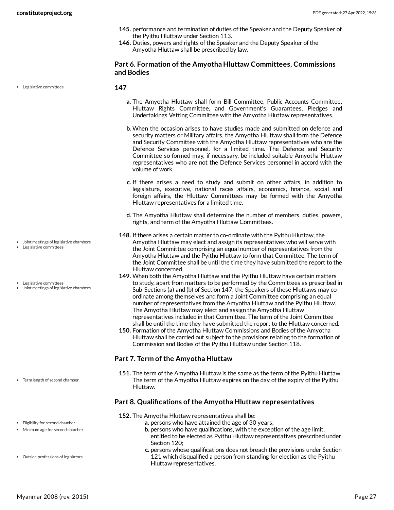- **145.** performance and termination of duties of the Speaker and the Deputy Speaker of the Pyithu Hluttaw under Section 113.
- **146.** Duties, powers and rights of the Speaker and the Deputy Speaker of the Amyotha Hluttaw shall be prescribed by law.

### **Part 6. Formation of the Amyotha Hluttaw Committees, Commissions and Bodies**

#### Legislative committees

**147**

- **a.** The Amyotha Hluttaw shall form Bill Committee, Public Accounts Committee, Hluttaw Rights Committee, and Government's Guarantees, Pledges and Undertakings Vetting Committee with the Amyotha Hluttaw representatives.
- **b.** When the occasion arises to have studies made and submitted on defence and security matters or Military affairs, the Amyotha Hluttaw shall form the Defence and Security Committee with the Amyotha Hluttaw representatives who are the Defence Services personnel, for a limited time. The Defence and Security Committee so formed may, if necessary, be included suitable Amyotha Hluttaw representatives who are not the Defence Services personnel in accord with the volume of work.
- **c.** If there arises a need to study and submit on other affairs, in addition to legislature, executive, national races affairs, economics, finance, social and foreign affairs, the Hluttaw Committees may be formed with the Amyotha Hluttaw representatives for a limited time.
- **d.** The Amyotha Hluttaw shall determine the number of members, duties, powers, rights, and term of the Amyotha Hluttaw Committees.
- **148.** If there arises a certain matter to co-ordinate with the Pyithu Hluttaw, the Amyotha Hluttaw may elect and assign its representatives who will serve with the Joint Committee comprising an equal number of representatives from the Amyotha Hluttaw and the Pyithu Hluttaw to form that Committee. The term of the Joint Committee shall be until the time they have submitted the report to the Hluttaw concerned.
- **149.** When both the Amyotha Hluttaw and the Pyithu Hluttaw have certain matters to study, apart from matters to be performed by the Committees as prescribed in Sub-Sections (a) and (b) of Section 147, the Speakers of these Hluttaws may coordinate among themselves and form a Joint Committee comprising an equal number of representatives from the Amyotha Hluttaw and the Pyithu Hluttaw. The Amyotha Hluttaw may elect and assign the Amyotha Hluttaw representatives included in that Committee. The term of the Joint Committee shall be until the time they have submitted the report to the Hluttaw concerned.
- **150.** Formation of the Amyotha Hluttaw Commissions and Bodies of the Amyotha Hluttaw shall be carried out subject to the provisions relating to the formation of Commission and Bodies of the Pyithu Hluttaw under Section 118.

## **Part 7. Term of the Amyotha Hluttaw**

**151.** The term of the Amyotha Hluttaw is the same as the term of the Pyithu Hluttaw. The term of the Amyotha Hluttaw expires on the day of the expiry of the Pyithu Hluttaw.

## **Part 8. Qualifications of the Amyotha Hluttaw representatives**

- **152.** The Amyotha Hluttaw representatives shall be:
	- **a.** persons who have attained the age of 30 years;
		- **b.** persons who have qualifications, with the exception of the age limit, entitled to be elected as Pyithu Hluttaw representatives prescribed under Section 120;
		- **c.** persons whose qualifications does not breach the provisions under Section 121 which disqualified a person from standing for election as the Pyithu Hluttaw representatives.
- Joint meetings of legislative chambers Legislative committees
- Legislative committees
- Joint meetings of legislative chambers

- Term length of second chamber
- Eligibility for second chamber
- Minimum age for second chamber
- Outside professions of legislators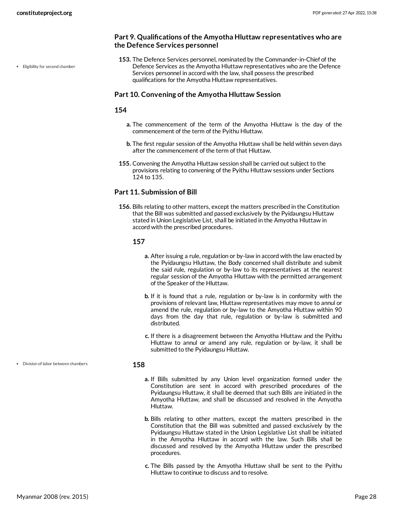#### **Part 9. Qualifications of the Amyotha Hluttaw representatives who are the Defence Services personnel**

**153.** The Defence Services personnel, nominated by the Commander-in-Chief of the Defence Services as the Amyotha Hluttaw representatives who are the Defence Services personnel in accord with the law, shall possess the prescribed qualifications for the Amyotha Hluttaw representatives.

#### **Part 10. Convening of the Amyotha Hluttaw Session**

#### **154**

- **a.** The commencement of the term of the Amyotha Hluttaw is the day of the commencement of the term of the Pyithu Hluttaw.
- **b.** The first regular session of the Amyotha Hluttaw shall be held within seven days after the commencement of the term of that Hluttaw.
- **155.** Convening the Amyotha Hluttaw session shall be carried out subject to the provisions relating to convening of the Pyithu Hluttaw sessions under Sections 124 to 135.

#### **Part 11. Submission of Bill**

**156.** Bills relating to other matters, except the matters prescribed in the Constitution that the Bill was submitted and passed exclusively by the Pyidaungsu Hluttaw stated in Union Legislative List, shall be initiated in the Amyotha Hluttaw in accord with the prescribed procedures.

#### **157**

- **a.** After issuing a rule, regulation or by-law in accord with the law enacted by the Pyidaungsu Hluttaw, the Body concerned shall distribute and submit the said rule, regulation or by-law to its representatives at the nearest regular session of the Amyotha Hluttaw with the permitted arrangement of the Speaker of the Hluttaw.
- **b.** If it is found that a rule, regulation or by-law is in conformity with the provisions of relevant law, Hluttaw representatives may move to annul or amend the rule, regulation or by-law to the Amyotha Hluttaw within 90 days from the day that rule, regulation or by-law is submitted and distributed.
- **c.** If there is a disagreement between the Amyotha Hluttaw and the Pyithu Hluttaw to annul or amend any rule, regulation or by-law, it shall be submitted to the Pyidaungsu Hluttaw.

#### **158**

- **a.** If Bills submitted by any Union level organization formed under the Constitution are sent in accord with prescribed procedures of the Pyidaungsu Hluttaw, it shall be deemed that such Bills are initiated in the Amyotha Hluttaw, and shall be discussed and resolved in the Amyotha Hluttaw.
- **b.** Bills relating to other matters, except the matters prescribed in the Constitution that the Bill was submitted and passed exclusively by the Pyidaungsu Hluttaw stated in the Union Legislative List shall be initiated in the Amyotha Hluttaw in accord with the law. Such Bills shall be discussed and resolved by the Amyotha Hluttaw under the prescribed procedures.
- **c.** The Bills passed by the Amyotha Hluttaw shall be sent to the Pyithu Hluttaw to continue to discuss and to resolve.

Eligibility for second chamber

Division of labor between chambers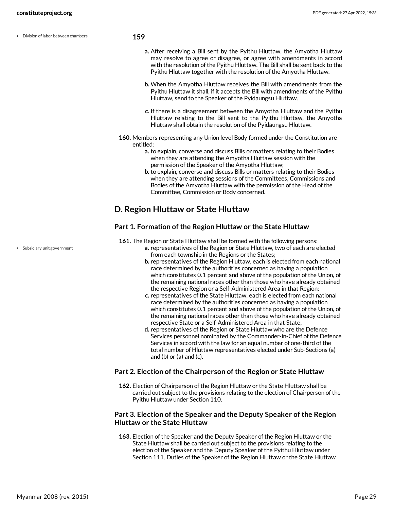Division of labor between chambers

#### **159**

- **a.** After receiving a Bill sent by the Pyithu Hluttaw, the Amyotha Hluttaw may resolve to agree or disagree, or agree with amendments in accord with the resolution of the Pyithu Hluttaw. The Bill shall be sent back to the Pyithu Hluttaw together with the resolution of the Amyotha Hluttaw.
- **b.** When the Amyotha Hluttaw receives the Bill with amendments from the Pyithu Hluttaw it shall, if it accepts the Bill with amendments of the Pyithu Hluttaw, send to the Speaker of the Pyidaungsu Hluttaw.
- **c.** If there is a disagreement between the Amyotha Hluttaw and the Pyithu Hluttaw relating to the Bill sent to the Pyithu Hluttaw, the Amyotha Hluttaw shall obtain the resolution of the Pyidaungsu Hluttaw.
- **160.** Members representing any Union level Body formed under the Constitution are entitled:
	- **a.** to explain, converse and discuss Bills or matters relating to their Bodies when they are attending the Amyotha Hluttaw session with the permission of the Speaker of the Amyotha Hluttaw;
	- **b.** to explain, converse and discuss Bills or matters relating to their Bodies when they are attending sessions of the Committees, Commissions and Bodies of the Amyotha Hluttaw with the permission of the Head of the Committee, Commission or Body concerned.

# <span id="page-28-0"></span>**D. Region Hluttaw or State Hluttaw**

## **Part 1. Formation of the Region Hluttaw or the State Hluttaw**

**161.** The Region or State Hluttaw shall be formed with the following persons:

- **a.** representatives of the Region or State Hluttaw, two of each are elected from each township in the Regions or the States;
	- **b.** representatives of the Region Hluttaw, each is elected from each national race determined by the authorities concerned as having a population which constitutes 0.1 percent and above of the population of the Union, of the remaining national races other than those who have already obtained the respective Region or a Self-Administered Area in that Region;
	- **c.** representatives of the State Hluttaw, each is elected from each national race determined by the authorities concerned as having a population which constitutes 0.1 percent and above of the population of the Union, of the remaining national races other than those who have already obtained respective State or a Self-Administered Area in that State;
	- **d.** representatives of the Region or State Hluttaw who are the Defence Services personnel nominated by the Commander-in-Chief of the Defence Services in accord with the law for an equal number of one-third of the total number of Hluttaw representatives elected under Sub-Sections (a) and (b) or (a) and (c).

# **Part 2. Election of the Chairperson of the Region or State Hluttaw**

**162.** Election of Chairperson of the Region Hluttaw or the State Hluttaw shall be carried out subject to the provisions relating to the election of Chairperson of the Pyithu Hluttaw under Section 110.

## **Part 3. Election of the Speaker and the Deputy Speaker of the Region Hluttaw or the State Hluttaw**

**163.** Election of the Speaker and the Deputy Speaker of the Region Hluttaw or the State Hluttaw shall be carried out subject to the provisions relating to the election of the Speaker and the Deputy Speaker of the Pyithu Hluttaw under Section 111. Duties of the Speaker of the Region Hluttaw or the State Hluttaw

Subsidiary unit government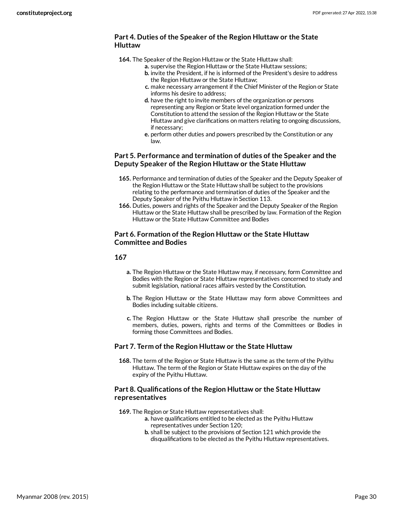## **Part 4. Duties of the Speaker of the Region Hluttaw or the State Hluttaw**

**164.** The Speaker of the Region Hluttaw or the State Hluttaw shall:

- **a.** supervise the Region Hluttaw or the State Hluttaw sessions;
- **b.** invite the President, if he is informed of the President's desire to address the Region Hluttaw or the State Hluttaw;
- **c.** make necessary arrangement if the Chief Minister of the Region or State informs his desire to address;
- **d.** have the right to invite members of the organization or persons representing any Region or State level organization formed under the Constitution to attend the session of the Region Hluttaw or the State Hluttaw and give clarifications on matters relating to ongoing discussions, if necessary;
- **e.** perform other duties and powers prescribed by the Constitution or any law.

## **Part 5. Performance and termination of duties of the Speaker and the Deputy Speaker of the Region Hluttaw or the State Hluttaw**

- **165.** Performance and termination of duties of the Speaker and the Deputy Speaker of the Region Hluttaw or the State Hluttaw shall be subject to the provisions relating to the performance and termination of duties of the Speaker and the Deputy Speaker of the Pyithu Hluttaw in Section 113.
- **166.** Duties, powers and rights of the Speaker and the Deputy Speaker of the Region Hluttaw or the State Hluttaw shall be prescribed by law. Formation of the Region Hluttaw or the State Hluttaw Committee and Bodies

## **Part 6. Formation of the Region Hluttaw or the State Hluttaw Committee and Bodies**

#### **167**

- **a.** The Region Hluttaw or the State Hluttaw may, if necessary, form Committee and Bodies with the Region or State Hluttaw representatives concerned to study and submit legislation, national races affairs vested by the Constitution.
- **b.** The Region Hluttaw or the State Hluttaw may form above Committees and Bodies including suitable citizens.
- **c.** The Region Hluttaw or the State Hluttaw shall prescribe the number of members, duties, powers, rights and terms of the Committees or Bodies in forming those Committees and Bodies.

# **Part 7. Term of the Region Hluttaw or the State Hluttaw**

**168.** The term of the Region or State Hluttaw is the same as the term of the Pyithu Hluttaw. The term of the Region or State Hluttaw expires on the day of the expiry of the Pyithu Hluttaw.

## **Part 8. Qualifications of the Region Hluttaw or the State Hluttaw representatives**

- **169.** The Region or State Hluttaw representatives shall:
	- **a.** have qualifications entitled to be elected as the Pyithu Hluttaw representatives under Section 120;
	- **b.** shall be subject to the provisions of Section 121 which provide the disqualifications to be elected as the Pyithu Hluttaw representatives.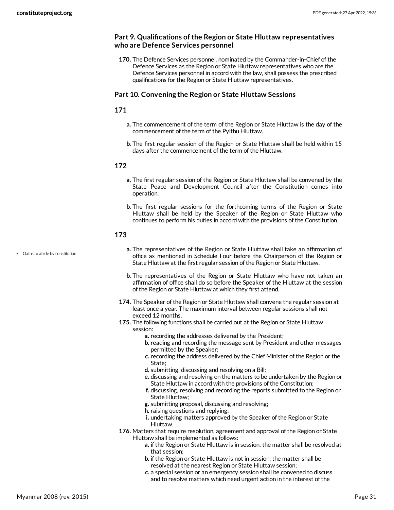#### **Part 9. Qualifications of the Region or State Hluttaw representatives who are Defence Services personnel**

**170.** The Defence Services personnel, nominated by the Commander-in-Chief of the Defence Services as the Region or State Hluttaw representatives who are the Defence Services personnel in accord with the law, shall possess the prescribed qualifications for the Region or State Hluttaw representatives.

#### **Part 10. Convening the Region or State Hluttaw Sessions**

#### **171**

- **a.** The commencement of the term of the Region or State Hluttaw is the day of the commencement of the term of the Pyithu Hluttaw.
- **b.** The first regular session of the Region or State Hluttaw shall be held within 15 days after the commencement of the term of the Hluttaw.

#### **172**

- **a.** The first regular session of the Region or State Hluttaw shall be convened by the State Peace and Development Council after the Constitution comes into operation.
- **b.** The first regular sessions for the forthcoming terms of the Region or State Hluttaw shall be held by the Speaker of the Region or State Hluttaw who continues to perform his duties in accord with the provisions of the Constitution.

#### **173**

- Oaths to abide by constitution
- **a.** The representatives of the Region or State Hluttaw shall take an affirmation of office as mentioned in Schedule Four before the Chairperson of the Region or State Hluttaw at the first regular session of the Region or State Hluttaw.
- **b.** The representatives of the Region or State Hluttaw who have not taken an affirmation of office shall do so before the Speaker of the Hluttaw at the session of the Region or State Hluttaw at which they first attend.
- **174.** The Speaker of the Region or State Hluttaw shall convene the regular session at least once a year. The maximum interval between regular sessions shall not exceed 12 months.
- **175.** The following functions shall be carried out at the Region or State Hluttaw session:
	- **a.** recording the addresses delivered by the President;
	- **b.** reading and recording the message sent by President and other messages permitted by the Speaker;
	- **c.** recording the address delivered by the Chief Minister of the Region or the State;
	- **d.** submitting, discussing and resolving on a Bill;
	- **e.** discussing and resolving on the matters to be undertaken by the Region or State Hluttaw in accord with the provisions of the Constitution;
	- **f.** discussing, resolving and recording the reports submitted to the Region or State Hluttaw;
	- **g.** submitting proposal, discussing and resolving;
	- **h.** raising questions and replying;
	- **i.** undertaking matters approved by the Speaker of the Region or State Hluttaw.
- **176.** Matters that require resolution, agreement and approval of the Region or State Hluttaw shall be implemented as follows:
	- **a.** if the Region or State Hluttaw is in session, the matter shall be resolved at that session;
	- **b.** if the Region or State Hluttaw is not in session, the matter shall be resolved at the nearest Region or State Hluttaw session;
	- **c.** a special session or an emergency session shall be convened to discuss and to resolve matters which need urgent action in the interest of the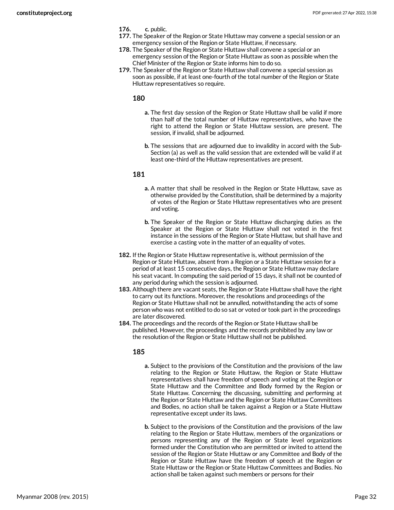**176. c.** public.

- **177.** The Speaker of the Region or State Hluttaw may convene a special session or an emergency session of the Region or State Hluttaw, if necessary.
- **178.** The Speaker of the Region or State Hluttaw shall convene a special or an emergency session of the Region or State Hluttaw as soon as possible when the Chief Minister of the Region or State informs him to do so.
- **179.** The Speaker of the Region or State Hluttaw shall convene a special session as soon as possible, if at least one-fourth of the total number of the Region or State Hluttaw representatives so require.

#### **180**

- **a.** The first day session of the Region or State Hluttaw shall be valid if more than half of the total number of Hluttaw representatives, who have the right to attend the Region or State Hluttaw session, are present. The session, if invalid, shall be adjourned.
- **b.** The sessions that are adjourned due to invalidity in accord with the Sub-Section (a) as well as the valid session that are extended will be valid if at least one-third of the Hluttaw representatives are present.

#### **181**

- **a.** A matter that shall be resolved in the Region or State Hluttaw, save as otherwise provided by the Constitution, shall be determined by a majority of votes of the Region or State Hluttaw representatives who are present and voting.
- **b.** The Speaker of the Region or State Hluttaw discharging duties as the Speaker at the Region or State Hluttaw shall not voted in the first instance in the sessions of the Region or State Hluttaw, but shall have and exercise a casting vote in the matter of an equality of votes.
- **182.** If the Region or State Hluttaw representative is, without permission of the Region or State Hluttaw, absent from a Region or a State Hluttaw session for a period of at least 15 consecutive days, the Region or State Hluttaw may declare his seat vacant. In computing the said period of 15 days, it shall not be counted of any period during which the session is adjourned.
- **183.** Although there are vacant seats, the Region or State Hluttaw shall have the right to carry out its functions. Moreover, the resolutions and proceedings of the Region or State Hluttaw shall not be annulled, notwithstanding the acts of some person who was not entitled to do so sat or voted or took part in the proceedings are later discovered.
- **184.** The proceedings and the records of the Region or State Hluttaw shall be published. However, the proceedings and the records prohibited by any law or the resolution of the Region or State Hluttaw shall not be published.

#### **185**

- **a.** Subject to the provisions of the Constitution and the provisions of the law relating to the Region or State Hluttaw, the Region or State Hluttaw representatives shall have freedom of speech and voting at the Region or State Hluttaw and the Committee and Body formed by the Region or State Hluttaw. Concerning the discussing, submitting and performing at the Region or State Hluttaw and the Region or State Hluttaw Committees and Bodies, no action shall be taken against a Region or a State Hluttaw representative except under its laws.
- **b.** Subject to the provisions of the Constitution and the provisions of the law relating to the Region or State Hluttaw, members of the organizations or persons representing any of the Region or State level organizations formed under the Constitution who are permitted or invited to attend the session of the Region or State Hluttaw or any Committee and Body of the Region or State Hluttaw have the freedom of speech at the Region or State Hluttaw or the Region or State Hluttaw Committees and Bodies. No action shall be taken against such members or persons for their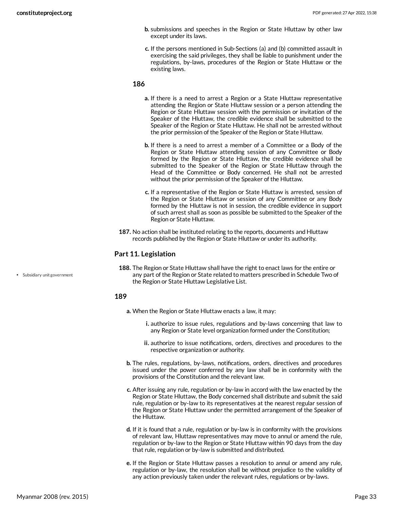- **b.** submissions and speeches in the Region or State Hluttaw by other law except under its laws.
- **c.** If the persons mentioned in Sub-Sections (a) and (b) committed assault in exercising the said privileges, they shall be liable to punishment under the regulations, by-laws, procedures of the Region or State Hluttaw or the existing laws.

#### **186**

- **a.** If there is a need to arrest a Region or a State Hluttaw representative attending the Region or State Hluttaw session or a person attending the Region or State Hluttaw session with the permission or invitation of the Speaker of the Hluttaw, the credible evidence shall be submitted to the Speaker of the Region or State Hluttaw. He shall not be arrested without the prior permission of the Speaker of the Region or State Hluttaw.
- **b.** If there is a need to arrest a member of a Committee or a Body of the Region or State Hluttaw attending session of any Committee or Body formed by the Region or State Hluttaw, the credible evidence shall be submitted to the Speaker of the Region or State Hluttaw through the Head of the Committee or Body concerned. He shall not be arrested without the prior permission of the Speaker of the Hluttaw.
- **c.** If a representative of the Region or State Hluttaw is arrested, session of the Region or State Hluttaw or session of any Committee or any Body formed by the Hluttaw is not in session, the credible evidence in support of such arrest shall as soon as possible be submitted to the Speaker of the Region or State Hluttaw.
- **187.** No action shall be instituted relating to the reports, documents and Hluttaw records published by the Region or State Hluttaw or under its authority.

#### **Part 11. Legislation**

**188.** The Region or State Hluttaw shall have the right to enact laws for the entire or any part of the Region or State related to matters prescribed in Schedule Two of the Region or State Hluttaw Legislative List.

#### **189**

- **a.** When the Region or State Hluttaw enacts a law, it may:
	- **i.** authorize to issue rules, regulations and by-laws concerning that law to any Region or State level organization formed under the Constitution;
	- **ii.** authorize to issue notifications, orders, directives and procedures to the respective organization or authority.
- **b.** The rules, regulations, by-laws, notifications, orders, directives and procedures issued under the power conferred by any law shall be in conformity with the provisions of the Constitution and the relevant law.
- **c.** After issuing any rule, regulation or by-law in accord with the law enacted by the Region or State Hluttaw, the Body concerned shall distribute and submit the said rule, regulation or by-law to its representatives at the nearest regular session of the Region or State Hluttaw under the permitted arrangement of the Speaker of the Hluttaw.
- **d.** If it is found that a rule, regulation or by-law is in conformity with the provisions of relevant law, Hluttaw representatives may move to annul or amend the rule, regulation or by-law to the Region or State Hluttaw within 90 days from the day that rule, regulation or by-law is submitted and distributed.
- **e.** If the Region or State Hluttaw passes a resolution to annul or amend any rule, regulation or by-law, the resolution shall be without prejudice to the validity of any action previously taken under the relevant rules, regulations or by-laws.

Subsidiary unit government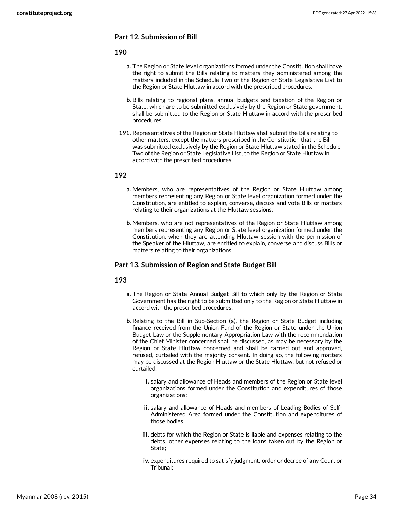## **Part 12. Submission of Bill**

#### **190**

- **a.** The Region or State level organizations formed under the Constitution shall have the right to submit the Bills relating to matters they administered among the matters included in the Schedule Two of the Region or State Legislative List to the Region or State Hluttaw in accord with the prescribed procedures.
- **b.** Bills relating to regional plans, annual budgets and taxation of the Region or State, which are to be submitted exclusively by the Region or State government, shall be submitted to the Region or State Hluttaw in accord with the prescribed procedures.
- **191.** Representatives of the Region or State Hluttaw shall submit the Bills relating to other matters, except the matters prescribed in the Constitution that the Bill was submitted exclusively by the Region or State Hluttaw stated in the Schedule Two of the Region or State Legislative List, to the Region or State Hluttaw in accord with the prescribed procedures.

#### **192**

- **a.** Members, who are representatives of the Region or State Hluttaw among members representing any Region or State level organization formed under the Constitution, are entitled to explain, converse, discuss and vote Bills or matters relating to their organizations at the Hluttaw sessions.
- **b.** Members, who are not representatives of the Region or State Hluttaw among members representing any Region or State level organization formed under the Constitution, when they are attending Hluttaw session with the permission of the Speaker of the Hluttaw, are entitled to explain, converse and discuss Bills or matters relating to their organizations.

## **Part 13. Submission of Region and State Budget Bill**

#### **193**

- **a.** The Region or State Annual Budget Bill to which only by the Region or State Government has the right to be submitted only to the Region or State Hluttaw in accord with the prescribed procedures.
- **b.** Relating to the Bill in Sub-Section (a), the Region or State Budget including finance received from the Union Fund of the Region or State under the Union Budget Law or the Supplementary Appropriation Law with the recommendation of the Chief Minister concerned shall be discussed, as may be necessary by the Region or State Hluttaw concerned and shall be carried out and approved, refused, curtailed with the majority consent. In doing so, the following matters may be discussed at the Region Hluttaw or the State Hluttaw, but not refused or curtailed:
	- **i.** salary and allowance of Heads and members of the Region or State level organizations formed under the Constitution and expenditures of those organizations;
	- **ii.** salary and allowance of Heads and members of Leading Bodies of Self-Administered Area formed under the Constitution and expenditures of those bodies;
	- **iii.** debts for which the Region or State is liable and expenses relating to the debts, other expenses relating to the loans taken out by the Region or State;
	- **iv.** expenditures required to satisfy judgment, order or decree of any Court or Tribunal;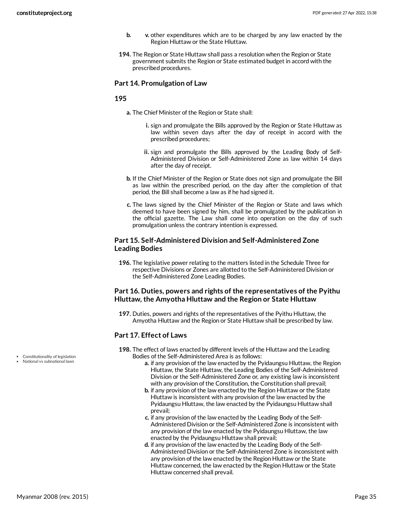- **b. v.** other expenditures which are to be charged by any law enacted by the Region Hluttaw or the State Hluttaw.
- **194.** The Region or State Hluttaw shall pass a resolution when the Region or State government submits the Region or State estimated budget in accord with the prescribed procedures.

## **Part 14. Promulgation of Law**

#### **195**

- **a.** The Chief Minister of the Region or State shall:
	- **i.** sign and promulgate the Bills approved by the Region or State Hluttaw as law within seven days after the day of receipt in accord with the prescribed procedures;
	- **ii.** sign and promulgate the Bills approved by the Leading Body of Self-Administered Division or Self-Administered Zone as law within 14 days after the day of receipt.
- **b.** If the Chief Minister of the Region or State does not sign and promulgate the Bill as law within the prescribed period, on the day after the completion of that period, the Bill shall become a law as if he had signed it.
- **c.** The laws signed by the Chief Minister of the Region or State and laws which deemed to have been signed by him, shall be promulgated by the publication in the official gazette. The Law shall come into operation on the day of such promulgation unless the contrary intention is expressed.

#### **Part 15. Self-Administered Division and Self-Administered Zone Leading Bodies**

**196.** The legislative power relating to the matters listed in the Schedule Three for respective Divisions or Zones are allotted to the Self-Administered Division or the Self-Administered Zone Leading Bodies.

## **Part 16. Duties, powers and rights of the representatives of the Pyithu Hluttaw, the Amyotha Hluttaw and the Region or State Hluttaw**

**197.** Duties, powers and rights of the representatives of the Pyithu Hluttaw, the Amyotha Hluttaw and the Region or State Hluttaw shall be prescribed by law.

## **Part 17. Effect of Laws**

- **198.** The effect of laws enacted by different levels of the Hluttaw and the Leading Bodies of the Self-Administered Area is as follows:
	- **a.** if any provision of the law enacted by the Pyidaungsu Hluttaw, the Region Hluttaw, the State Hluttaw, the Leading Bodies of the Self-Administered Division or the Self-Administered Zone or, any existing law is inconsistent with any provision of the Constitution, the Constitution shall prevail;
	- **b.** if any provision of the law enacted by the Region Hluttaw or the State Hluttaw is inconsistent with any provision of the law enacted by the Pyidaungsu Hluttaw, the law enacted by the Pyidaungsu Hluttaw shall prevail;
	- **c.** if any provision of the law enacted by the Leading Body of the Self-Administered Division or the Self-Administered Zone is inconsistent with any provision of the law enacted by the Pyidaungsu Hluttaw, the law enacted by the Pyidaungsu Hluttaw shall prevail;
	- **d.** if any provision of the law enacted by the Leading Body of the Self-Administered Division or the Self-Administered Zone is inconsistent with any provision of the law enacted by the Region Hluttaw or the State Hluttaw concerned, the law enacted by the Region Hluttaw or the State Hluttaw concerned shall prevail.
- Constitutionality of legislation
- National vs subnational laws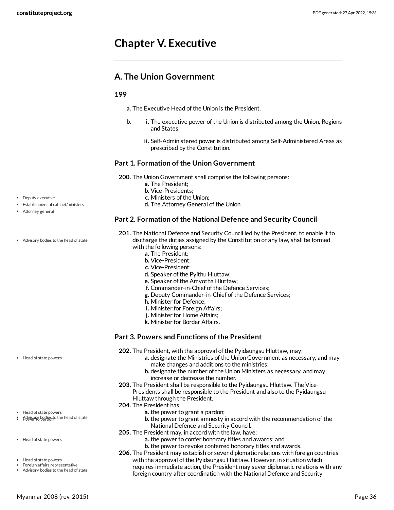# <span id="page-35-0"></span>**Chapter V. Executive**

# <span id="page-35-1"></span>**A. The Union Government**

## **199**

**a.** The Executive Head of the Union is the President.

- **b. i.** The executive power of the Union is distributed among the Union, Regions and States.
	- **ii.** Self-Administered power is distributed among Self-Administered Areas as prescribed by the Constitution.

## **Part 1. Formation of the Union Government**

**200.** The Union Government shall comprise the following persons:

- **a.** The President;
- **b.** Vice-Presidents;
- **c.** Ministers of the Union;
- **d.** The Attorney General of the Union.

## **Part 2. Formation of the National Defence and Security Council**

- **201.** The National Defence and Security Council led by the President, to enable it to discharge the duties assigned by the Constitution or any law, shall be formed with the following persons:
	- **a.** The President;
	- **b.** Vice-President;
	- **c.** Vice-President;
	- **d.** Speaker of the Pyithu Hluttaw;
	- **e.** Speaker of the Amyotha Hluttaw;
	- **f.** Commander-in-Chief of the Defence Services;
	- **g.** Deputy Commander-in-Chief of the Defence Services;
	- **h.** Minister for Defence;
	- **i.** Minister for Foreign Affairs;
	- **j.** Minister for Home Affairs;
	- **k.** Minister for Border Affairs.

#### **Part 3. Powers and Functions of the President**

**202.** The President, with the approval of the Pyidaungsu Hluttaw, may:

- **a.** designate the Ministries of the Union Government as necessary, and may make changes and additions to the ministries;
- **b.** designate the number of the Union Ministers as necessary, and may increase or decrease the number.
- **203.** The President shall be responsible to the Pyidaungsu Hluttaw. The Vice-Presidents shall be responsible to the President and also to the Pyidaungsu Hluttaw through the President.
- **204.** The President has:
	- **a.** the power to grant a pardon;
		- **b.** the power to grant amnesty in accord with the recommendation of the National Defence and Security Council.
- **205.** The President may, in accord with the law, have:
	- **a.** the power to confer honorary titles and awards; and **b.** the power to revoke conferred honorary titles and awards.
- **206.** The President may establish or sever diplomatic relations with foreign countries
	- with the approval of the Pyidaungsu Hluttaw. However, in situation which requires immediate action, the President may sever diplomatic relations with any foreign country after coordination with the National Defence and Security
- Deputy executive
- Establishment of cabinet/ministers
- Attorney general
- Advisory bodies to the head of state

- Head of state powers
- Head of state powers
- **Advisory bodies to the head of state**
- Head of state powers
- Head of state powers
- Foreign affairs representative Advisory bodies to the head of state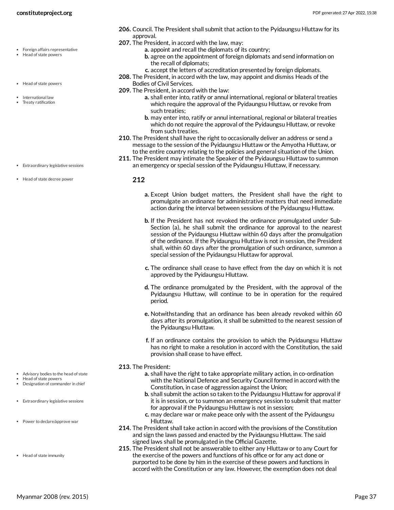- Foreign affairs representative
- Head of state powers
- Head of state powers
- International law
- Treaty ratification

- Extraordinary legislative sessions
- Head of state decree power
- **206.** Council. The President shall submit that action to the Pyidaungsu Hluttaw for its approval.
- **207.** The President, in accord with the law, may:
	- **a.** appoint and recall the diplomats of its country;
		- **b.** agree on the appointment of foreign diplomats and send information on the recall of diplomats;
	- **c.** accept the letters of accreditation presented by foreign diplomats.
- **208.** The President, in accord with the law, may appoint and dismiss Heads of the
- Bodies of Civil Services.
- **209.** The President, in accord with the law:
	- **a.** shall enter into, ratify or annul international, regional or bilateral treaties which require the approval of the Pyidaungsu Hluttaw, or revoke from such treaties;
	- **b.** may enter into, ratify or annul international, regional or bilateral treaties which do not require the approval of the Pyidaungsu Hluttaw, or revoke from such treaties.
- **210.** The President shall have the right to occasionally deliver an address or send a message to the session of the Pyidaungsu Hluttaw or the Amyotha Hluttaw, or to the entire country relating to the policies and general situation of the Union.
- **211.** The President may intimate the Speaker of the Pyidaungsu Hluttaw to summon an emergency or special session of the Pyidaungsu Hluttaw, if necessary.
	- **212**
		- **a.** Except Union budget matters, the President shall have the right to promulgate an ordinance for administrative matters that need immediate action during the interval between sessions of the Pyidaungsu Hluttaw.
		- **b.** If the President has not revoked the ordinance promulgated under Sub-Section (a), he shall submit the ordinance for approval to the nearest session of the Pyidaungsu Hluttaw within 60 days after the promulgation of the ordinance. If the Pyidaungsu Hluttaw is not in session, the President shall, within 60 days after the promulgation of such ordinance, summon a special session of the Pyidaungsu Hluttaw for approval.
		- **c.** The ordinance shall cease to have effect from the day on which it is not approved by the Pyidaungsu Hluttaw.
		- **d.** The ordinance promulgated by the President, with the approval of the Pyidaungsu Hluttaw, will continue to be in operation for the required period.
		- **e.** Notwithstanding that an ordinance has been already revoked within 60 days after its promulgation, it shall be submitted to the nearest session of the Pyidaungsu Hluttaw.
		- **f.** If an ordinance contains the provision to which the Pyidaungsu Hluttaw has no right to make a resolution in accord with the Constitution, the said provision shall cease to have effect.
- **213.** The President:
	- **a.** shall have the right to take appropriate military action, in co-ordination with the National Defence and Security Council formed in accord with the Constitution, in case of aggression against the Union;
	- **b.** shall submit the action so taken to the Pyidaungsu Hluttaw for approval if it is in session, or to summon an emergency session to submit that matter for approval if the Pyidaungsu Hluttaw is not in session;
	- **c.** may declare war or make peace only with the assent of the Pyidaungsu Hluttaw.
- **214.** The President shall take action in accord with the provisions of the Constitution and sign the laws passed and enacted by the Pyidaungsu Hluttaw. The said signed laws shall be promulgated in the Official Gazette.
- **215.** The President shall not be answerable to either any Hluttaw or to any Court for the exercise of the powers and functions of his office or for any act done or purported to be done by him in the exercise of these powers and functions in accord with the Constitution or any law. However, the exemption does not deal
- Advisory bodies to the head of state Head of state powers
- Designation of commander in chief
- Extraordinary legislative sessions
- Power to declare/approve war
- Head of state immunity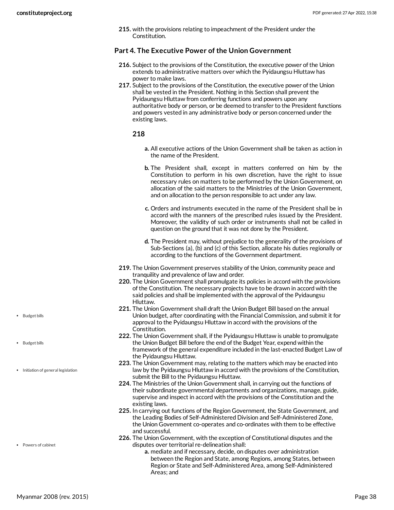**215.** with the provisions relating to impeachment of the President under the Constitution.

# **Part 4. The Executive Power of the Union Government**

- **216.** Subject to the provisions of the Constitution, the executive power of the Union extends to administrative matters over which the Pyidaungsu Hluttaw has power to make laws.
- **217.** Subject to the provisions of the Constitution, the executive power of the Union shall be vested in the President. Nothing in this Section shall prevent the Pyidaungsu Hluttaw from conferring functions and powers upon any authoritative body or person, or be deemed to transfer to the President functions and powers vested in any administrative body or person concerned under the existing laws.

# **218**

- **a.** All executive actions of the Union Government shall be taken as action in the name of the President.
- **b.** The President shall, except in matters conferred on him by the Constitution to perform in his own discretion, have the right to issue necessary rules on matters to be performed by the Union Government, on allocation of the said matters to the Ministries of the Union Government, and on allocation to the person responsible to act under any law.
- **c.** Orders and instruments executed in the name of the President shall be in accord with the manners of the prescribed rules issued by the President. Moreover, the validity of such order or instruments shall not be called in question on the ground that it was not done by the President.
- **d.** The President may, without prejudice to the generality of the provisions of Sub-Sections (a), (b) and (c) of this Section, allocate his duties regionally or according to the functions of the Government department.
- **219.** The Union Government preserves stability of the Union, community peace and tranquility and prevalence of law and order.
- **220.** The Union Government shall promulgate its policies in accord with the provisions of the Constitution. The necessary projects have to be drawn in accord with the said policies and shall be implemented with the approval of the Pyidaungsu Hluttaw.
- **221.** The Union Government shall draft the Union Budget Bill based on the annual Union budget, after coordinating with the Financial Commission, and submit it for approval to the Pyidaungsu Hluttaw in accord with the provisions of the Constitution.
- **222.** The Union Government shall, if the Pyidaungsu Hluttaw is unable to promulgate the Union Budget Bill before the end of the Budget Year, expend within the framework of the general expenditure included in the last-enacted Budget Law of the Pyidaungsu Hluttaw.
- **223.** The Union Government may, relating to the matters which may be enacted into law by the Pyidaungsu Hluttaw in accord with the provisions of the Constitution, submit the Bill to the Pyidaungsu Hluttaw.
- **224.** The Ministries of the Union Government shall, in carrying out the functions of their subordinate governmental departments and organizations, manage, guide, supervise and inspect in accord with the provisions of the Constitution and the existing laws.
- **225.** In carrying out functions of the Region Government, the State Government, and the Leading Bodies of Self-Administered Division and Self-Administered Zone, the Union Government co-operates and co-ordinates with them to be effective and successful.
- **226.** The Union Government, with the exception of Constitutional disputes and the disputes over territorial re-delineation shall:
	- **a.** mediate and if necessary, decide, on disputes over administration between the Region and State, among Regions, among States, between Region or State and Self-Administered Area, among Self-Administered Areas; and
- Budget bills
- Budget bills
- 

• Initiation of general legislation

Powers of cabinet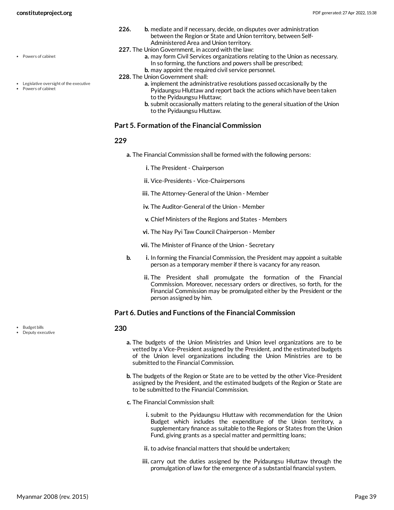- **226. b.** mediate and if necessary, decide, on disputes over administration between the Region or State and Union territory, between Self-Administered Area and Union territory.
- **227.** The Union Government, in accord with the law:
	- **a.** may form Civil Services organizations relating to the Union as necessary.
		- In so forming, the functions and powers shall be prescribed;
		- **b.** may appoint the required civil service personnel.
- **228.** The Union Government shall:
	- **a.** implement the administrative resolutions passed occasionally by the Pyidaungsu Hluttaw and report back the actions which have been taken to the Pyidaungsu Hluttaw;
	- **b.** submit occasionally matters relating to the general situation of the Union to the Pyidaungsu Hluttaw.

# **Part 5. Formation of the Financial Commission**

#### **229**

- **a.** The Financial Commission shall be formed with the following persons:
	- **i.** The President Chairperson
	- **ii.** Vice-Presidents Vice-Chairpersons
	- **iii.** The Attorney-General of the Union Member
	- **iv.** The Auditor-General of the Union Member
	- **v.** Chief Ministers of the Regions and States Members
	- **vi.** The Nay Pyi Taw Council Chairperson Member
	- **vii.** The Minister of Finance of the Union Secretary
- **b. i.** In forming the Financial Commission, the President may appoint a suitable person as a temporary member if there is vacancy for any reason.
	- **ii.** The President shall promulgate the formation of the Financial Commission. Moreover, necessary orders or directives, so forth, for the Financial Commission may be promulgated either by the President or the person assigned by him.

# **Part 6. Duties and Functions of the Financial Commission**

#### **230**

- **a.** The budgets of the Union Ministries and Union level organizations are to be vetted by a Vice-President assigned by the President, and the estimated budgets of the Union level organizations including the Union Ministries are to be submitted to the Financial Commission.
- **b.** The budgets of the Region or State are to be vetted by the other Vice-President assigned by the President, and the estimated budgets of the Region or State are to be submitted to the Financial Commission.
- **c.** The Financial Commission shall:
	- **i.** submit to the Pyidaungsu Hluttaw with recommendation for the Union Budget which includes the expenditure of the Union territory, a supplementary finance as suitable to the Regions or States from the Union Fund, giving grants as a special matter and permitting loans;
	- **ii.** to advise financial matters that should be undertaken;
	- **iii.** carry out the duties assigned by the Pyidaungsu Hluttaw through the promulgation of law for the emergence of a substantial financial system.
- Powers of cabinet
- Legislative oversight of the executive Powers of cabinet

• Budget bills Deputy executive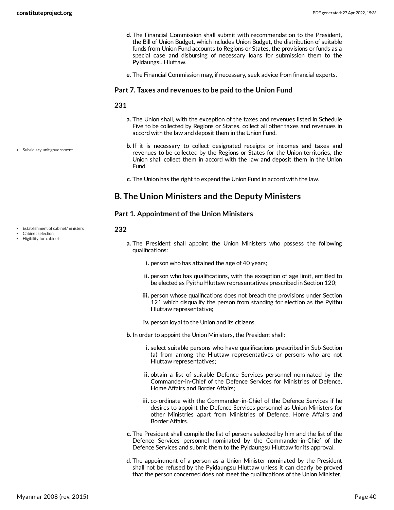- **d.** The Financial Commission shall submit with recommendation to the President, the Bill of Union Budget, which includes Union Budget, the distribution of suitable funds from Union Fund accounts to Regions or States, the provisions or funds as a special case and disbursing of necessary loans for submission them to the Pyidaungsu Hluttaw.
- **e.** The Financial Commission may, if necessary, seek advice from financial experts.

# **Part 7. Taxes and revenues to be paid to the Union Fund**

# **231**

- **a.** The Union shall, with the exception of the taxes and revenues listed in Schedule Five to be collected by Regions or States, collect all other taxes and revenues in accord with the law and deposit them in the Union Fund.
- **b.** If it is necessary to collect designated receipts or incomes and taxes and revenues to be collected by the Regions or States for the Union territories, the Union shall collect them in accord with the law and deposit them in the Union Fund.
- **c.** The Union has the right to expend the Union Fund in accord with the law.

# **B. The Union Ministers and the Deputy Ministers**

# **Part 1. Appointment of the Union Ministers**

- **232**
- Cabinet selection Eligibility for cabinet

Establishment of cabinet/ministers

Subsidiary unit government

- - **a.** The President shall appoint the Union Ministers who possess the following qualifications:
		- **i.** person who has attained the age of 40 years;
		- **ii.** person who has qualifications, with the exception of age limit, entitled to be elected as Pyithu Hluttaw representatives prescribed in Section 120;
		- **iii.** person whose qualifications does not breach the provisions under Section 121 which disqualify the person from standing for election as the Pyithu Hluttaw representative;
		- **iv.** person loyal to the Union and its citizens.

**b.** In order to appoint the Union Ministers, the President shall:

- **i.** select suitable persons who have qualifications prescribed in Sub-Section (a) from among the Hluttaw representatives or persons who are not Hluttaw representatives;
- **ii.** obtain a list of suitable Defence Services personnel nominated by the Commander-in-Chief of the Defence Services for Ministries of Defence, Home Affairs and Border Affairs;
- **iii.** co-ordinate with the Commander-in-Chief of the Defence Services if he desires to appoint the Defence Services personnel as Union Ministers for other Ministries apart from Ministries of Defence, Home Affairs and Border Affairs.
- **c.** The President shall compile the list of persons selected by him and the list of the Defence Services personnel nominated by the Commander-in-Chief of the Defence Services and submit them to the Pyidaungsu Hluttaw for its approval.
- **d.** The appointment of a person as a Union Minister nominated by the President shall not be refused by the Pyidaungsu Hluttaw unless it can clearly be proved that the person concerned does not meet the qualifications of the Union Minister.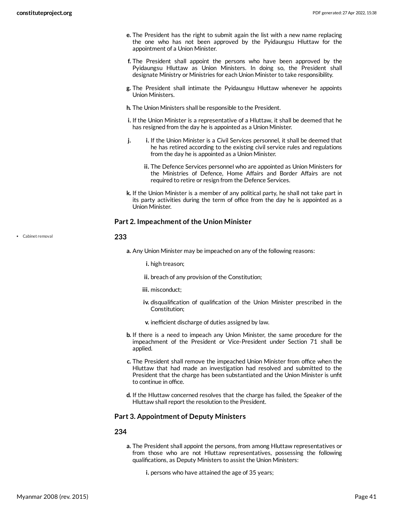- **e.** The President has the right to submit again the list with a new name replacing the one who has not been approved by the Pyidaungsu Hluttaw for the appointment of a Union Minister.
- **f.** The President shall appoint the persons who have been approved by the Pyidaungsu Hluttaw as Union Ministers. In doing so, the President shall designate Ministry or Ministries for each Union Minister to take responsibility.
- **g.** The President shall intimate the Pyidaungsu Hluttaw whenever he appoints Union Ministers.

**h.** The Union Ministers shall be responsible to the President.

- **i.** If the Union Minister is a representative of a Hluttaw, it shall be deemed that he has resigned from the day he is appointed as a Union Minister.
- **j. i.** If the Union Minister is a Civil Services personnel, it shall be deemed that he has retired according to the existing civil service rules and regulations from the day he is appointed as a Union Minister.
	- **ii.** The Defence Services personnel who are appointed as Union Ministers for the Ministries of Defence, Home Affairs and Border Affairs are not required to retire or resign from the Defence Services.
- **k.** If the Union Minister is a member of any political party, he shall not take part in its party activities during the term of office from the day he is appointed as a Union Minister.

#### **Part 2. Impeachment of the Union Minister**

Cabinet removal

#### **233**

**a.** Any Union Minister may be impeached on any of the following reasons:

- **i.** high treason;
- **ii.** breach of any provision of the Constitution;
- **iii.** misconduct;
- **iv.** disqualification of qualification of the Union Minister prescribed in the Constitution;
- **v.** inefficient discharge of duties assigned by law.
- **b.** If there is a need to impeach any Union Minister, the same procedure for the impeachment of the President or Vice-President under Section 71 shall be applied.
- **c.** The President shall remove the impeached Union Minister from office when the Hluttaw that had made an investigation had resolved and submitted to the President that the charge has been substantiated and the Union Minister is unfit to continue in office.
- **d.** If the Hluttaw concerned resolves that the charge has failed, the Speaker of the Hluttaw shall report the resolution to the President.

# **Part 3. Appointment of Deputy Ministers**

# **234**

**a.** The President shall appoint the persons, from among Hluttaw representatives or from those who are not Hluttaw representatives, possessing the following qualifications, as Deputy Ministers to assist the Union Ministers:

**i.** persons who have attained the age of 35 years;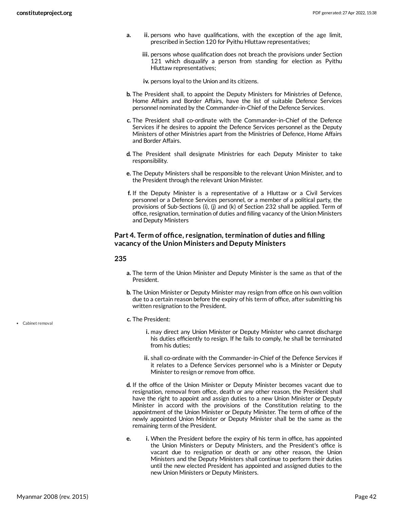- **a. ii.** persons who have qualifications, with the exception of the age limit, prescribed in Section 120 for Pyithu Hluttaw representatives;
	- **iii.** persons whose qualification does not breach the provisions under Section 121 which disqualify a person from standing for election as Pyithu Hluttaw representatives;

**iv.** persons loyal to the Union and its citizens.

- **b.** The President shall, to appoint the Deputy Ministers for Ministries of Defence, Home Affairs and Border Affairs, have the list of suitable Defence Services personnel nominated by the Commander-in-Chief of the Defence Services.
- **c.** The President shall co-ordinate with the Commander-in-Chief of the Defence Services if he desires to appoint the Defence Services personnel as the Deputy Ministers of other Ministries apart from the Ministries of Defence, Home Affairs and Border Affairs.
- **d.** The President shall designate Ministries for each Deputy Minister to take responsibility.
- **e.** The Deputy Ministers shall be responsible to the relevant Union Minister, and to the President through the relevant Union Minister.
- **f.** If the Deputy Minister is a representative of a Hluttaw or a Civil Services personnel or a Defence Services personnel, or a member of a political party, the provisions of Sub-Sections (i), (j) and (k) of Section 232 shall be applied. Term of office, resignation, termination of duties and filling vacancy of the Union Ministers and Deputy Ministers

# **Part 4. Term of office, resignation, termination of duties and filling vacancy of the Union Ministers and Deputy Ministers**

#### **235**

- **a.** The term of the Union Minister and Deputy Minister is the same as that of the President.
- **b.** The Union Minister or Deputy Minister may resign from office on his own volition due to a certain reason before the expiry of his term of office, after submitting his written resignation to the President.

#### **c.** The President:

- **i.** may direct any Union Minister or Deputy Minister who cannot discharge his duties efficiently to resign. If he fails to comply, he shall be terminated from his duties;
- **ii.** shall co-ordinate with the Commander-in-Chief of the Defence Services if it relates to a Defence Services personnel who is a Minister or Deputy Minister to resign or remove from office.
- **d.** If the office of the Union Minister or Deputy Minister becomes vacant due to resignation, removal from office, death or any other reason, the President shall have the right to appoint and assign duties to a new Union Minister or Deputy Minister in accord with the provisions of the Constitution relating to the appointment of the Union Minister or Deputy Minister. The term of office of the newly appointed Union Minister or Deputy Minister shall be the same as the remaining term of the President.
- **e. i.** When the President before the expiry of his term in office, has appointed the Union Ministers or Deputy Ministers, and the President's office is vacant due to resignation or death or any other reason, the Union Ministers and the Deputy Ministers shall continue to perform their duties until the new elected President has appointed and assigned duties to the new Union Ministers or Deputy Ministers.

Cabinet removal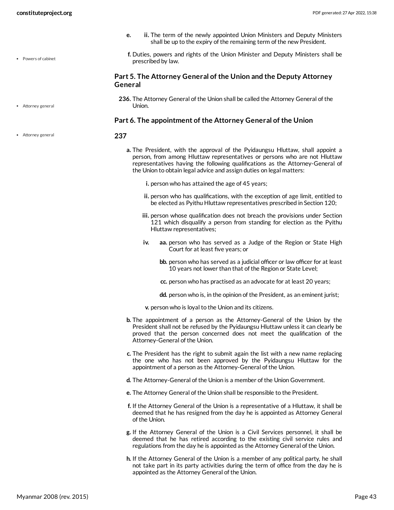Attorney general

Attorney general

- **e. ii.** The term of the newly appointed Union Ministers and Deputy Ministers shall be up to the expiry of the remaining term of the new President.
- **f.** Duties, powers and rights of the Union Minister and Deputy Ministers shall be prescribed by law.

#### **Part 5. The Attorney General of the Union and the Deputy Attorney General**

**236.** The Attorney General of the Union shall be called the Attorney General of the Union.

#### **Part 6. The appointment of the Attorney General of the Union**

- **a.** The President, with the approval of the Pyidaungsu Hluttaw, shall appoint a person, from among Hluttaw representatives or persons who are not Hluttaw representatives having the following qualifications as the Attorney-General of the Union to obtain legal advice and assign duties on legal matters:
	- **i.** person who has attained the age of 45 years;
	- **ii.** person who has qualifications, with the exception of age limit, entitled to be elected as Pyithu Hluttaw representatives prescribed in Section 120;
	- **iii.** person whose qualification does not breach the provisions under Section 121 which disqualify a person from standing for election as the Pyithu Hluttaw representatives;
	- **iv. aa.** person who has served as a Judge of the Region or State High Court for at least five years; or
		- **bb.** person who has served as a judicial officer or law officer for at least 10 years not lower than that of the Region or State Level;
		- **cc.** person who has practised as an advocate for at least 20 years;
		- **dd.** person who is, in the opinion of the President, as an eminent jurist;
	- **v.** person who is loyal to the Union and its citizens.
- **b.** The appointment of a person as the Attorney-General of the Union by the President shall not be refused by the Pyidaungsu Hluttaw unless it can clearly be proved that the person concerned does not meet the qualification of the Attorney-General of the Union.
- **c.** The President has the right to submit again the list with a new name replacing the one who has not been approved by the Pyidaungsu Hluttaw for the appointment of a person as the Attorney-General of the Union.
- **d.** The Attorney-General of the Union is a member of the Union Government.
- **e.** The Attorney General of the Union shall be responsible to the President.
- **f.** If the Attorney General of the Union is a representative of a Hluttaw, it shall be deemed that he has resigned from the day he is appointed as Attorney General of the Union.
- **g.** If the Attorney General of the Union is a Civil Services personnel, it shall be deemed that he has retired according to the existing civil service rules and regulations from the day he is appointed as the Attorney General of the Union.
- **h.** If the Attorney General of the Union is a member of any political party, he shall not take part in its party activities during the term of office from the day he is appointed as the Attorney General of the Union.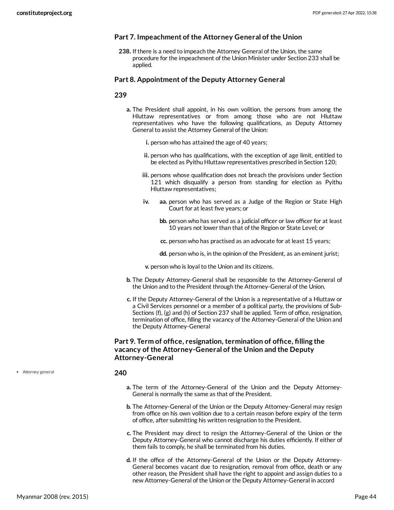# **Part 7. Impeachment of the Attorney General of the Union**

**238.** If there is a need to impeach the Attorney General of the Union, the same procedure for the impeachment of the Union Minister under Section 233 shall be applied.

#### **Part 8. Appointment of the Deputy Attorney General**

#### **239**

- **a.** The President shall appoint, in his own volition, the persons from among the Hluttaw representatives or from among those who are not Hluttaw representatives who have the following qualifications, as Deputy Attorney General to assist the Attorney General of the Union:
	- **i.** person who has attained the age of 40 years;
	- **ii.** person who has qualifications, with the exception of age limit, entitled to be elected as Pyithu Hluttaw representatives prescribed in Section 120;
	- **iii.** persons whose qualification does not breach the provisions under Section 121 which disqualify a person from standing for election as Pyithu Hluttaw representatives;
	- **iv. aa.** person who has served as a Judge of the Region or State High Court for at least five years; or
		- **bb.** person who has served as a judicial officer or law officer for at least 10 years not lower than that of the Region or State Level; or
		- **cc.** person who has practised as an advocate for at least 15 years;
		- **dd.** person who is, in the opinion of the President, as an eminent jurist;
	- **v.** person who is loyal to the Union and its citizens.
- **b.** The Deputy Attorney-General shall be responsible to the Attorney-General of the Union and to the President through the Attorney-General of the Union.
- **c.** If the Deputy Attorney-General of the Union is a representative of a Hluttaw or a Civil Services personnel or a member of a political party, the provisions of Sub-Sections (f), (g) and (h) of Section 237 shall be applied. Term of office, resignation, termination of office, filling the vacancy of the Attorney-General of the Union and the Deputy Attorney-General

# **Part 9. Term of office, resignation, termination of office, filling the vacancy of the Attorney-General of the Union and the Deputy Attorney-General**

- **a.** The term of the Attorney-General of the Union and the Deputy Attorney-General is normally the same as that of the President.
- **b.** The Attorney-General of the Union or the Deputy Attorney-General may resign from office on his own volition due to a certain reason before expiry of the term of office, after submitting his written resignation to the President.
- **c.** The President may direct to resign the Attorney-General of the Union or the Deputy Attorney-General who cannot discharge his duties efficiently. If either of them fails to comply, he shall be terminated from his duties.
- **d.** If the office of the Attorney-General of the Union or the Deputy Attorney-General becomes vacant due to resignation, removal from office, death or any other reason, the President shall have the right to appoint and assign duties to a new Attorney-General of the Union or the Deputy Attorney-General in accord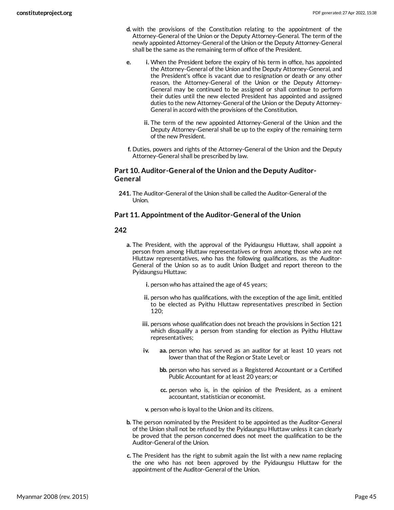- **d.** with the provisions of the Constitution relating to the appointment of the Attorney-General of the Union or the Deputy Attorney-General. The term of the newly appointed Attorney-General of the Union or the Deputy Attorney-General shall be the same as the remaining term of office of the President.
- **e. i.** When the President before the expiry of his term in office, has appointed the Attorney-General of the Union and the Deputy Attorney-General, and the President's office is vacant due to resignation or death or any other reason, the Attorney-General of the Union or the Deputy Attorney-General may be continued to be assigned or shall continue to perform their duties until the new elected President has appointed and assigned duties to the new Attorney-General of the Union or the Deputy Attorney-General in accord with the provisions of the Constitution.
	- **ii.** The term of the new appointed Attorney-General of the Union and the Deputy Attorney-General shall be up to the expiry of the remaining term of the new President.
- **f.** Duties, powers and rights of the Attorney-General of the Union and the Deputy Attorney-General shall be prescribed by law.

# **Part 10. Auditor-General of the Union and the Deputy Auditor-General**

**241.** The Auditor-General of the Union shall be called the Auditor-General of the Union.

# **Part 11. Appointment of the Auditor-General of the Union**

- **a.** The President, with the approval of the Pyidaungsu Hluttaw, shall appoint a person from among Hluttaw representatives or from among those who are not Hluttaw representatives, who has the following qualifications, as the Auditor-General of the Union so as to audit Union Budget and report thereon to the Pyidaungsu Hluttaw:
	- **i.** person who has attained the age of 45 years;
	- **ii.** person who has qualifications, with the exception of the age limit, entitled to be elected as Pyithu Hluttaw representatives prescribed in Section 120;
	- **iii.** persons whose qualification does not breach the provisions in Section 121 which disqualify a person from standing for election as Pyithu Hluttaw representatives;
	- **iv. aa.** person who has served as an auditor for at least 10 years not lower than that of the Region or State Level; or
		- **bb.** person who has served as a Registered Accountant or a Certified Public Accountant for at least 20 years; or
		- **cc.** person who is, in the opinion of the President, as a eminent accountant, statistician or economist.
	- **v.** person who is loyal to the Union and its citizens.
- **b.** The person nominated by the President to be appointed as the Auditor-General of the Union shall not be refused by the Pyidaungsu Hluttaw unless it can clearly be proved that the person concerned does not meet the qualification to be the Auditor-General of the Union.
- **c.** The President has the right to submit again the list with a new name replacing the one who has not been approved by the Pyidaungsu Hluttaw for the appointment of the Auditor-General of the Union.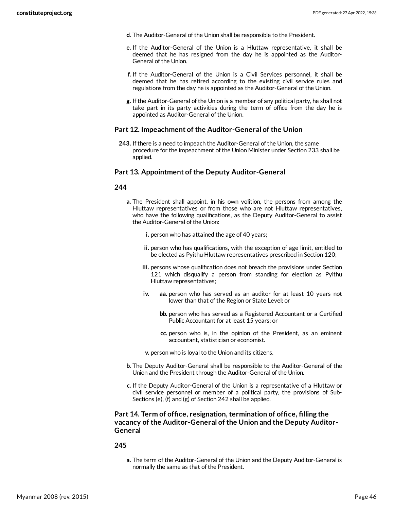- **d.** The Auditor-General of the Union shall be responsible to the President.
- **e.** If the Auditor-General of the Union is a Hluttaw representative, it shall be deemed that he has resigned from the day he is appointed as the Auditor-General of the Union.
- **f.** If the Auditor-General of the Union is a Civil Services personnel, it shall be deemed that he has retired according to the existing civil service rules and regulations from the day he is appointed as the Auditor-General of the Union.
- **g.** If the Auditor-General of the Union is a member of any political party, he shall not take part in its party activities during the term of office from the day he is appointed as Auditor-General of the Union.

#### **Part 12. Impeachment of the Auditor-General of the Union**

**243.** If there is a need to impeach the Auditor-General of the Union, the same procedure for the impeachment of the Union Minister under Section 233 shall be applied.

# **Part 13. Appointment of the Deputy Auditor-General**

#### **244**

- **a.** The President shall appoint, in his own volition, the persons from among the Hluttaw representatives or from those who are not Hluttaw representatives, who have the following qualifications, as the Deputy Auditor-General to assist the Auditor-General of the Union:
	- **i.** person who has attained the age of 40 years;
	- **ii.** person who has qualifications, with the exception of age limit, entitled to be elected as Pyithu Hluttaw representatives prescribed in Section 120;
	- **iii.** persons whose qualification does not breach the provisions under Section 121 which disqualify a person from standing for election as Pyithu Hluttaw representatives;
	- **iv. aa.** person who has served as an auditor for at least 10 years not lower than that of the Region or State Level; or
		- **bb.** person who has served as a Registered Accountant or a Certified Public Accountant for at least 15 years; or
		- **cc.** person who is, in the opinion of the President, as an eminent accountant, statistician or economist.
	- **v.** person who is loyal to the Union and its citizens.
- **b.** The Deputy Auditor-General shall be responsible to the Auditor-General of the Union and the President through the Auditor-General of the Union.
- **c.** If the Deputy Auditor-General of the Union is a representative of a Hluttaw or civil service personnel or member of a political party, the provisions of Sub-Sections (e), (f) and (g) of Section 242 shall be applied.

# **Part 14. Term of office, resignation, termination of office, filling the vacancy of the Auditor-General of the Union and the Deputy Auditor-General**

#### **245**

**a.** The term of the Auditor-General of the Union and the Deputy Auditor-General is normally the same as that of the President.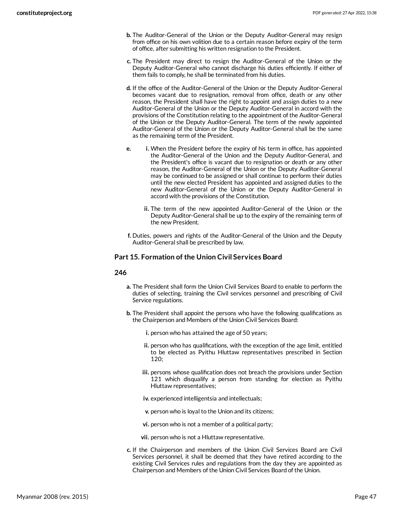- **b.** The Auditor-General of the Union or the Deputy Auditor-General may resign from office on his own volition due to a certain reason before expiry of the term of office, after submitting his written resignation to the President.
- **c.** The President may direct to resign the Auditor-General of the Union or the Deputy Auditor-General who cannot discharge his duties efficiently. If either of them fails to comply, he shall be terminated from his duties.
- **d.** If the office of the Auditor-General of the Union or the Deputy Auditor-General becomes vacant due to resignation, removal from office, death or any other reason, the President shall have the right to appoint and assign duties to a new Auditor-General of the Union or the Deputy Auditor-General in accord with the provisions of the Constitution relating to the appointment of the Auditor-General of the Union or the Deputy Auditor-General. The term of the newly appointed Auditor-General of the Union or the Deputy Auditor-General shall be the same as the remaining term of the President.
- **e. i.** When the President before the expiry of his term in office, has appointed the Auditor-General of the Union and the Deputy Auditor-General, and the President's office is vacant due to resignation or death or any other reason, the Auditor-General of the Union or the Deputy Auditor-General may be continued to be assigned or shall continue to perform their duties until the new elected President has appointed and assigned duties to the new Auditor-General of the Union or the Deputy Auditor-General in accord with the provisions of the Constitution.
	- **ii.** The term of the new appointed Auditor-General of the Union or the Deputy Auditor-General shall be up to the expiry of the remaining term of the new President.
- **f.** Duties, powers and rights of the Auditor-General of the Union and the Deputy Auditor-General shall be prescribed by law.

# **Part 15. Formation of the Union Civil Services Board**

- **a.** The President shall form the Union Civil Services Board to enable to perform the duties of selecting, training the Civil services personnel and prescribing of Civil Service regulations.
- **b.** The President shall appoint the persons who have the following qualifications as the Chairperson and Members of the Union Civil Services Board:
	- **i.** person who has attained the age of 50 years;
	- **ii.** person who has qualifications, with the exception of the age limit, entitled to be elected as Pyithu Hluttaw representatives prescribed in Section 120;
	- **iii.** persons whose qualification does not breach the provisions under Section 121 which disqualify a person from standing for election as Pyithu Hluttaw representatives;
	- **iv.** experienced intelligentsia and intellectuals;
	- **v.** person who is loyal to the Union and its citizens;
	- **vi.** person who is not a member of a political party;
	- **vii.** person who is not a Hluttaw representative.
- **c.** If the Chairperson and members of the Union Civil Services Board are Civil Services personnel, it shall be deemed that they have retired according to the existing Civil Services rules and regulations from the day they are appointed as Chairperson and Members of the Union Civil Services Board of the Union.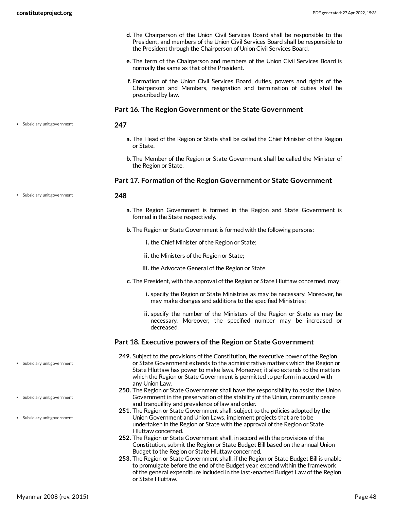- **d.** The Chairperson of the Union Civil Services Board shall be responsible to the President, and members of the Union Civil Services Board shall be responsible to the President through the Chairperson of Union Civil Services Board.
- **e.** The term of the Chairperson and members of the Union Civil Services Board is normally the same as that of the President.
- **f.** Formation of the Union Civil Services Board, duties, powers and rights of the Chairperson and Members, resignation and termination of duties shall be prescribed by law.

#### **Part 16. The Region Government or the State Government**

#### Subsidiary unit government

- **a.** The Head of the Region or State shall be called the Chief Minister of the Region or State.
- **b.** The Member of the Region or State Government shall be called the Minister of the Region or State.

#### **Part 17. Formation of the Region Government or State Government**

#### **248**

**247**

- **a.** The Region Government is formed in the Region and State Government is formed in the State respectively.
- **b.** The Region or State Government is formed with the following persons:
	- **i.** the Chief Minister of the Region or State;
	- **ii.** the Ministers of the Region or State;
	- **iii.** the Advocate General of the Region or State.
- **c.** The President, with the approval of the Region or State Hluttaw concerned, may:
	- **i.** specify the Region or State Ministries as may be necessary. Moreover, he may make changes and additions to the specified Ministries;
	- **ii.** specify the number of the Ministers of the Region or State as may be necessary. Moreover, the specified number may be increased or decreased.

#### **Part 18. Executive powers of the Region or State Government**

- **249.** Subject to the provisions of the Constitution, the executive power of the Region or State Government extends to the administrative matters which the Region or State Hluttaw has power to make laws. Moreover, it also extends to the matters which the Region or State Government is permitted to perform in accord with any Union Law.
- **250.** The Region or State Government shall have the responsibility to assist the Union Government in the preservation of the stability of the Union, community peace and tranquillity and prevalence of law and order.
- **251.** The Region or State Government shall, subject to the policies adopted by the Union Government and Union Laws, implement projects that are to be undertaken in the Region or State with the approval of the Region or State Hluttaw concerned.
- **252.** The Region or State Government shall, in accord with the provisions of the Constitution, submit the Region or State Budget Bill based on the annual Union Budget to the Region or State Hluttaw concerned.
- **253.** The Region or State Government shall, if the Region or State Budget Bill is unable to promulgate before the end of the Budget year, expend within the framework of the general expenditure included in the last-enacted Budget Law of the Region or State Hluttaw.

Subsidiary unit government

Subsidiary unit government

- Subsidiary unit government
- Subsidiary unit government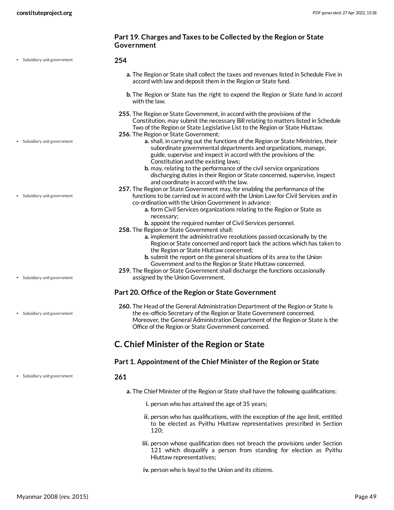# **Part 19. Charges and Taxes to be Collected by the Region or State Government**

| • Subsidiary unit government | 254                                                                                                                                                                                                                                                                                                                                                                                                                                              |
|------------------------------|--------------------------------------------------------------------------------------------------------------------------------------------------------------------------------------------------------------------------------------------------------------------------------------------------------------------------------------------------------------------------------------------------------------------------------------------------|
|                              | a. The Region or State shall collect the taxes and revenues listed in Schedule Five in<br>accord with law and deposit them in the Region or State fund.                                                                                                                                                                                                                                                                                          |
|                              | <b>b.</b> The Region or State has the right to expend the Region or State fund in accord<br>with the law.                                                                                                                                                                                                                                                                                                                                        |
| Subsidiary unit government   | 255. The Region or State Government, in accord with the provisions of the<br>Constitution, may submit the necessary Bill relating to matters listed in Schedule<br>Two of the Region or State Legislative List to the Region or State Hluttaw.<br>256. The Region or State Government:<br>a. shall, in carrying out the functions of the Region or State Ministries, their                                                                       |
|                              | subordinate governmental departments and organizations, manage,<br>guide, supervise and inspect in accord with the provisions of the<br>Constitution and the existing laws;<br>b. may, relating to the performance of the civil service organizations<br>discharging duties in their Region or State concerned, supervise, inspect<br>and coordinate in accord with the law.                                                                     |
| Subsidiary unit government   | 257. The Region or State Government may, for enabling the performance of the<br>functions to be carried out in accord with the Union Law for Civil Services and in<br>co-ordination with the Union Government in advance:<br>a. form Civil Services organizations relating to the Region or State as<br>necessary;                                                                                                                               |
|                              | b. appoint the required number of Civil Services personnel.<br>258. The Region or State Government shall:<br>a. implement the administrative resolutions passed occasionally by the<br>Region or State concerned and report back the actions which has taken to<br>the Region or State Hluttaw concerned;<br>b. submit the report on the general situations of its area to the Union<br>Government and to the Region or State Hluttaw concerned. |
| • Subsidiary unit government | 259. The Region or State Government shall discharge the functions occasionally<br>assigned by the Union Government.                                                                                                                                                                                                                                                                                                                              |
|                              | Part 20. Office of the Region or State Government                                                                                                                                                                                                                                                                                                                                                                                                |
| • Subsidiary unit government | 260. The Head of the General Administration Department of the Region or State is<br>the ex-officio Secretary of the Region or State Government concerned.<br>Moreover, the General Administration Department of the Region or State is the<br>Office of the Region or State Government concerned.                                                                                                                                                |
|                              | C. Chief Minister of the Region or State                                                                                                                                                                                                                                                                                                                                                                                                         |
|                              | Part 1. Appointment of the Chief Minister of the Region or State                                                                                                                                                                                                                                                                                                                                                                                 |
| Subsidiary unit government   | 261                                                                                                                                                                                                                                                                                                                                                                                                                                              |
|                              | a. The Chief Minister of the Region or State shall have the following qualifications:                                                                                                                                                                                                                                                                                                                                                            |
|                              | i. person who has attained the age of 35 years;                                                                                                                                                                                                                                                                                                                                                                                                  |
|                              | ii. person who has qualifications, with the exception of the age limit, entitled<br>to be elected as Pyithu Hluttaw representatives prescribed in Section<br>120;                                                                                                                                                                                                                                                                                |
|                              | iii. person whose qualification does not breach the provisions under Section<br>121 which disqualify a person from standing for election as Pyithu<br>Hluttaw representatives;                                                                                                                                                                                                                                                                   |
|                              | iv. person who is loyal to the Union and its citizens.                                                                                                                                                                                                                                                                                                                                                                                           |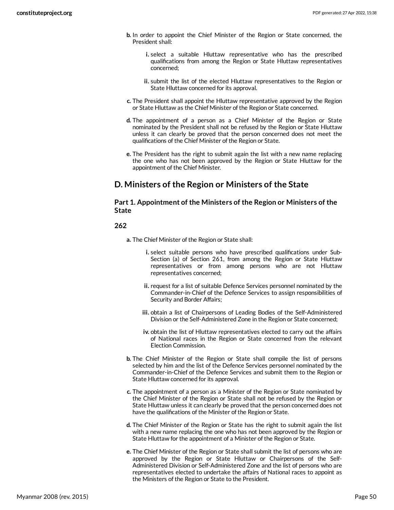- **b.** In order to appoint the Chief Minister of the Region or State concerned, the President shall:
	- **i.** select a suitable Hluttaw representative who has the prescribed qualifications from among the Region or State Hluttaw representatives concerned;
	- **ii.** submit the list of the elected Hluttaw representatives to the Region or State Hluttaw concerned for its approval.
- **c.** The President shall appoint the Hluttaw representative approved by the Region or State Hluttaw as the Chief Minister of the Region or State concerned.
- **d.** The appointment of a person as a Chief Minister of the Region or State nominated by the President shall not be refused by the Region or State Hluttaw unless it can clearly be proved that the person concerned does not meet the qualifications of the Chief Minister of the Region or State.
- **e.** The President has the right to submit again the list with a new name replacing the one who has not been approved by the Region or State Hluttaw for the appointment of the Chief Minister.

# **D. Ministers of the Region or Ministers of the State**

# **Part 1. Appointment of the Ministers of the Region or Ministers of the State**

- **a.** The Chief Minister of the Region or State shall:
	- **i.** select suitable persons who have prescribed qualifications under Sub-Section (a) of Section 261, from among the Region or State Hluttaw representatives or from among persons who are not Hluttaw representatives concerned;
	- **ii.** request for a list of suitable Defence Services personnel nominated by the Commander-in-Chief of the Defence Services to assign responsibilities of Security and Border Affairs;
	- **iii.** obtain a list of Chairpersons of Leading Bodies of the Self-Administered Division or the Self-Administered Zone in the Region or State concerned;
	- **iv.** obtain the list of Hluttaw representatives elected to carry out the affairs of National races in the Region or State concerned from the relevant Election Commission.
- **b.** The Chief Minister of the Region or State shall compile the list of persons selected by him and the list of the Defence Services personnel nominated by the Commander-in-Chief of the Defence Services and submit them to the Region or State Hluttaw concerned for its approval.
- **c.** The appointment of a person as a Minister of the Region or State nominated by the Chief Minister of the Region or State shall not be refused by the Region or State Hluttaw unless it can clearly be proved that the person concerned does not have the qualifications of the Minister of the Region or State.
- **d.** The Chief Minister of the Region or State has the right to submit again the list with a new name replacing the one who has not been approved by the Region or State Hluttaw for the appointment of a Minister of the Region or State.
- **e.** The Chief Minister of the Region or State shall submit the list of persons who are approved by the Region or State Hluttaw or Chairpersons of the Self-Administered Division or Self-Administered Zone and the list of persons who are representatives elected to undertake the affairs of National races to appoint as the Ministers of the Region or State to the President.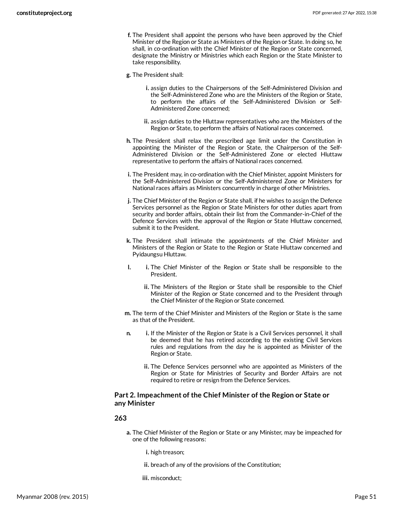- **f.** The President shall appoint the persons who have been approved by the Chief Minister of the Region or State as Ministers of the Region or State. In doing so, he shall, in co-ordination with the Chief Minister of the Region or State concerned, designate the Ministry or Ministries which each Region or the State Minister to take responsibility.
- **g.** The President shall:
	- **i.** assign duties to the Chairpersons of the Self-Administered Division and the Self-Administered Zone who are the Ministers of the Region or State, to perform the affairs of the Self-Administered Division or Self-Administered Zone concerned;
	- **ii.** assign duties to the Hluttaw representatives who are the Ministers of the Region or State, to perform the affairs of National races concerned.
- **h.** The President shall relax the prescribed age limit under the Constitution in appointing the Minister of the Region or State, the Chairperson of the Self-Administered Division or the Self-Administered Zone or elected Hluttaw representative to perform the affairs of National races concerned.
- **i.** The President may, in co-ordination with the Chief Minister, appoint Ministers for the Self-Administered Division or the Self-Administered Zone or Ministers for National races affairs as Ministers concurrently in charge of other Ministries.
- **j.** The Chief Minister of the Region or State shall, if he wishes to assign the Defence Services personnel as the Region or State Ministers for other duties apart from security and border affairs, obtain their list from the Commander-in-Chief of the Defence Services with the approval of the Region or State Hluttaw concerned, submit it to the President.
- **k.** The President shall intimate the appointments of the Chief Minister and Ministers of the Region or State to the Region or State Hluttaw concerned and Pyidaungsu Hluttaw.
- **l. i.** The Chief Minister of the Region or State shall be responsible to the President.
	- **ii.** The Ministers of the Region or State shall be responsible to the Chief Minister of the Region or State concerned and to the President through the Chief Minister of the Region or State concerned.
- **m.** The term of the Chief Minister and Ministers of the Region or State is the same as that of the President.
- **n. i.** If the Minister of the Region or State is a Civil Services personnel, it shall be deemed that he has retired according to the existing Civil Services rules and regulations from the day he is appointed as Minister of the Region or State.
	- **ii.** The Defence Services personnel who are appointed as Ministers of the Region or State for Ministries of Security and Border Affairs are not required to retire or resign from the Defence Services.

# **Part 2. Impeachment of the Chief Minister of the Region or State or any Minister**

- **a.** The Chief Minister of the Region or State or any Minister, may be impeached for one of the following reasons:
	- **i.** high treason;
	- **ii.** breach of any of the provisions of the Constitution;
	- **iii.** misconduct;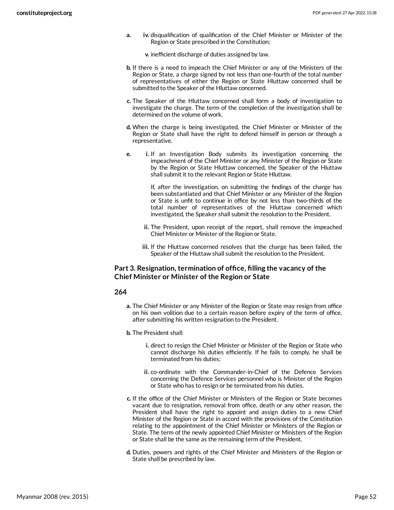**a. iv.** disqualification of qualification of the Chief Minister or Minister of the Region or State prescribed in the Constitution;

**v.** inefficient discharge of duties assigned by law.

- **b.** If there is a need to impeach the Chief Minister or any of the Ministers of the Region or State, a charge signed by not less than one-fourth of the total number of representatives of either the Region or State Hluttaw concerned shall be submitted to the Speaker of the Hluttaw concerned.
- **c.** The Speaker of the Hluttaw concerned shall form a body of investigation to investigate the charge. The term of the completion of the investigation shall be determined on the volume of work.
- **d.** When the charge is being investigated, the Chief Minister or Minister of the Region or State shall have the right to defend himself in person or through a representative.
- **e. i.** If an Investigation Body submits its investigation concerning the impeachment of the Chief Minister or any Minister of the Region or State by the Region or State Hluttaw concerned, the Speaker of the Hluttaw shall submit it to the relevant Region or State Hluttaw.

If, after the investigation, on submitting the findings of the charge has been substantiated and that Chief Minister or any Minister of the Region or State is unfit to continue in office by not less than two-thirds of the total number of representatives of the Hluttaw concerned which investigated, the Speaker shall submit the resolution to the President.

- **ii.** The President, upon receipt of the report, shall remove the impeached Chief Minister or Minister of the Region or State.
- **iii.** If the Hluttaw concerned resolves that the charge has been failed, the Speaker of the Hluttaw shall submit the resolution to the President.

# **Part 3. Resignation, termination of office, filling the vacancy of the Chief Minister or Minister of the Region or State**

- **a.** The Chief Minister or any Minister of the Region or State may resign from office on his own volition due to a certain reason before expiry of the term of office, after submitting his written resignation to the President.
- **b.** The President shall:
	- **i.** direct to resign the Chief Minister or Minister of the Region or State who cannot discharge his duties efficiently. If he fails to comply, he shall be terminated from his duties;
	- **ii.** co-ordinate with the Commander-in-Chief of the Defence Services concerning the Defence Services personnel who is Minister of the Region or State who has to resign or be terminated from his duties.
- **c.** If the office of the Chief Minister or Ministers of the Region or State becomes vacant due to resignation, removal from office, death or any other reason, the President shall have the right to appoint and assign duties to a new Chief Minister of the Region or State in accord with the provisions of the Constitution relating to the appointment of the Chief Minister or Ministers of the Region or State. The term of the newly appointed Chief Minister or Ministers of the Region or State shall be the same as the remaining term of the President.
- **d.** Duties, powers and rights of the Chief Minister and Ministers of the Region or State shall be prescribed by law.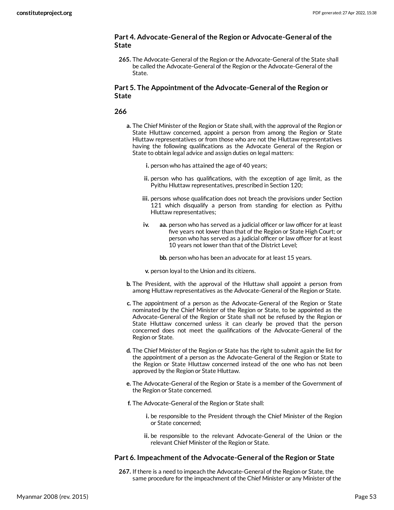### **Part 4. Advocate-General of the Region or Advocate-General of the State**

**265.** The Advocate-General of the Region or the Advocate-General of the State shall be called the Advocate-General of the Region or the Advocate-General of the State.

# **Part 5. The Appointment of the Advocate-General of the Region or State**

#### **266**

- **a.** The Chief Minister of the Region or State shall, with the approval of the Region or State Hluttaw concerned, appoint a person from among the Region or State Hluttaw representatives or from those who are not the Hluttaw representatives having the following qualifications as the Advocate General of the Region or State to obtain legal advice and assign duties on legal matters:
	- **i.** person who has attained the age of 40 years;
	- **ii.** person who has qualifications, with the exception of age limit, as the Pyithu Hluttaw representatives, prescribed in Section 120;
	- **iii.** persons whose qualification does not breach the provisions under Section 121 which disqualify a person from standing for election as Pyithu Hluttaw representatives;
	- **iv. aa.** person who has served as a judicial officer or law officer for at least five years not lower than that of the Region or State High Court; or person who has served as a judicial officer or law officer for at least 10 years not lower than that of the District Level;

**bb.** person who has been an advocate for at least 15 years.

- **v.** person loyal to the Union and its citizens.
- **b.** The President, with the approval of the Hluttaw shall appoint a person from among Hluttaw representatives as the Advocate-General of the Region or State.
- **c.** The appointment of a person as the Advocate-General of the Region or State nominated by the Chief Minister of the Region or State, to be appointed as the Advocate-General of the Region or State shall not be refused by the Region or State Hluttaw concerned unless it can clearly be proved that the person concerned does not meet the qualifications of the Advocate-General of the Region or State.
- **d.** The Chief Minister of the Region or State has the right to submit again the list for the appointment of a person as the Advocate-General of the Region or State to the Region or State Hluttaw concerned instead of the one who has not been approved by the Region or State Hluttaw.
- **e.** The Advocate-General of the Region or State is a member of the Government of the Region or State concerned.
- **f.** The Advocate-General of the Region or State shall:
	- **i.** be responsible to the President through the Chief Minister of the Region or State concerned;
	- **ii.** be responsible to the relevant Advocate-General of the Union or the relevant Chief Minister of the Region or State.

#### **Part 6. Impeachment of the Advocate-General of the Region or State**

**267.** If there is a need to impeach the Advocate-General of the Region or State, the same procedure for the impeachment of the Chief Minister or any Minister of the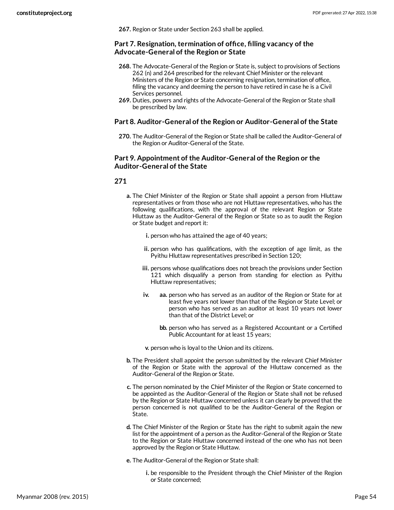**267.** Region or State under Section 263 shall be applied.

# **Part 7. Resignation, termination of office, filling vacancy of the Advocate-General of the Region or State**

- **268.** The Advocate-General of the Region or State is, subject to provisions of Sections 262 (n) and 264 prescribed for the relevant Chief Minister or the relevant Ministers of the Region or State concerning resignation, termination of office, filling the vacancy and deeming the person to have retired in case he is a Civil Services personnel.
- **269.** Duties, powers and rights of the Advocate-General of the Region or State shall be prescribed by law.

# **Part 8. Auditor-General of the Region or Auditor-General of the State**

**270.** The Auditor-General of the Region or State shall be called the Auditor-General of the Region or Auditor-General of the State.

# **Part 9. Appointment of the Auditor-General of the Region or the Auditor-General of the State**

- **a.** The Chief Minister of the Region or State shall appoint a person from Hluttaw representatives or from those who are not Hluttaw representatives, who has the following qualifications, with the approval of the relevant Region or State Hluttaw as the Auditor-General of the Region or State so as to audit the Region or State budget and report it:
	- **i.** person who has attained the age of 40 years;
	- **ii.** person who has qualifications, with the exception of age limit, as the Pyithu Hluttaw representatives prescribed in Section 120;
	- **iii.** persons whose qualifications does not breach the provisions under Section 121 which disqualify a person from standing for election as Pyithu Hluttaw representatives;
	- **iv. aa.** person who has served as an auditor of the Region or State for at least five years not lower than that of the Region or State Level; or person who has served as an auditor at least 10 years not lower than that of the District Level; or
		- **bb.** person who has served as a Registered Accountant or a Certified Public Accountant for at least 15 years;
	- **v.** person who is loyal to the Union and its citizens.
- **b.** The President shall appoint the person submitted by the relevant Chief Minister of the Region or State with the approval of the Hluttaw concerned as the Auditor-General of the Region or State.
- **c.** The person nominated by the Chief Minister of the Region or State concerned to be appointed as the Auditor-General of the Region or State shall not be refused by the Region or State Hluttaw concerned unless it can clearly be proved that the person concerned is not qualified to be the Auditor-General of the Region or State.
- **d.** The Chief Minister of the Region or State has the right to submit again the new list for the appointment of a person as the Auditor-General of the Region or State to the Region or State Hluttaw concerned instead of the one who has not been approved by the Region or State Hluttaw.
- **e.** The Auditor-General of the Region or State shall:
	- **i.** be responsible to the President through the Chief Minister of the Region or State concerned;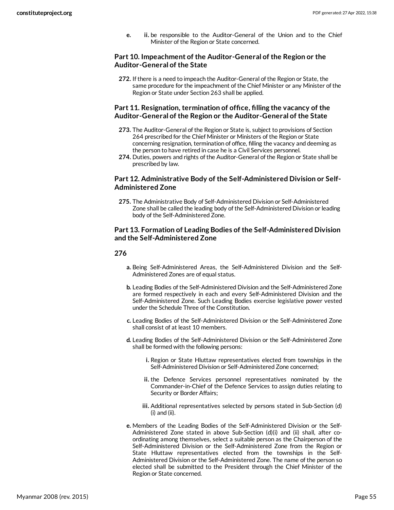**e. ii.** be responsible to the Auditor-General of the Union and to the Chief Minister of the Region or State concerned.

# **Part 10. Impeachment of the Auditor-General of the Region or the Auditor-General of the State**

**272.** If there is a need to impeach the Auditor-General of the Region or State, the same procedure for the impeachment of the Chief Minister or any Minister of the Region or State under Section 263 shall be applied.

# **Part 11. Resignation, termination of office, filling the vacancy of the Auditor-General of the Region or the Auditor-General of the State**

- **273.** The Auditor-General of the Region or State is, subject to provisions of Section 264 prescribed for the Chief Minister or Ministers of the Region or State concerning resignation, termination of office, filling the vacancy and deeming as the person to have retired in case he is a Civil Services personnel.
- **274.** Duties, powers and rights of the Auditor-General of the Region or State shall be prescribed by law.

# **Part 12. Administrative Body of the Self-Administered Division or Self-Administered Zone**

**275.** The Administrative Body of Self-Administered Division or Self-Administered Zone shall be called the leading body of the Self-Administered Division or leading body of the Self-Administered Zone.

# **Part 13. Formation of Leading Bodies of the Self-Administered Division and the Self-Administered Zone**

- **a.** Being Self-Administered Areas, the Self-Administered Division and the Self-Administered Zones are of equal status.
- **b.** Leading Bodies of the Self-Administered Division and the Self-Administered Zone are formed respectively in each and every Self-Administered Division and the Self-Administered Zone. Such Leading Bodies exercise legislative power vested under the Schedule Three of the Constitution.
- **c.** Leading Bodies of the Self-Administered Division or the Self-Administered Zone shall consist of at least 10 members.
- **d.** Leading Bodies of the Self-Administered Division or the Self-Administered Zone shall be formed with the following persons:
	- **i.** Region or State Hluttaw representatives elected from townships in the Self-Administered Division or Self-Administered Zone concerned;
	- **ii.** the Defence Services personnel representatives nominated by the Commander-in-Chief of the Defence Services to assign duties relating to Security or Border Affairs;
	- **iii.** Additional representatives selected by persons stated in Sub-Section (d) (i) and (ii).
- **e.** Members of the Leading Bodies of the Self-Administered Division or the Self-Administered Zone stated in above Sub-Section (d)(i) and (ii) shall, after coordinating among themselves, select a suitable person as the Chairperson of the Self-Administered Division or the Self-Administered Zone from the Region or State Hluttaw representatives elected from the townships in the Self-Administered Division or the Self-Administered Zone. The name of the person so elected shall be submitted to the President through the Chief Minister of the Region or State concerned.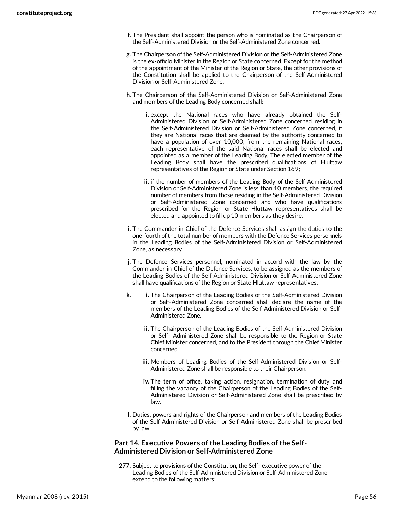- **f.** The President shall appoint the person who is nominated as the Chairperson of the Self-Administered Division or the Self-Administered Zone concerned.
- **g.** The Chairperson of the Self-Administered Division or the Self-Administered Zone is the ex-officio Minister in the Region or State concerned. Except for the method of the appointment of the Minister of the Region or State, the other provisions of the Constitution shall be applied to the Chairperson of the Self-Administered Division or Self-Administered Zone.
- **h.** The Chairperson of the Self-Administered Division or Self-Administered Zone and members of the Leading Body concerned shall:
	- **i.** except the National races who have already obtained the Self-Administered Division or Self-Administered Zone concerned residing in the Self-Administered Division or Self-Administered Zone concerned, if they are National races that are deemed by the authority concerned to have a population of over 10,000, from the remaining National races, each representative of the said National races shall be elected and appointed as a member of the Leading Body. The elected member of the Leading Body shall have the prescribed qualifications of Hluttaw representatives of the Region or State under Section 169;
	- **ii.** if the number of members of the Leading Body of the Self-Administered Division or Self-Administered Zone is less than 10 members, the required number of members from those residing in the Self-Administered Division or Self-Administered Zone concerned and who have qualifications prescribed for the Region or State Hluttaw representatives shall be elected and appointed to fill up 10 members as they desire.
- **i.** The Commander-in-Chief of the Defence Services shall assign the duties to the one-fourth of the total number of members with the Defence Services personnels in the Leading Bodies of the Self-Administered Division or Self-Administered Zone, as necessary.
- **j.** The Defence Services personnel, nominated in accord with the law by the Commander-in-Chief of the Defence Services, to be assigned as the members of the Leading Bodies of the Self-Administered Division or Self-Administered Zone shall have qualifications of the Region or State Hluttaw representatives.
- **k. i.** The Chairperson of the Leading Bodies of the Self-Administered Division or Self-Administered Zone concerned shall declare the name of the members of the Leading Bodies of the Self-Administered Division or Self-Administered Zone.
	- **ii.** The Chairperson of the Leading Bodies of the Self-Administered Division or Self- Administered Zone shall be responsible to the Region or State Chief Minister concerned, and to the President through the Chief Minister concerned.
	- **iii.** Members of Leading Bodies of the Self-Administered Division or Self-Administered Zone shall be responsible to their Chairperson.
	- **iv.** The term of office, taking action, resignation, termination of duty and filling the vacancy of the Chairperson of the Leading Bodies of the Self-Administered Division or Self-Administered Zone shall be prescribed by law.
- **l.** Duties, powers and rights of the Chairperson and members of the Leading Bodies of the Self-Administered Division or Self-Administered Zone shall be prescribed by law.

# **Part 14. Executive Powers of the Leading Bodies of the Self-Administered Division or Self-Administered Zone**

**277.** Subject to provisions of the Constitution, the Self- executive power of the Leading Bodies of the Self-Administered Division or Self-Administered Zone extend to the following matters: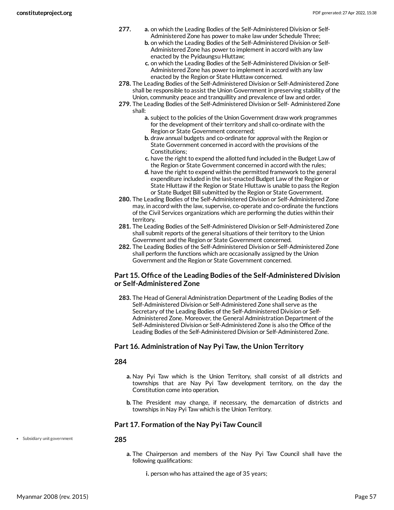- **277. a.** on which the Leading Bodies of the Self-Administered Division or Self-Administered Zone has power to make law under Schedule Three;
	- **b.** on which the Leading Bodies of the Self-Administered Division or Self-Administered Zone has power to implement in accord with any law enacted by the Pyidaungsu Hluttaw;
	- **c.** on which the Leading Bodies of the Self-Administered Division or Self-Administered Zone has power to implement in accord with any law enacted by the Region or State Hluttaw concerned.
- **278.** The Leading Bodies of the Self-Administered Division or Self-Administered Zone shall be responsible to assist the Union Government in preserving stability of the Union, community peace and tranquillity and prevalence of law and order.
- **279.** The Leading Bodies of the Self-Administered Division or Self- Administered Zone shall:
	- **a.** subject to the policies of the Union Government draw work programmes for the development of their territory and shall co-ordinate with the Region or State Government concerned;
	- **b.** draw annual budgets and co-ordinate for approval with the Region or State Government concerned in accord with the provisions of the Constitutions;
	- **c.** have the right to expend the allotted fund included in the Budget Law of the Region or State Government concerned in accord with the rules;
	- **d.** have the right to expend within the permitted framework to the general expenditure included in the last-enacted Budget Law of the Region or State Hluttaw if the Region or State Hluttaw is unable to pass the Region or State Budget Bill submitted by the Region or State Government.
- **280.** The Leading Bodies of the Self-Administered Division or Self-Administered Zone may, in accord with the law, supervise, co-operate and co-ordinate the functions of the Civil Services organizations which are performing the duties within their territory.
- **281.** The Leading Bodies of the Self-Administered Division or Self-Administered Zone shall submit reports of the general situations of their territory to the Union Government and the Region or State Government concerned.
- **282.** The Leading Bodies of the Self-Administered Division or Self-Administered Zone shall perform the functions which are occasionally assigned by the Union Government and the Region or State Government concerned.

# **Part 15. Office of the Leading Bodies of the Self-Administered Division or Self-Administered Zone**

**283.** The Head of General Administration Department of the Leading Bodies of the Self-Administered Division or Self-Administered Zone shall serve as the Secretary of the Leading Bodies of the Self-Administered Division or Self-Administered Zone. Moreover, the General Administration Department of the Self-Administered Division or Self-Administered Zone is also the Office of the Leading Bodies of the Self-Administered Division or Self-Administered Zone.

# **Part 16. Administration of Nay Pyi Taw, the Union Territory**

#### **284**

- **a.** Nay Pyi Taw which is the Union Territory, shall consist of all districts and townships that are Nay Pyi Taw development territory, on the day the Constitution come into operation.
- **b.** The President may change, if necessary, the demarcation of districts and townships in Nay Pyi Taw which is the Union Territory.

# **Part 17. Formation of the Nay Pyi Taw Council**

#### Subsidiary unit government

# **285**

**a.** The Chairperson and members of the Nay Pyi Taw Council shall have the following qualifications:

**i.** person who has attained the age of 35 years;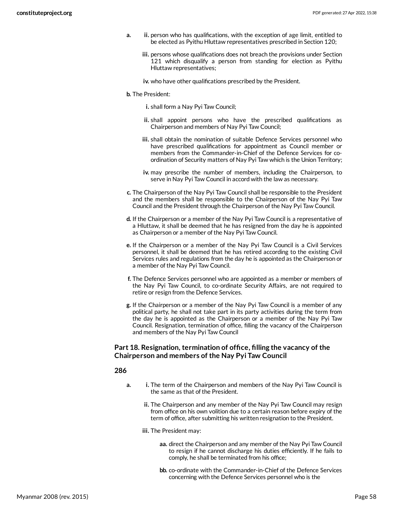- **a. ii.** person who has qualifications, with the exception of age limit, entitled to be elected as Pyithu Hluttaw representatives prescribed in Section 120;
	- **iii.** persons whose qualifications does not breach the provisions under Section 121 which disqualify a person from standing for election as Pyithu Hluttaw representatives;
	- **iv.** who have other qualifications prescribed by the President.
- **b.** The President:
	- **i.** shall form a Nay Pyi Taw Council;
	- **ii.** shall appoint persons who have the prescribed qualifications as Chairperson and members of Nay Pyi Taw Council;
	- **iii.** shall obtain the nomination of suitable Defence Services personnel who have prescribed qualifications for appointment as Council member or members from the Commander-in-Chief of the Defence Services for coordination of Security matters of Nay Pyi Taw which is the Union Territory;
	- **iv.** may prescribe the number of members, including the Chairperson, to serve in Nay Pyi Taw Council in accord with the law as necessary.
- **c.** The Chairperson of the Nay Pyi Taw Council shall be responsible to the President and the members shall be responsible to the Chairperson of the Nay Pyi Taw Council and the President through the Chairperson of the Nay Pyi Taw Council.
- **d.** If the Chairperson or a member of the Nay Pyi Taw Council is a representative of a Hluttaw, it shall be deemed that he has resigned from the day he is appointed as Chairperson or a member of the Nay Pyi Taw Council.
- **e.** If the Chairperson or a member of the Nay Pyi Taw Council is a Civil Services personnel, it shall be deemed that he has retired according to the existing Civil Services rules and regulations from the day he is appointed as the Chairperson or a member of the Nay Pyi Taw Council.
- **f.** The Defence Services personnel who are appointed as a member or members of the Nay Pyi Taw Council, to co-ordinate Security Affairs, are not required to retire or resign from the Defence Services.
- **g.** If the Chairperson or a member of the Nay Pyi Taw Council is a member of any political party, he shall not take part in its party activities during the term from the day he is appointed as the Chairperson or a member of the Nay Pyi Taw Council. Resignation, termination of office, filling the vacancy of the Chairperson and members of the Nay Pyi Taw Council

# **Part 18. Resignation, termination of office, filling the vacancy of the Chairperson and members of the Nay Pyi Taw Council**

- **a. i.** The term of the Chairperson and members of the Nay Pyi Taw Council is the same as that of the President.
	- **ii.** The Chairperson and any member of the Nay Pyi Taw Council may resign from office on his own volition due to a certain reason before expiry of the term of office, after submitting his written resignation to the President.
	- **iii.** The President may:
		- **aa.** direct the Chairperson and any member of the Nay Pyi Taw Council to resign if he cannot discharge his duties efficiently. If he fails to comply, he shall be terminated from his office;
		- **bb.** co-ordinate with the Commander-in-Chief of the Defence Services concerning with the Defence Services personnel who is the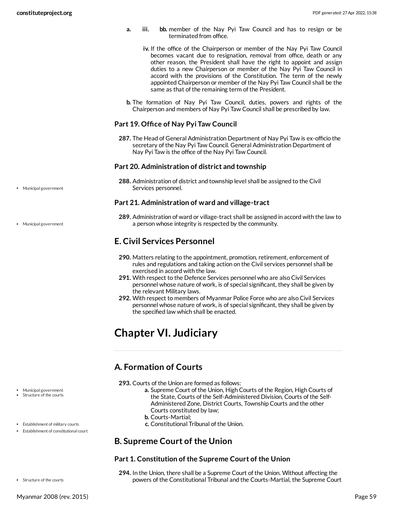- **a. iii. bb.** member of the Nay Pyi Taw Council and has to resign or be terminated from office.
	- **iv.** If the office of the Chairperson or member of the Nay Pyi Taw Council becomes vacant due to resignation, removal from office, death or any other reason, the President shall have the right to appoint and assign duties to a new Chairperson or member of the Nay Pyi Taw Council in accord with the provisions of the Constitution. The term of the newly appointed Chairperson or member of the Nay Pyi Taw Council shall be the same as that of the remaining term of the President.
- **b.** The formation of Nay Pyi Taw Council, duties, powers and rights of the Chairperson and members of Nay Pyi Taw Council shall be prescribed by law.

# **Part 19. Office of Nay Pyi Taw Council**

**287.** The Head of General Administration Department of Nay Pyi Taw is ex-officio the secretary of the Nay Pyi Taw Council. General Administration Department of Nay Pyi Taw is the office of the Nay Pyi Taw Council.

#### **Part 20. Administration of district and township**

**288.** Administration of district and township level shall be assigned to the Civil Services personnel.

#### **Part 21. Administration of ward and village-tract**

**289.** Administration of ward or village-tract shall be assigned in accord with the law to a person whose integrity is respected by the community.

# **E. Civil Services Personnel**

- **290.** Matters relating to the appointment, promotion, retirement, enforcement of rules and regulations and taking action on the Civil services personnel shall be exercised in accord with the law.
- **291.** With respect to the Defence Services personnel who are also Civil Services personnel whose nature of work, is of special significant, they shall be given by the relevant Military laws.
- **292.** With respect to members of Myanmar Police Force who are also Civil Services personnel whose nature of work, is of special significant, they shall be given by the specified law which shall be enacted.

# **Chapter VI. Judiciary**

# **A. Formation of Courts**

**293.** Courts of the Union are formed as follows:

- **a.** Supreme Court of the Union, High Courts of the Region, High Courts of the State, Courts of the Self-Administered Division, Courts of the Self-Administered Zone, District Courts, Township Courts and the other Courts constituted by law;
- **b.** Courts-Martial;
- **c.** Constitutional Tribunal of the Union.

# **B. Supreme Court of the Union**

#### **Part 1. Constitution of the Supreme Court of the Union**

**294.** In the Union, there shall be a Supreme Court of the Union. Without affecting the powers of the Constitutional Tribunal and the Courts-Martial, the Supreme Court

- Municipal government
- Municipal government

- Municipal government Structure of the courts
- Establishment of military courts
- Establishment of constitutional court

• Structure of the courts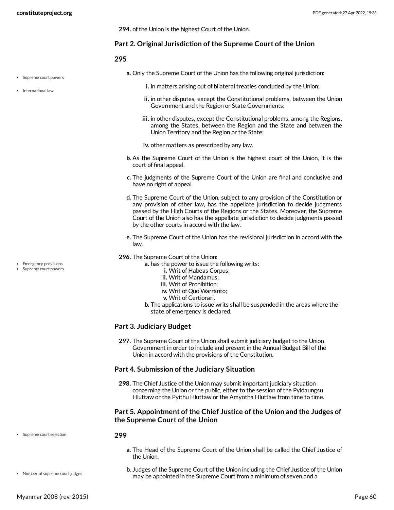Supreme court powers

• International law

**294.** of the Union is the highest Court of the Union.

#### **Part 2. Original Jurisdiction of the Supreme Court of the Union**

#### **295**

- **a.** Only the Supreme Court of the Union has the following original jurisdiction:
	- **i.** in matters arising out of bilateral treaties concluded by the Union;
	- **ii.** in other disputes, except the Constitutional problems, between the Union Government and the Region or State Governments;
	- **iii.** in other disputes, except the Constitutional problems, among the Regions, among the States, between the Region and the State and between the Union Territory and the Region or the State;

**iv.** other matters as prescribed by any law.

- **b.** As the Supreme Court of the Union is the highest court of the Union, it is the court of final appeal.
- **c.** The judgments of the Supreme Court of the Union are final and conclusive and have no right of appeal.
- **d.** The Supreme Court of the Union, subject to any provision of the Constitution or any provision of other law, has the appellate jurisdiction to decide judgments passed by the High Courts of the Regions or the States. Moreover, the Supreme Court of the Union also has the appellate jurisdiction to decide judgments passed by the other courts in accord with the law.
- **e.** The Supreme Court of the Union has the revisional jurisdiction in accord with the law.
- **296.** The Supreme Court of the Union:
	- **a.** has the power to issue the following writs:
		- **i.** Writ of Habeas Corpus;
		- **ii.** Writ of Mandamus;
		- **iii.** Writ of Prohibition;
		- **iv.** Writ of Quo Warranto;
		- **v.** Writ of Certiorari.
	- **b.** The applications to issue writs shall be suspended in the areas where the state of emergency is declared.

#### **Part 3. Judiciary Budget**

**297.** The Supreme Court of the Union shall submit judiciary budget to the Union Government in order to include and present in the Annual Budget Bill of the Union in accord with the provisions of the Constitution.

#### **Part 4. Submission of the Judiciary Situation**

**298.** The Chief Justice of the Union may submit important judiciary situation concerning the Union or the public, either to the session of the Pyidaungsu Hluttaw or the Pyithu Hluttaw or the Amyotha Hluttaw from time to time.

# **Part 5. Appointment of the Chief Justice of the Union and the Judges of the Supreme Court of the Union**

Supreme court selection

Emergency provisions Supreme court powers

#### **299**

- **a.** The Head of the Supreme Court of the Union shall be called the Chief Justice of the Union.
- **b.** Judges of the Supreme Court of the Union including the Chief Justice of the Union may be appointed in the Supreme Court from a minimum of seven and a

• Number of supreme court judges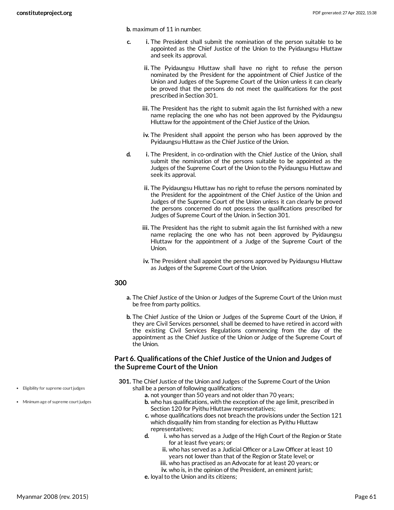**b.** maximum of 11 in number.

- **c. i.** The President shall submit the nomination of the person suitable to be appointed as the Chief Justice of the Union to the Pyidaungsu Hluttaw and seek its approval.
	- **ii.** The Pyidaungsu Hluttaw shall have no right to refuse the person nominated by the President for the appointment of Chief Justice of the Union and Judges of the Supreme Court of the Union unless it can clearly be proved that the persons do not meet the qualifications for the post prescribed in Section 301.
	- **iii.** The President has the right to submit again the list furnished with a new name replacing the one who has not been approved by the Pyidaungsu Hluttaw for the appointment of the Chief Justice of the Union.
	- **iv.** The President shall appoint the person who has been approved by the Pyidaungsu Hluttaw as the Chief Justice of the Union.
- **d. i.** The President, in co-ordination with the Chief Justice of the Union, shall submit the nomination of the persons suitable to be appointed as the Judges of the Supreme Court of the Union to the Pyidaungsu Hluttaw and seek its approval.
	- **ii.** The Pyidaungsu Hluttaw has no right to refuse the persons nominated by the President for the appointment of the Chief Justice of the Union and Judges of the Supreme Court of the Union unless it can clearly be proved the persons concerned do not possess the qualifications prescribed for Judges of Supreme Court of the Union. in Section 301.
	- **iii.** The President has the right to submit again the list furnished with a new name replacing the one who has not been approved by Pyidaungsu Hluttaw for the appointment of a Judge of the Supreme Court of the Union.
	- **iv.** The President shall appoint the persons approved by Pyidaungsu Hluttaw as Judges of the Supreme Court of the Union.

#### **300**

- **a.** The Chief Justice of the Union or Judges of the Supreme Court of the Union must be free from party politics.
- **b.** The Chief Justice of the Union or Judges of the Supreme Court of the Union, if they are Civil Services personnel, shall be deemed to have retired in accord with the existing Civil Services Regulations commencing from the day of the appointment as the Chief Justice of the Union or Judge of the Supreme Court of the Union.

# **Part 6. Qualifications of the Chief Justice of the Union and Judges of the Supreme Court of the Union**

- **301.** The Chief Justice of the Union and Judges of the Supreme Court of the Union shall be a person of following qualifications:
	- **a.** not younger than 50 years and not older than 70 years;
	- **b.** who has qualifications, with the exception of the age limit, prescribed in Section 120 for Pyithu Hluttaw representatives;
	- **c.** whose qualifications does not breach the provisions under the Section 121 which disqualify him from standing for election as Pyithu Hluttaw representatives;
	- **d. i.** who has served as a Judge of the High Court of the Region or State for at least five years; or
		- **ii.** who has served as a Judicial Officer or a Law Officer at least 10 years not lower than that of the Region or State level; or
		- **iii.** who has practised as an Advocate for at least 20 years; or
		- **iv.** who is, in the opinion of the President, an eminent jurist;
	- **e.** loyal to the Union and its citizens;

• Eligibility for supreme court judges

• Minimum age of supreme court judges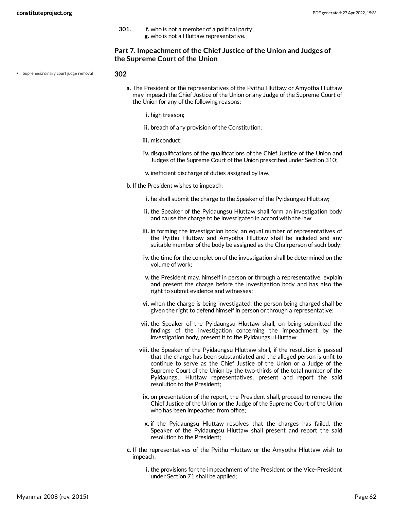**301. f.** who is not a member of a political party; **g.** who is not a Hluttaw representative.

# **Part 7. Impeachment of the Chief Justice of the Union and Judges of the Supreme Court of the Union**

- Supreme/ordinary court judge removal
- **a.** The President or the representatives of the Pyithu Hluttaw or Amyotha Hluttaw may impeach the Chief Justice of the Union or any Judge of the Supreme Court of the Union for any of the following reasons:
	- **i.** high treason;

- **ii.** breach of any provision of the Constitution;
- **iii.** misconduct;
- **iv.** disqualifications of the qualifications of the Chief Justice of the Union and Judges of the Supreme Court of the Union prescribed under Section 310;
- **v.** inefficient discharge of duties assigned by law.
- **b.** If the President wishes to impeach:
	- **i.** he shall submit the charge to the Speaker of the Pyidaungsu Hluttaw;
	- **ii.** the Speaker of the Pyidaungsu Hluttaw shall form an investigation body and cause the charge to be investigated in accord with the law;
	- **iii.** in forming the investigation body, an equal number of representatives of the Pyithu Hluttaw and Amyotha Hluttaw shall be included and any suitable member of the body be assigned as the Chairperson of such body;
	- **iv.** the time for the completion of the investigation shall be determined on the volume of work;
	- **v.** the President may, himself in person or through a representative, explain and present the charge before the investigation body and has also the right to submit evidence and witnesses;
	- **vi.** when the charge is being investigated, the person being charged shall be given the right to defend himself in person or through a representative;
	- **vii.** the Speaker of the Pyidaungsu Hluttaw shall, on being submitted the findings of the investigation concerning the impeachment by the investigation body, present it to the Pyidaungsu Hluttaw;
	- **viii.** the Speaker of the Pyidaungsu Hluttaw shall, if the resolution is passed that the charge has been substantiated and the alleged person is unfit to continue to serve as the Chief Justice of the Union or a Judge of the Supreme Court of the Union by the two-thirds of the total number of the Pyidaungsu Hluttaw representatives, present and report the said resolution to the President;
	- **ix.** on presentation of the report, the President shall, proceed to remove the Chief Justice of the Union or the Judge of the Supreme Court of the Union who has been impeached from office;
	- **x.** if the Pyidaungsu Hluttaw resolves that the charges has failed, the Speaker of the Pyidaungsu Hluttaw shall present and report the said resolution to the President;
- **c.** If the representatives of the Pyithu Hluttaw or the Amyotha Hluttaw wish to impeach:
	- **i.** the provisions for the impeachment of the President or the Vice-President under Section 71 shall be applied;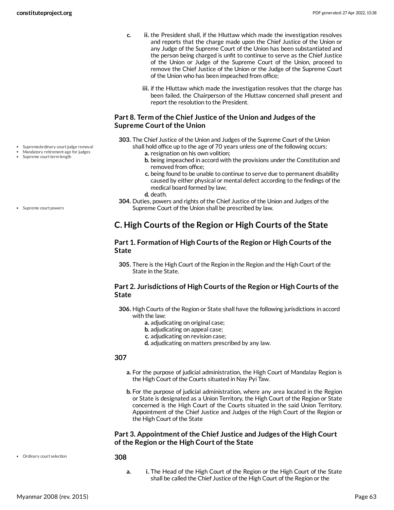- **c. ii.** the President shall, if the Hluttaw which made the investigation resolves and reports that the charge made upon the Chief Justice of the Union or any Judge of the Supreme Court of the Union has been substantiated and the person being charged is unfit to continue to serve as the Chief Justice of the Union or Judge of the Supreme Court of the Union, proceed to remove the Chief Justice of the Union or the Judge of the Supreme Court of the Union who has been impeached from office;
	- **iii.** if the Hluttaw which made the investigation resolves that the charge has been failed, the Chairperson of the Hluttaw concerned shall present and report the resolution to the President.

# **Part 8. Term of the Chief Justice of the Union and Judges of the Supreme Court of the Union**

**303.** The Chief Justice of the Union and Judges of the Supreme Court of the Union

- shall hold office up to the age of 70 years unless one of the following occurs: **a.** resignation on his own volition;
	- **b.** being impeached in accord with the provisions under the Constitution and removed from office;
	- **c.** being found to be unable to continue to serve due to permanent disability caused by either physical or mental defect according to the findings of the medical board formed by law;
	- **d.** death.
- **304.** Duties, powers and rights of the Chief Justice of the Union and Judges of the Supreme Court of the Union shall be prescribed by law.

# **C. High Courts of the Region or High Courts of the State**

# **Part 1. Formation of High Courts of the Region or High Courts of the State**

**305.** There is the High Court of the Region in the Region and the High Court of the State in the State.

# **Part 2. Jurisdictions of High Courts of the Region or High Courts of the State**

- **306.** High Courts of the Region or State shall have the following jurisdictions in accord with the law:
	- **a.** adjudicating on original case;
	- **b.** adjudicating on appeal case;
	- **c.** adjudicating on revision case;
	- **d.** adjudicating on matters prescribed by any law.

### **307**

- **a.** For the purpose of judicial administration, the High Court of Mandalay Region is the High Court of the Courts situated in Nay Pyi Taw.
- **b.** For the purpose of judicial administration, where any area located in the Region or State is designated as a Union Territory, the High Court of the Region or State concerned is the High Court of the Courts situated in the said Union Territory. Appointment of the Chief Justice and Judges of the High Court of the Region or the High Court of the State

# **Part 3. Appointment of the Chief Justice and Judges of the High Court of the Region or the High Court of the State**

#### Ordinary court selection

#### **308**

**a. i.** The Head of the High Court of the Region or the High Court of the State shall be called the Chief Justice of the High Court of the Region or the

Supreme court powers

 $\bullet$  Supreme/ordinary court judge removal Mandatory retirement age for judges Supreme court term length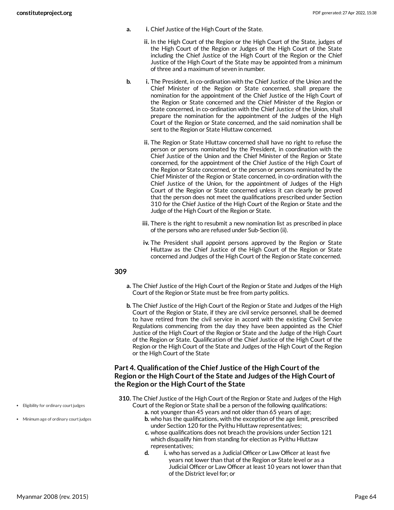- **a. i.** Chief Justice of the High Court of the State.
	- **ii.** In the High Court of the Region or the High Court of the State, judges of the High Court of the Region or Judges of the High Court of the State including the Chief Justice of the High Court of the Region or the Chief Justice of the High Court of the State may be appointed from a minimum of three and a maximum of seven in number.
- **b. i.** The President, in co-ordination with the Chief Justice of the Union and the Chief Minister of the Region or State concerned, shall prepare the nomination for the appointment of the Chief Justice of the High Court of the Region or State concerned and the Chief Minister of the Region or State concerned, in co-ordination with the Chief Justice of the Union, shall prepare the nomination for the appointment of the Judges of the High Court of the Region or State concerned, and the said nomination shall be sent to the Region or State Hluttaw concerned.
	- **ii.** The Region or State Hluttaw concerned shall have no right to refuse the person or persons nominated by the President, in coordination with the Chief Justice of the Union and the Chief Minister of the Region or State concerned, for the appointment of the Chief Justice of the High Court of the Region or State concerned, or the person or persons nominated by the Chief Minister of the Region or State concerned, in co-ordination with the Chief Justice of the Union, for the appointment of Judges of the High Court of the Region or State concerned unless it can clearly be proved that the person does not meet the qualifications prescribed under Section 310 for the Chief Justice of the High Court of the Region or State and the Judge of the High Court of the Region or State.
	- **iii.** There is the right to resubmit a new nomination list as prescribed in place of the persons who are refused under Sub-Section (ii).
	- **iv.** The President shall appoint persons approved by the Region or State Hluttaw as the Chief Justice of the High Court of the Region or State concerned and Judges of the High Court of the Region or State concerned.

#### **309**

- **a.** The Chief Justice of the High Court of the Region or State and Judges of the High Court of the Region or State must be free from party politics.
- **b.** The Chief Justice of the High Court of the Region or State and Judges of the High Court of the Region or State, if they are civil service personnel, shall be deemed to have retired from the civil service in accord with the existing Civil Service Regulations commencing from the day they have been appointed as the Chief Justice of the High Court of the Region or State and the Judge of the High Court of the Region or State. Qualification of the Chief Justice of the High Court of the Region or the High Court of the State and Judges of the High Court of the Region or the High Court of the State

# **Part 4. Qualification of the Chief Justice of the High Court of the Region or the High Court of the State and Judges of the High Court of the Region or the High Court of the State**

- **310.** The Chief Justice of the High Court of the Region or State and Judges of the High Court of the Region or State shall be a person of the following qualifications:
	- **a.** not younger than 45 years and not older than 65 years of age; **b.** who has the qualifications, with the exception of the age limit, prescribed
		- under Section 120 for the Pyithu Hluttaw representatives; **c.** whose qualifications does not breach the provisions under Section 121 which disqualify him from standing for election as Pyithu Hluttaw representatives;
		- **d. i.** who has served as a Judicial Officer or Law Officer at least five years not lower than that of the Region or State level or as a Judicial Officer or Law Officer at least 10 years not lower than that of the District level for; or
- Eligibility for ordinary court judges
- Minimum age of ordinary court judges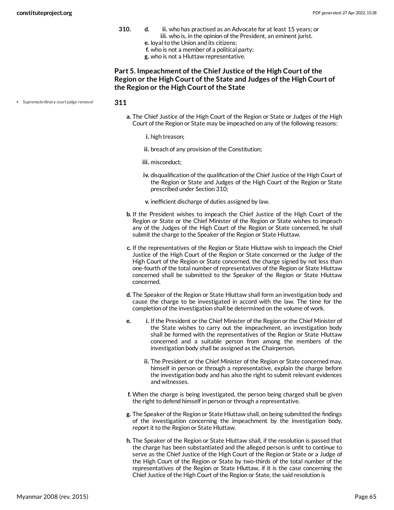- **310. d. ii.** who has practised as an Advocate for at least 15 years; or **iii.** who is, in the opinion of the President, an eminent jurist.
	- **e.** loyal to the Union and its citizens;
	- **f.** who is not a member of a political party;
	- **g.** who is not a Hluttaw representative.

# **Part 5. Impeachment of the Chief Justice of the High Court of the Region or the High Court of the State and Judges of the High Court of the Region or the High Court of the State**

- Supreme/ordinary court judge removal
- **a.** The Chief Justice of the High Court of the Region or State or Judges of the High Court of the Region or State may be impeached on any of the following reasons:
	- **i.** high treason;

- **ii.** breach of any provision of the Constitution;
- **iii.** misconduct;
- **iv.** disqualification of the qualification of the Chief Justice of the High Court of the Region or State and Judges of the High Court of the Region or State prescribed under Section 310;
- **v.** inefficient discharge of duties assigned by law.
- **b.** If the President wishes to impeach the Chief Justice of the High Court of the Region or State or the Chief Minister of the Region or State wishes to impeach any of the Judges of the High Court of the Region or State concerned, he shall submit the charge to the Speaker of the Region or State Hluttaw.
- **c.** If the representatives of the Region or State Hluttaw wish to impeach the Chief Justice of the High Court of the Region or State concerned or the Judge of the High Court of the Region or State concerned, the charge signed by not less than one-fourth of the total number of representatives of the Region or State Hluttaw concerned shall be submitted to the Speaker of the Region or State Hluttaw concerned.
- **d.** The Speaker of the Region or State Hluttaw shall form an investigation body and cause the charge to be investigated in accord with the law. The time for the completion of the investigation shall be determined on the volume of work.
- **e. i.** If the President or the Chief Minister of the Region or the Chief Minister of the State wishes to carry out the impeachment, an investigation body shall be formed with the representatives of the Region or State Hluttaw concerned and a suitable person from among the members of the investigation body shall be assigned as the Chairperson.
	- **ii.** The President or the Chief Minister of the Region or State concerned may, himself in person or through a representative, explain the charge before the investigation body and has also the right to submit relevant evidences and witnesses.
- **f.** When the charge is being investigated, the person being charged shall be given the right to defend himself in person or through a representative.
- **g.** The Speaker of the Region or State Hluttaw shall, on being submitted the findings of the investigation concerning the impeachment by the investigation body, report it to the Region or State Hluttaw.
- **h.** The Speaker of the Region or State Hluttaw shall, if the resolution is passed that the charge has been substantiated and the alleged person is unfit to continue to serve as the Chief Justice of the High Court of the Region or State or a Judge of the High Court of the Region or State by two-thirds of the total number of the representatives of the Region or State Hluttaw, if it is the case concerning the Chief Justice of the High Court of the Region or State, the said resolution is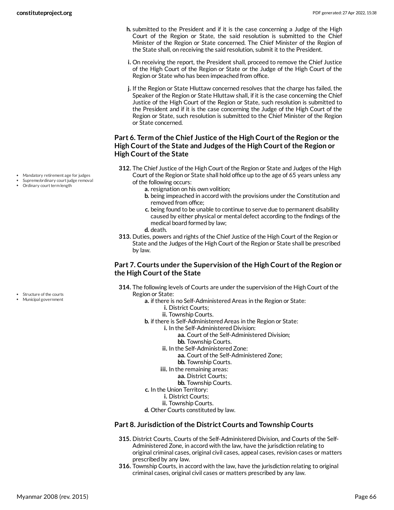- **h.** submitted to the President and if it is the case concerning a Judge of the High Court of the Region or State, the said resolution is submitted to the Chief Minister of the Region or State concerned. The Chief Minister of the Region of the State shall, on receiving the said resolution, submit it to the President.
- **i.** On receiving the report, the President shall, proceed to remove the Chief Justice of the High Court of the Region or State or the Judge of the High Court of the Region or State who has been impeached from office.
- **j.** If the Region or State Hluttaw concerned resolves that the charge has failed, the Speaker of the Region or State Hluttaw shall, if it is the case concerning the Chief Justice of the High Court of the Region or State, such resolution is submitted to the President and if it is the case concerning the Judge of the High Court of the Region or State, such resolution is submitted to the Chief Minister of the Region or State concerned.

# **Part 6. Term of the Chief Justice of the High Court of the Region or the High Court of the State and Judges of the High Court of the Region or High Court of the State**

**312.** The Chief Justice of the High Court of the Region or State and Judges of the High Court of the Region or State shall hold office up to the age of 65 years unless any of the following occurs:

**313.** Duties, powers and rights of the Chief Justice of the High Court of the Region or State and the Judges of the High Court of the Region or State shall be prescribed

**Part 7. Courts under the Supervision of the High Court of the Region or**

**314.** The following levels of Courts are under the supervision of the High Court of the

**b.** being impeached in accord with the provisions under the Constitution and

**c.** being found to be unable to continue to serve due to permanent disability caused by either physical or mental defect according to the findings of the

Supreme/ordinary court judge removal Ordinary court term length

Mandatory retirement age for judges

Structure of the courts Municipal government

- Region or State: **a.** if there is no Self-Administered Areas in the Region or State:
	- **i.** District Courts;

**a.** resignation on his own volition;

medical board formed by law;

removed from office;

**d.** death.

**the High Court of the State**

by law.

- **ii.** Township Courts.
- **b.** if there is Self-Administered Areas in the Region or State:
	- **i.** In the Self-Administered Division:
		- **aa.** Court of the Self-Administered Division;
		- **bb.** Township Courts.
	- **ii.** In the Self-Administered Zone:
		- **aa.** Court of the Self-Administered Zone;
		- **bb.** Township Courts.
	- **iii.** In the remaining areas:
		- **aa.** District Courts;
		- **bb.** Township Courts.
- **c.** In the Union Territory:
	- **i.** District Courts;
	- **ii.** Township Courts.
- **d.** Other Courts constituted by law.

# **Part 8. Jurisdiction of the District Courts and Township Courts**

- **315.** District Courts, Courts of the Self-Administered Division, and Courts of the Self-Administered Zone, in accord with the law, have the jurisdiction relating to original criminal cases, original civil cases, appeal cases, revision cases or matters prescribed by any law.
- **316.** Township Courts, in accord with the law, have the jurisdiction relating to original criminal cases, original civil cases or matters prescribed by any law.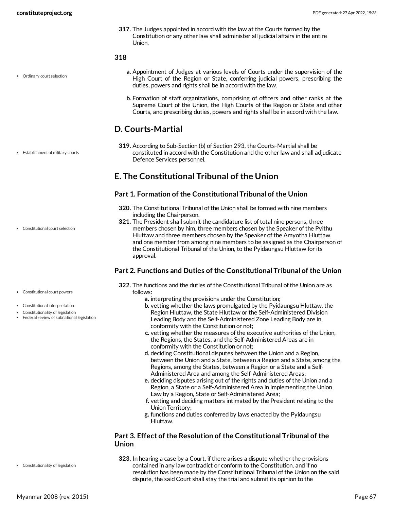**317.** The Judges appointed in accord with the law at the Courts formed by the Constitution or any other law shall administer all judicial affairs in the entire Union.

#### **318**

Ordinary court selection

Establishment of military courts

Constitutional court selection

- Constitutional court powers
- Constitutional interpretation
- Constitutionality of legislation
- Federal review of subnational legislation
- **a.** Appointment of Judges at various levels of Courts under the supervision of the High Court of the Region or State, conferring judicial powers, prescribing the duties, powers and rights shall be in accord with the law.
- **b.** Formation of staff organizations, comprising of officers and other ranks at the Supreme Court of the Union, the High Courts of the Region or State and other Courts, and prescribing duties, powers and rights shall be in accord with the law.

# **D. Courts-Martial**

**319.** According to Sub-Section (b) of Section 293, the Courts-Martial shall be constituted in accord with the Constitution and the other law and shall adjudicate Defence Services personnel.

# **E. The Constitutional Tribunal of the Union**

# **Part 1. Formation of the Constitutional Tribunal of the Union**

- **320.** The Constitutional Tribunal of the Union shall be formed with nine members including the Chairperson.
- **321.** The President shall submit the candidature list of total nine persons, three members chosen by him, three members chosen by the Speaker of the Pyithu Hluttaw and three members chosen by the Speaker of the Amyotha Hluttaw, and one member from among nine members to be assigned as the Chairperson of the Constitutional Tribunal of the Union, to the Pyidaungsu Hluttaw for its approval.

# **Part 2. Functions and Duties of the Constitutional Tribunal of the Union**

- **322.** The functions and the duties of the Constitutional Tribunal of the Union are as follows:
	- **a.** interpreting the provisions under the Constitution;
	- **b.** vetting whether the laws promulgated by the Pyidaungsu Hluttaw, the Region Hluttaw, the State Hluttaw or the Self-Administered Division Leading Body and the Self-Administered Zone Leading Body are in conformity with the Constitution or not;
	- **c.** vetting whether the measures of the executive authorities of the Union, the Regions, the States, and the Self-Administered Areas are in conformity with the Constitution or not;
	- **d.** deciding Constitutional disputes between the Union and a Region, between the Union and a State, between a Region and a State, among the Regions, among the States, between a Region or a State and a Self-Administered Area and among the Self-Administered Areas;
	- **e.** deciding disputes arising out of the rights and duties of the Union and a Region, a State or a Self-Administered Area in implementing the Union Law by a Region, State or Self-Administered Area;
	- **f.** vetting and deciding matters intimated by the President relating to the Union Territory;
	- **g.** functions and duties conferred by laws enacted by the Pyidaungsu Hluttaw.

# **Part 3. Effect of the Resolution of the Constitutional Tribunal of the Union**

Constitutionality of legislation

**323.** In hearing a case by a Court, if there arises a dispute whether the provisions contained in any law contradict or conform to the Constitution, and if no resolution has been made by the Constitutional Tribunal of the Union on the said dispute, the said Court shall stay the trial and submit its opinion to the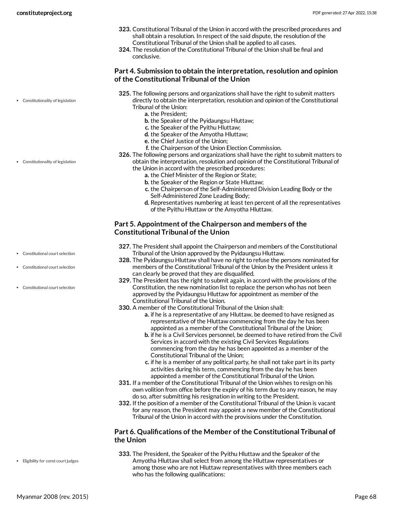- **323.** Constitutional Tribunal of the Union in accord with the prescribed procedures and shall obtain a resolution. In respect of the said dispute, the resolution of the Constitutional Tribunal of the Union shall be applied to all cases.
- **324.** The resolution of the Constitutional Tribunal of the Union shall be final and conclusive.

# **Part 4. Submission to obtain the interpretation, resolution and opinion of the Constitutional Tribunal of the Union**

- **325.** The following persons and organizations shall have the right to submit matters directly to obtain the interpretation, resolution and opinion of the Constitutional Tribunal of the Union:
	- **a.** the President;
	- **b.** the Speaker of the Pyidaungsu Hluttaw;
	- **c.** the Speaker of the Pyithu Hluttaw;
	- **d.** the Speaker of the Amyotha Hluttaw;
	- **e.** the Chief Justice of the Union;
	- **f.** the Chairperson of the Union Election Commission.
- **326.** The following persons and organizations shall have the right to submit matters to obtain the interpretation, resolution and opinion of the Constitutional Tribunal of the Union in accord with the prescribed procedures:
	- **a.** the Chief Minister of the Region or State;
	- **b.** the Speaker of the Region or State Hluttaw;
	- **c.** the Chairperson of the Self-Administered Division Leading Body or the Self-Administered Zone Leading Body;
	- **d.** Representatives numbering at least ten percent of all the representatives of the Pyithu Hluttaw or the Amyotha Hluttaw.

# **Part 5. Appointment of the Chairperson and members of the Constitutional Tribunal of the Union**

- **327.** The President shall appoint the Chairperson and members of the Constitutional Tribunal of the Union approved by the Pyidaungsu Hluttaw.
- **328.** The Pyidaungsu Hluttaw shall have no right to refuse the persons nominated for members of the Constitutional Tribunal of the Union by the President unless it can clearly be proved that they are disqualified.
- **329.** The President has the right to submit again, in accord with the provisions of the Constitution, the new nomination list to replace the person who has not been approved by the Pyidaungsu Hluttaw for appointment as member of the Constitutional Tribunal of the Union.
- **330.** A member of the Constitutional Tribunal of the Union shall:
	- **a.** if he is a representative of any Hluttaw, be deemed to have resigned as representative of the Hluttaw commencing from the day he has been appointed as a member of the Constitutional Tribunal of the Union;
	- **b.** if he is a Civil Services personnel, be deemed to have retired from the Civil Services in accord with the existing Civil Services Regulations commencing from the day he has been appointed as a member of the Constitutional Tribunal of the Union;
	- **c.** if he is a member of any political party, he shall not take part in its party activities during his term, commencing from the day he has been appointed a member of the Constitutional Tribunal of the Union.
- **331.** If a member of the Constitutional Tribunal of the Union wishes to resign on his own volition from office before the expiry of his term due to any reason, he may do so, after submitting his resignation in writing to the President.
- **332.** If the position of a member of the Constitutional Tribunal of the Union is vacant for any reason, the President may appoint a new member of the Constitutional Tribunal of the Union in accord with the provisions under the Constitution.

# **Part 6. Qualifications of the Member of the Constitutional Tribunal of the Union**

**333.** The President, the Speaker of the Pyithu Hluttaw and the Speaker of the Amyotha Hluttaw shall select from among the Hluttaw representatives or among those who are not Hluttaw representatives with three members each who has the following qualifications:

Constitutionality of legislation

Constitutionality of legislation

- Constitutional court selection
- Constitutional court selection
- Constitutional court selection

• Eligibility for const court judges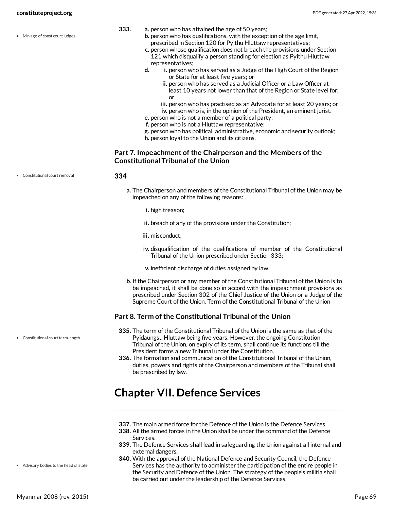- Min age of const court judges
- **333. a.** person who has attained the age of 50 years;
	- **b.** person who has qualifications, with the exception of the age limit, prescribed in Section 120 for Pyithu Hluttaw representatives;
		- **c.** person whose qualification does not breach the provisions under Section 121 which disqualify a person standing for election as Pyithu Hluttaw representatives;
		- **d. i.** person who has served as a Judge of the High Court of the Region or State for at least five years; or
			- **ii.** person who has served as a Judicial Officer or a Law Officer at least 10 years not lower than that of the Region or State level for; or
			- **iii.** person who has practised as an Advocate for at least 20 years; or **iv.** person who is, in the opinion of the President, an eminent jurist.
		- **e.** person who is not a member of a political party;
	- **f.** person who is not a Hluttaw representative;
	- **g.** person who has political, administrative, economic and security outlook; **h.** person loyal to the Union and its citizens.

### **Part 7. Impeachment of the Chairperson and the Members of the Constitutional Tribunal of the Union**

#### Constitutional court removal

- **334**
	- **a.** The Chairperson and members of the Constitutional Tribunal of the Union may be impeached on any of the following reasons:
		- **i.** high treason;
		- **ii.** breach of any of the provisions under the Constitution;
		- **iii.** misconduct;
		- **iv.** disqualification of the qualifications of member of the Constitutional Tribunal of the Union prescribed under Section 333;
		- **v.** inefficient discharge of duties assigned by law.
	- **b.** If the Chairperson or any member of the Constitutional Tribunal of the Union is to be impeached, it shall be done so in accord with the impeachment provisions as prescribed under Section 302 of the Chief Justice of the Union or a Judge of the Supreme Court of the Union. Term of the Constitutional Tribunal of the Union

# **Part 8. Term of the Constitutional Tribunal of the Union**

- **335.** The term of the Constitutional Tribunal of the Union is the same as that of the Pyidaungsu Hluttaw being five years. However, the ongoing Constitution Tribunal of the Union, on expiry of its term, shall continue its functions till the President forms a new Tribunal under the Constitution.
- **336.** The formation and communication of the Constitutional Tribunal of the Union, duties, powers and rights of the Chairperson and members of the Tribunal shall be prescribed by law.

# **Chapter VII. Defence Services**

- **337.** The main armed force for the Defence of the Union is the Defence Services.
- **338.** All the armed forces in the Union shall be under the command of the Defence Services.
- **339.** The Defence Services shall lead in safeguarding the Union against all internal and external dangers.
- **340.** With the approval of the National Defence and Security Council, the Defence Services has the authority to administer the participation of the entire people in the Security and Defence of the Union. The strategy of the people's militia shall be carried out under the leadership of the Defence Services.

Advisory bodies to the head of state

• Constitutional court term length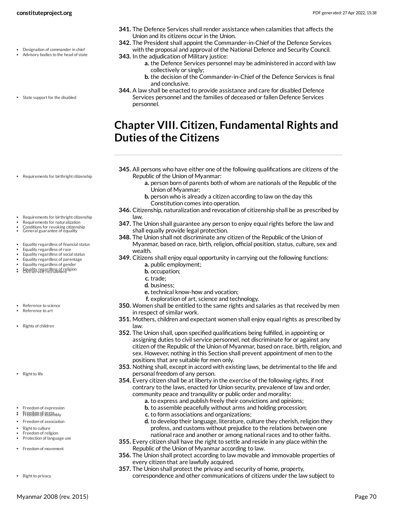- Advisory bodies to the head of state
- State support for the disabled

- Requirements for birthright citizenship
- Requirements for naturalization

Requirements for birthright citizenship

- Conditions for revoking citizenship General guarantee of equality
- 
- Equality regardless of financial status
- Equality regardless of race
- Equality regardless of social status
- Equality regardless of parentage
- Equality regardless of gender
- : Equality regardless of religion
- Reference to science
- Reference to art
- Rights of children
- Right to life
- Freedom of expression
- **FFEEDOM OF BEES FINDLY**
- Freedom of association
- **Right to culture**
- Freedom of religion
- Protection of language use
- Freedom of movement
- Right to privacy
- **341.** The Defence Services shall render assistance when calamities that affects the Union and its citizens occur in the Union.
- **342.** The President shall appoint the Commander-in-Chief of the Defence Services
- with the proposal and approval of the National Defence and Security Council. **343.** In the adjudication of Military justice:
	- **a.** the Defence Services personnel may be administered in accord with law collectively or singly;
	- **b.** the decision of the Commander-in-Chief of the Defence Services is final and conclusive.
- **344.** A law shall be enacted to provide assistance and care for disabled Defence Services personnel and the families of deceased or fallen Defence Services personnel.

# **Chapter VIII. Citizen, Fundamental Rights and Duties of the Citizens**

- **345.** All persons who have either one of the following qualifications are citizens of the Republic of the Union of Myanmar:
	- **a.** person born of parents both of whom are nationals of the Republic of the Union of Myanmar;
	- **b.** person who is already a citizen according to law on the day this Constitution comes into operation.
- **346.** Citizenship, naturalization and revocation of citizenship shall be as prescribed by law.
- **347.** The Union shall guarantee any person to enjoy equal rights before the law and shall equally provide legal protection.
- **348.** The Union shall not discriminate any citizen of the Republic of the Union of Myanmar, based on race, birth, religion, official position, status, culture, sex and wealth.
- **349.** Citizens shall enjoy equal opportunity in carrying out the following functions:
	- **a.** public employment;
	- **b.** occupation;
	- **c.** trade;
	- **d.** business;
	- **e.** technical know-how and vocation;
	- **f.** exploration of art, science and technology.
- **350.** Women shall be entitled to the same rights and salaries as that received by men in respect of similar work.
- **351.** Mothers, children and expectant women shall enjoy equal rights as prescribed by law.
- **352.** The Union shall, upon specified qualifications being fulfilled, in appointing or assigning duties to civil service personnel, not discriminate for or against any citizen of the Republic of the Union of Myanmar, based on race, birth, religion, and sex. However, nothing in this Section shall prevent appointment of men to the positions that are suitable for men only.
- **353.** Nothing shall, except in accord with existing laws, be detrimental to the life and personal freedom of any person.
- **354.** Every citizen shall be at liberty in the exercise of the following rights, if not contrary to the laws, enacted for Union security, prevalence of law and order, community peace and tranquility or public order and morality:
	- **a.** to express and publish freely their convictions and opinions;
	- **b.** to assemble peacefully without arms and holding procession;
	- **c.** to form associations and organizations;
	- **d.** to develop their language, literature, culture they cherish, religion they profess, and customs without prejudice to the relations between one national race and another or among national races and to other faiths.
- **355.** Every citizen shall have the right to settle and reside in any place within the Republic of the Union of Myanmar according to law.
- **356.** The Union shall protect according to law movable and immovable properties of every citizen that are lawfully acquired.
- **357.** The Union shall protect the privacy and security of home, property, correspondence and other communications of citizens under the law subject to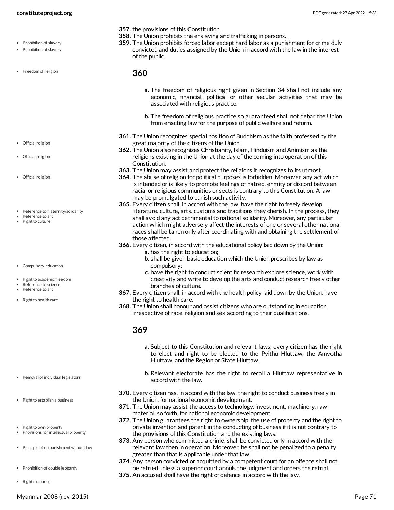- Prohibition of slavery
- Prohibition of slavery
- 

• Freedom of religion

- **357.** the provisions of this Constitution.
- **358.** The Union prohibits the enslaving and trafficking in persons.
- **359.** The Union prohibits forced labor except hard labor as a punishment for crime duly convicted and duties assigned by the Union in accord with the law in the interest of the public.

# **360**

- **a.** The freedom of religious right given in Section 34 shall not include any economic, financial, political or other secular activities that may be associated with religious practice.
- **b.** The freedom of religious practice so guaranteed shall not debar the Union from enacting law for the purpose of public welfare and reform.
- **361.** The Union recognizes special position of Buddhism as the faith professed by the great majority of the citizens of the Union.
- **362.** The Union also recognizes Christianity, Islam, Hinduism and Animism as the religions existing in the Union at the day of the coming into operation of this Constitution.
- **363.** The Union may assist and protect the religions it recognizes to its utmost.
- **364.** The abuse of religion for political purposes is forbidden. Moreover, any act which is intended or is likely to promote feelings of hatred, enmity or discord between racial or religious communities or sects is contrary to this Constitution. A law may be promulgated to punish such activity.
- **365.** Every citizen shall, in accord with the law, have the right to freely develop literature, culture, arts, customs and traditions they cherish. In the process, they shall avoid any act detrimental to national solidarity. Moreover, any particular action which might adversely affect the interests of one or several other national races shall be taken only after coordinating with and obtaining the settlement of those affected.
- **366.** Every citizen, in accord with the educational policy laid down by the Union: **a.** has the right to education;
	- **b.** shall be given basic education which the Union prescribes by law as compulsory;
	- **c.** have the right to conduct scientific research explore science, work with creativity and write to develop the arts and conduct research freely other branches of culture.
- **367.** Every citizen shall, in accord with the health policy laid down by the Union, have the right to health care.
- **368.** The Union shall honour and assist citizens who are outstanding in education irrespective of race, religion and sex according to their qualifications.

- **a.** Subject to this Constitution and relevant laws, every citizen has the right to elect and right to be elected to the Pyithu Hluttaw, the Amyotha Hluttaw, and the Region or State Hluttaw.
- **b.** Relevant electorate has the right to recall a Hluttaw representative in accord with the law.
- **370.** Every citizen has, in accord with the law, the right to conduct business freely in the Union, for national economic development.
- **371.** The Union may assist the access to technology, investment, machinery, raw material, so forth, for national economic development.
- **372.** The Union guarantees the right to ownership, the use of property and the right to private invention and patent in the conducting of business if it is not contrary to the provisions of this Constitution and the existing laws.
- **373.** Any person who committed a crime, shall be convicted only in accord with the relevant law then in operation. Moreover, he shall not be penalized to a penalty greater than that is applicable under that law.
- **374.** Any person convicted or acquitted by a competent court for an offence shall not be retried unless a superior court annuls the judgment and orders the retrial.
- **375.** An accused shall have the right of defence in accord with the law.
- Official religion
- Official religion
- Official religion
- Reference to fraternity/solidarity
- Reference to art Right to culture
- 
- Compulsory education
- Right to academic freedom
- Reference to science Reference to art
- 
- Right to health care

- Removal of individual legislators
- Right to establish a business
- Right to own property
- Provisions for intellectual property
- $\bullet$  Principle of no punishment without law
- Prohibition of double jeopardy
- Right to counsel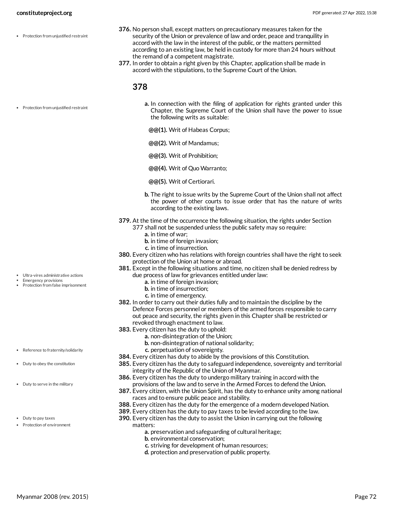• Protection from uniustified restraint

- **376.** No person shall, except matters on precautionary measures taken for the security of the Union or prevalence of law and order, peace and tranquility in accord with the law in the interest of the public, or the matters permitted according to an existing law, be held in custody for more than 24 hours without the remand of a competent magistrate.
- **377.** In order to obtain a right given by this Chapter, application shall be made in accord with the stipulations, to the Supreme Court of the Union.

# **378**

• Protection from unjustified restraint

- **a.** In connection with the filing of application for rights granted under this Chapter, the Supreme Court of the Union shall have the power to issue the following writs as suitable:
- **@@(1).** Writ of Habeas Corpus;
- **@@(2).** Writ of Mandamus;
- **@@(3).** Writ of Prohibition;
- **@@(4).** Writ of Quo Warranto;
- **@@(5).** Writ of Certiorari.
- **b.** The right to issue writs by the Supreme Court of the Union shall not affect the power of other courts to issue order that has the nature of writs according to the existing laws.
- **379.** At the time of the occurrence the following situation, the rights under Section
	- 377 shall not be suspended unless the public safety may so require:
		- **a.** in time of war;
		- **b.** in time of foreign invasion;
		- **c.** in time of insurrection.
- **380.** Every citizen who has relations with foreign countries shall have the right to seek protection of the Union at home or abroad.
- **381.** Except in the following situations and time, no citizen shall be denied redress by due process of law for grievances entitled under law:
	- **a.** in time of foreign invasion;
	- **b.** in time of insurrection;
	- **c.** in time of emergency.
- **382.** In order to carry out their duties fully and to maintain the discipline by the Defence Forces personnel or members of the armed forces responsible to carry out peace and security, the rights given in this Chapter shall be restricted or revoked through enactment to law.
- **383.** Every citizen has the duty to uphold:
	- **a.** non-disintegration of the Union;
		- **b.** non-disintegration of national solidarity;
		- **c.** perpetuation of sovereignty.
- **384.** Every citizen has duty to abide by the provisions of this Constitution.
- **385.** Every citizen has the duty to safeguard independence, sovereignty and territorial integrity of the Republic of the Union of Myanmar.
- **386.** Every citizen has the duty to undergo military training in accord with the provisions of the law and to serve in the Armed Forces to defend the Union.
- **387.** Every citizen, with the Union Spirit, has the duty to enhance unity among national races and to ensure public peace and stability.
- **388.** Every citizen has the duty for the emergence of a modern developed Nation.
- **389.** Every citizen has the duty to pay taxes to be levied according to the law.
- **390.** Every citizen has the duty to assist the Union in carrying out the following matters:
	- **a.** preservation and safeguarding of cultural heritage;
	- **b.** environmental conservation;
	- **c.** striving for development of human resources;
	- **d.** protection and preservation of public property.
- Ultra-vires administrative actions
- Emergency provisions
- Protection from false imprisonment

- Reference to fraternity/solidarity
- Duty to obey the constitution
- Duty to serve in the military
- Duty to pay taxes
- Protection of environment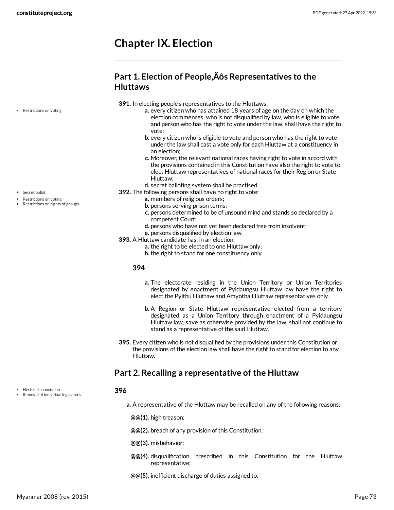# **Chapter IX. Election**

### <span id="page-72-2"></span>**Part 1. Election of People, Äôs Representatives to the Hluttaws**

- **391.** In electing people's representatives to the Hluttaws:
	- **a.** every citizen who has attained 18 years of age on the day on which the election commences, who is not disqualified by law, who is eligible to vote, and person who has the right to vote under the law, shall have the right to vote;
	- **b.** every citizen who is eligible to vote and person who has the right to vote under the law shall cast a vote only for each Hluttaw at a constituency in an election;
	- **c.** Moreover, the relevant national races having right to vote in accord with the provisions contained in this Constitution have also the right to vote to elect Hluttaw representatives of national races for their Region or State Hluttaw;
	- **d.** secret balloting system shall be practised.
	- **392.** The following persons shall have no right to vote:
		- **a.** members of religious orders;
		- **b.** persons serving prison terms;
		- **c.** persons determined to be of unsound mind and stands so declared by a competent Court;
		- **d.** persons who have not yet been declared free from insolvent;
		- **e.** persons disqualified by election law.
	- **393.** A Hluttaw candidate has, in an election:
		- **a.** the right to be elected to one Hluttaw only;
		- **b.** the right to stand for one constituency only.

#### **394**

- **a.** The electorate residing in the Union Territory or Union Territories designated by enactment of Pyidaungsu Hluttaw law have the right to elect the Pyithu Hluttaw and Amyotha Hluttaw representatives only.
- **b.** A Region or State Hluttaw representative elected from a territory designated as a Union Territory through enactment of a Pyidaungsu Hluttaw law, save as otherwise provided by the law, shall not continue to stand as a representative of the said Hluttaw.
- **395.** Every citizen who is not disqualified by the provisions under this Constitution or the provisions of the election law shall have the right to stand for election to any Hluttaw.

### <span id="page-72-1"></span>**Part 2. Recalling a representative of the Hluttaw**

#### <span id="page-72-0"></span>**396**

**a.** A representative of the Hluttaw may be recalled on any of the following reasons:

**@@(1).** high treason;

- **@@(2).** breach of any provision of this Constitution;
- **@@(3).** misbehavior;
- **@@(4).** disqualification prescribed in this Constitution for the Hluttaw representative;
- **@@(5).** inefficient discharge of duties assigned to.

• Restrictions on voting

- Secret ballot
- Restrictions on voting Restrictions on rights of groups

Removal of individual legislators

Electoral commission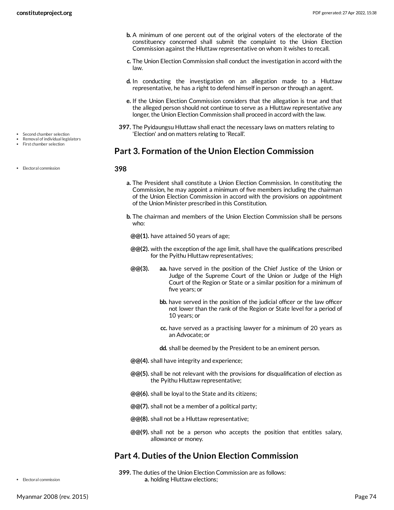- Second chamber selection
- Removal of individual legislators
- First chamber selection
- Electoral commission
- **b.** A minimum of one percent out of the original voters of the electorate of the constituency concerned shall submit the complaint to the Union Election Commission against the Hluttaw representative on whom it wishes to recall.
- **c.** The Union Election Commission shall conduct the investigation in accord with the law.
- **d.** In conducting the investigation on an allegation made to a Hluttaw representative, he has a right to defend himself in person or through an agent.
- **e.** If the Union Election Commission considers that the allegation is true and that the alleged person should not continue to serve as a Hluttaw representative any longer, the Union Election Commission shall proceed in accord with the law.
- **397.** The Pyidaungsu Hluttaw shall enact the necessary laws on matters relating to 'Election' and on matters relating to 'Recall'.

### **Part 3. Formation of the Union Election Commission**

#### <span id="page-73-0"></span>**398**

- **a.** The President shall constitute a Union Election Commission. In constituting the Commission, he may appoint a minimum of five members including the chairman of the Union Election Commission in accord with the provisions on appointment of the Union Minister prescribed in this Constitution.
- **b.** The chairman and members of the Union Election Commission shall be persons who:
	- **@@(1).** have attained 50 years of age;
- **@@(2).** with the exception of the age limit, shall have the qualifications prescribed for the Pyithu Hluttaw representatives;
- **@@(3). aa.** have served in the position of the Chief Justice of the Union or Judge of the Supreme Court of the Union or Judge of the High Court of the Region or State or a similar position for a minimum of five years; or
	- **bb.** have served in the position of the judicial officer or the law officer not lower than the rank of the Region or State level for a period of 10 years; or
	- **cc.** have served as a practising lawyer for a minimum of 20 years as an Advocate; or

**dd.** shall be deemed by the President to be an eminent person.

- **@@(4).** shall have integrity and experience;
- **@@(5).** shall be not relevant with the provisions for disqualification of election as the Pyithu Hluttaw representative;
- **@@(6).** shall be loyal to the State and its citizens;
- **@@(7).** shall not be a member of a political party;
- **@@(8).** shall not be a Hluttaw representative;
- **@@(9).** shall not be a person who accepts the position that entitles salary, allowance or money.

### <span id="page-73-1"></span>**Part 4. Duties of the Union Election Commission**

**399.** The duties of the Union Election Commission are as follows: **a.** holding Hluttaw elections;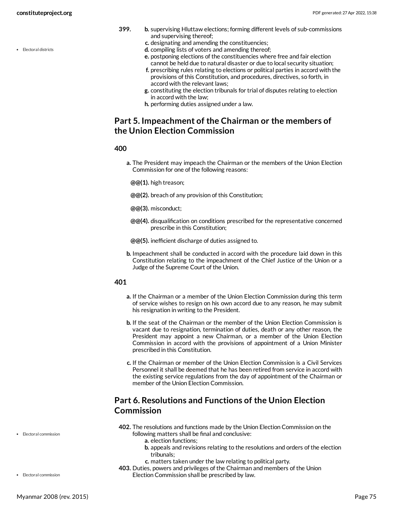- **399. b.** supervising Hluttaw elections; forming different levels of sub-commissions and supervising thereof;
	- **c.** designating and amending the constituencies;
	- **d.** compiling lists of voters and amending thereof;
	- **e.** postponing elections of the constituencies where free and fair election cannot be held due to natural disaster or due to local security situation;
	- **f.** prescribing rules relating to elections or political parties in accord with the provisions of this Constitution, and procedures, directives, so forth, in accord with the relevant laws;
	- **g.** constituting the election tribunals for trial of disputes relating to election in accord with the law;
	- **h.** performing duties assigned under a law.

### **Part 5. Impeachment of the Chairman or the members of the Union Election Commission**

#### **400**

**a.** The President may impeach the Chairman or the members of the Union Election Commission for one of the following reasons:

**@@(1).** high treason;

- **@@(2).** breach of any provision of this Constitution;
- **@@(3).** misconduct;
- **@@(4).** disqualification on conditions prescribed for the representative concerned prescribe in this Constitution;
- **@@(5).** inefficient discharge of duties assigned to.
- **b.** Impeachment shall be conducted in accord with the procedure laid down in this Constitution relating to the impeachment of the Chief Justice of the Union or a Judge of the Supreme Court of the Union.

#### **401**

- **a.** If the Chairman or a member of the Union Election Commission during this term of service wishes to resign on his own accord due to any reason, he may submit his resignation in writing to the President.
- **b.** If the seat of the Chairman or the member of the Union Election Commission is vacant due to resignation, termination of duties, death or any other reason, the President may appoint a new Chairman, or a member of the Union Election Commission in accord with the provisions of appointment of a Union Minister prescribed in this Constitution.
- **c.** If the Chairman or member of the Union Election Commission is a Civil Services Personnel it shall be deemed that he has been retired from service in accord with the existing service regulations from the day of appointment of the Chairman or member of the Union Election Commission.

### <span id="page-74-0"></span>**Part 6. Resolutions and Functions of the Union Election Commission**

- **402.** The resolutions and functions made by the Union Election Commission on the following matters shall be final and conclusive:
	- **a.** election functions;
	- **b.** appeals and revisions relating to the resolutions and orders of the election tribunals;
	- **c.** matters taken under the law relating to political party.
- **403.** Duties, powers and privileges of the Chairman and members of the Union Election Commission shall be prescribed by law.

Electoral commission

• Flectoral commission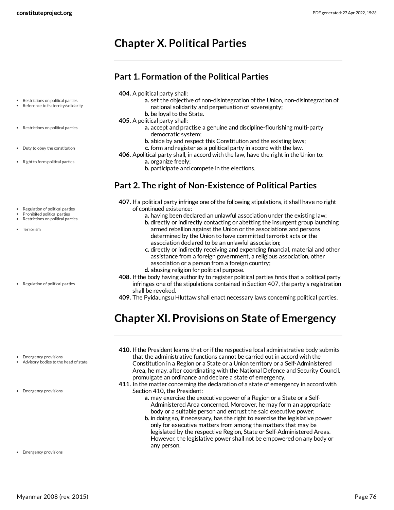# **Chapter X. Political Parties**

### <span id="page-75-1"></span>**Part 1. Formation of the Political Parties**

- **404.** A political party shall:
	- **a.** set the objective of non-disintegration of the Union, non-disintegration of national solidarity and perpetuation of sovereignty;
	- **b.** be loyal to the State.
- **405.** A political party shall:
	- **a.** accept and practise a genuine and discipline-flourishing multi-party democratic system;
	- **b.** abide by and respect this Constitution and the existing laws;
	- **c.** form and register as a political party in accord with the law.
- **406.** Apolitical party shall, in accord with the law, have the right in the Union to: **a.** organize freely;
	- **b.** participate and compete in the elections.

### <span id="page-75-2"></span>**Part 2. The right of Non-Existence of Political Parties**

- **407.** If a political party infringe one of the following stipulations, it shall have no right of continued existence:
	- **a.** having been declared an unlawful association under the existing law;
	- **b.** directly or indirectly contacting or abetting the insurgent group launching armed rebellion against the Union or the associations and persons determined by the Union to have committed terrorist acts or the association declared to be an unlawful association;
	- **c.** directly or indirectly receiving and expending financial, material and other assistance from a foreign government, a religious association, other association or a person from a foreign country;
	- **d.** abusing religion for political purpose.
- **408.** If the body having authority to register political parties finds that a political party infringes one of the stipulations contained in Section 407, the party's registration shall be revoked.
- **409.** The Pyidaungsu Hluttaw shall enact necessary laws concerning political parties.

# <span id="page-75-0"></span>**Chapter XI. Provisions on State of Emergency**

- **410.** If the President learns that or if the respective local administrative body submits that the administrative functions cannot be carried out in accord with the Constitution in a Region or a State or a Union territory or a Self-Administered Area, he may, after coordinating with the National Defence and Security Council, promulgate an ordinance and declare a state of emergency.
- **411.** In the matter concerning the declaration of a state of emergency in accord with Section 410, the President:
	- **a.** may exercise the executive power of a Region or a State or a Self-Administered Area concerned. Moreover, he may form an appropriate body or a suitable person and entrust the said executive power;
	- **b.** in doing so, if necessary, has the right to exercise the legislative power only for executive matters from among the matters that may be legislated by the respective Region, State or Self-Administered Areas. However, the legislative power shall not be empowered on any body or any person.

Restrictions on political parties Reference to fraternity/solidarity

- Restrictions on political parties
- Duty to obey the constitution
- $\cdot$  Right to form political parties
- Regulation of political parties
- Prohibited political parties
- Restrictions on political parties
- Terrorism
- Regulation of political parties

- Emergency provisions
- Advisory bodies to the head of state
- **Emergency provisions**

• Emergency provisions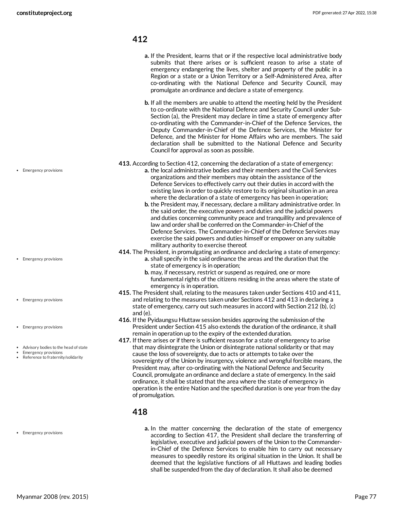**412**

- **a.** If the President, learns that or if the respective local administrative body submits that there arises or is sufficient reason to arise a state of emergency endangering the lives, shelter and property of the public in a Region or a state or a Union Territory or a Self-Administered Area, after co-ordinating with the National Defence and Security Council, may promulgate an ordinance and declare a state of emergency.
- **b.** If all the members are unable to attend the meeting held by the President to co-ordinate with the National Defence and Security Council under Sub-Section (a), the President may declare in time a state of emergency after co-ordinating with the Commander-in-Chief of the Defence Services, the Deputy Commander-in-Chief of the Defence Services, the Minister for Defence, and the Minister for Home Affairs who are members. The said declaration shall be submitted to the National Defence and Security Council for approval as soon as possible.
- **413.** According to Section 412, concerning the declaration of a state of emergency:
	- **a.** the local administrative bodies and their members and the Civil Services organizations and their members may obtain the assistance of the Defence Services to effectively carry out their duties in accord with the existing laws in order to quickly restore to its original situation in an area where the declaration of a state of emergency has been in operation;
	- **b.** the President may, if necessary, declare a military administrative order. In the said order, the executive powers and duties and the judicial powers and duties concerning community peace and tranquillity and prevalence of law and order shall be conferred on the Commander-in-Chief of the Defence Services. The Commander-in-Chief of the Defence Services may exercise the said powers and duties himself or empower on any suitable military authority to exercise thereof.
- **414.** The President, in promulgating an ordinance and declaring a state of emergency:
	- **a.** shall specify in the said ordinance the areas and the duration that the state of emergency is in operation;
		- **b.** may, if necessary, restrict or suspend as required, one or more fundamental rights of the citizens residing in the areas where the state of emergency is in operation.
- **415.** The President shall, relating to the measures taken under Sections 410 and 411, and relating to the measures taken under Sections 412 and 413 in declaring a state of emergency, carry out such measures in accord with Section 212 (b), (c) and (e).
- **416.** If the Pyidaungsu Hluttaw session besides approving the submission of the President under Section 415 also extends the duration of the ordinance, it shall remain in operation up to the expiry of the extended duration.
- **417.** If there arises or if there is sufficient reason for a state of emergency to arise that may disintegrate the Union or disintegrate national solidarity or that may cause the loss of sovereignty, due to acts or attempts to take over the sovereignty of the Union by insurgency, violence and wrongful forcible means, the President may, after co-ordinating with the National Defence and Security Council, promulgate an ordinance and declare a state of emergency. In the said ordinance, it shall be stated that the area where the state of emergency in operation is the entire Nation and the specified duration is one year from the day of promulgation.

### **418**

• Emergency provisions

<span id="page-76-0"></span>**a.** In the matter concerning the declaration of the state of emergency according to Section 417, the President shall declare the transferring of legislative, executive and judicial powers of the Union to the Commanderin-Chief of the Defence Services to enable him to carry out necessary measures to speedily restore its original situation in the Union. It shall be deemed that the legislative functions of all Hluttaws and leading bodies shall be suspended from the day of declaration. It shall also be deemed

• Emergency provisions

- Emergency provisions
- Emergency provisions
- Emergency provisions
- Advisory bodies to the head of state
- Emergency provisions Reference to fraternity/solidarity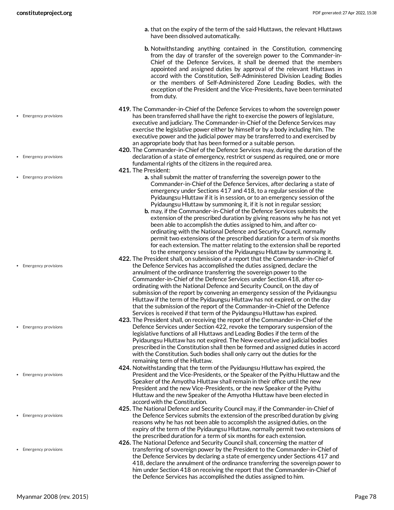- Emergency provisions
- Emergency provisions
- Emergency provisions

• Emergency provisions

- Emergency provisions
- Emergency provisions
- Emergency provisions
- Emergency provisions
- **a.** that on the expiry of the term of the said Hluttaws, the relevant Hluttaws have been dissolved automatically.
- **b.** Notwithstanding anything contained in the Constitution, commencing from the day of transfer of the sovereign power to the Commander-in-Chief of the Defence Services, it shall be deemed that the members appointed and assigned duties by approval of the relevant Hluttaws in accord with the Constitution, Self-Administered Division Leading Bodies or the members of Self-Administered Zone Leading Bodies, with the exception of the President and the Vice-Presidents, have been terminated from duty.
- **419.** The Commander-in-Chief of the Defence Services to whom the sovereign power has been transferred shall have the right to exercise the powers of legislature, executive and judiciary. The Commander-in-Chief of the Defence Services may exercise the legislative power either by himself or by a body including him. The executive power and the judicial power may be transferred to and exercised by an appropriate body that has been formed or a suitable person.
- **420.** The Commander-in-Chief of the Defence Services may, during the duration of the declaration of a state of emergency, restrict or suspend as required, one or more fundamental rights of the citizens in the required area.
- **421.** The President:
	- **a.** shall submit the matter of transferring the sovereign power to the Commander-in-Chief of the Defence Services, after declaring a state of emergency under Sections 417 and 418, to a regular session of the Pyidaungsu Hluttaw if it is in session, or to an emergency session of the Pyidaungsu Hluttaw by summoning it, if it is not in regular session;
	- **b.** may, if the Commander-in-Chief of the Defence Services submits the extension of the prescribed duration by giving reasons why he has not yet been able to accomplish the duties assigned to him, and after coordinating with the National Defence and Security Council, normally permit two extensions of the prescribed duration for a term of six months for each extension. The matter relating to the extension shall be reported to the emergency session of the Pyidaungsu Hluttaw by summoning it.
- **422.** The President shall, on submission of a report that the Commander-in-Chief of the Defence Services has accomplished the duties assigned, declare the annulment of the ordinance transferring the sovereign power to the Commander-in-Chief of the Defence Services under Section 418, after coordinating with the National Defence and Security Council, on the day of submission of the report by convening an emergency session of the Pyidaungsu Hluttaw if the term of the Pyidaungsu Hluttaw has not expired, or on the day that the submission of the report of the Commander-in-Chief of the Defence Services is received if that term of the Pyidaungsu Hluttaw has expired.
- **423.** The President shall, on receiving the report of the Commander-in-Chief of the Defence Services under Section 422, revoke the temporary suspension of the legislative functions of all Hluttaws and Leading Bodies if the term of the Pyidaungsu Hluttaw has not expired. The New executive and judicial bodies prescribed in the Constitution shall then be formed and assigned duties in accord with the Constitution. Such bodies shall only carry out the duties for the remaining term of the Hluttaw.
- **424.** Notwithstanding that the term of the Pyidaungsu Hluttaw has expired, the President and the Vice-Presidents, or the Speaker of the Pyithu Hluttaw and the Speaker of the Amyotha Hluttaw shall remain in their office until the new President and the new Vice-Presidents, or the new Speaker of the Pyithu Hluttaw and the new Speaker of the Amyotha Hluttaw have been elected in accord with the Constitution.
- **425.** The National Defence and Security Council may, if the Commander-in-Chief of the Defence Services submits the extension of the prescribed duration by giving reasons why he has not been able to accomplish the assigned duties, on the expiry of the term of the Pyidaungsu Hluttaw, normally permit two extensions of the prescribed duration for a term of six months for each extension.
- **426.** The National Defence and Security Council shall, concerning the matter of transferring of sovereign power by the President to the Commander-in-Chief of the Defence Services by declaring a state of emergency under Sections 417 and 418, declare the annulment of the ordinance transferring the sovereign power to him under Section 418 on receiving the report that the Commander-in-Chief of the Defence Services has accomplished the duties assigned to him.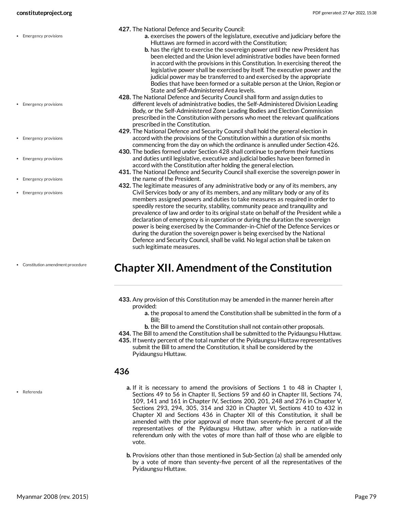**Emergency provisions** 

- Emergency provisions
- **Emergency provisions**
- Emergency provisions
- Emergency provisions
- Emergency provisions
- **427.** The National Defence and Security Council:
	- **a.** exercises the powers of the legislature, executive and judiciary before the Hluttaws are formed in accord with the Constitution;
	- **b.** has the right to exercise the sovereign power until the new President has been elected and the Union level administrative bodies have been formed in accord with the provisions in this Constitution. In exercising thereof, the legislative power shall be exercised by itself. The executive power and the judicial power may be transferred to and exercised by the appropriate Bodies that have been formed or a suitable person at the Union, Region or State and Self-Administered Area levels.
- **428.** The National Defence and Security Council shall form and assign duties to different levels of administrative bodies, the Self-Administered Division Leading Body, or the Self-Administered Zone Leading Bodies and Election Commission prescribed in the Constitution with persons who meet the relevant qualifications prescribed in the Constitution.
- **429.** The National Defence and Security Council shall hold the general election in accord with the provisions of the Constitution within a duration of six months commencing from the day on which the ordinance is annulled under Section 426.
- **430.** The bodies formed under Section 428 shall continue to perform their functions and duties until legislative, executive and judicial bodies have been formed in accord with the Constitution after holding the general election.
- **431.** The National Defence and Security Council shall exercise the sovereign power in the name of the President.
- **432.** The legitimate measures of any administrative body or any of its members, any Civil Services body or any of its members, and any military body or any of its members assigned powers and duties to take measures as required in order to speedily restore the security, stability, community peace and tranquility and prevalence of law and order to its original state on behalf of the President while a declaration of emergency is in operation or during the duration the sovereign power is being exercised by the Commander-in-Chief of the Defence Services or during the duration the sovereign power is being exercised by the National Defence and Security Council, shall be valid. No legal action shall be taken on such legitimate measures.

# <span id="page-78-0"></span>**Chapter XII. Amendment of the Constitution**

- **433.** Any provision of this Constitution may be amended in the manner herein after provided:
	- **a.** the proposal to amend the Constitution shall be submitted in the form of a Bill;
	- **b.** the Bill to amend the Constitution shall not contain other proposals.
- **434.** The Bill to amend the Constitution shall be submitted to the Pyidaungsu Hluttaw.
- **435.** If twenty percent of the total number of the Pyidaungsu Hluttaw representatives submit the Bill to amend the Constitution, it shall be considered by the Pyidaungsu Hluttaw.

### **436**

- <span id="page-78-1"></span>**a.** If it is necessary to amend the provisions of Sections 1 to 48 in Chapter I, Sections 49 to 56 in Chapter II, Sections 59 and 60 in Chapter III, Sections 74, 109, 141 and 161 in Chapter IV, Sections 200, 201, 248 and 276 in Chapter V, Sections 293, 294, 305, 314 and 320 in Chapter VI, Sections 410 to 432 in Chapter XI and Sections 436 in Chapter XII of this Constitution, it shall be amended with the prior approval of more than seventy-five percent of all the representatives of the Pyidaungsu Hluttaw, after which in a nation-wide referendum only with the votes of more than half of those who are eligible to vote.
- **b.** Provisions other than those mentioned in Sub-Section (a) shall be amended only by a vote of more than seventy-five percent of all the representatives of the Pyidaungsu Hluttaw.

Referenda

Constitution amendment procedure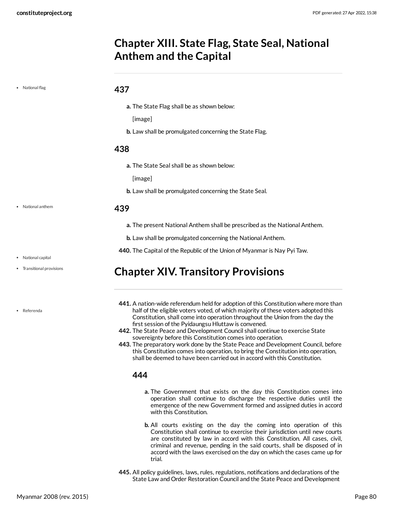# <span id="page-79-1"></span>**Chapter XIII. State Flag, State Seal, National Anthem and the Capital**

#### • National flag

#### <span id="page-79-2"></span>**437**

**a.** The State Flag shall be as shown below:

[image]

**b.** Law shall be promulgated concerning the State Flag.

### **438**

**a.** The State Seal shall be as shown below:

[image]

**b.** Law shall be promulgated concerning the State Seal.

<span id="page-79-0"></span>**439**

**a.** The present National Anthem shall be prescribed as the National Anthem.

**b.** Law shall be promulgated concerning the National Anthem.

National capital

National anthem

- Transitional provisions
- Referenda

**440.** The Capital of the Republic of the Union of Myanmar is Nay Pyi Taw.

# <span id="page-79-3"></span>**Chapter XIV. Transitory Provisions**

- **441.** A nation-wide referendum held for adoption of this Constitution where more than half of the eligible voters voted, of which majority of these voters adopted this Constitution, shall come into operation throughout the Union from the day the first session of the Pyidaungsu Hluttaw is convened.
- **442.** The State Peace and Development Council shall continue to exercise State sovereignty before this Constitution comes into operation.
- **443.** The preparatory work done by the State Peace and Development Council, before this Constitution comes into operation, to bring the Constitution into operation, shall be deemed to have been carried out in accord with this Constitution.

### **444**

- **a.** The Government that exists on the day this Constitution comes into operation shall continue to discharge the respective duties until the emergence of the new Government formed and assigned duties in accord with this Constitution.
- **b.** All courts existing on the day the coming into operation of this Constitution shall continue to exercise their jurisdiction until new courts are constituted by law in accord with this Constitution. All cases, civil, criminal and revenue, pending in the said courts, shall be disposed of in accord with the laws exercised on the day on which the cases came up for trial.
- **445.** All policy guidelines, laws, rules, regulations, notifications and declarations of the State Law and Order Restoration Council and the State Peace and Development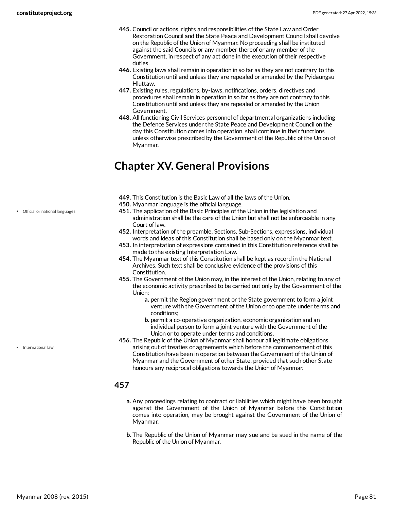- **445.** Council or actions, rights and responsibilities of the State Law and Order Restoration Council and the State Peace and Development Council shall devolve on the Republic of the Union of Myanmar. No proceeding shall be instituted against the said Councils or any member thereof or any member of the Government, in respect of any act done in the execution of their respective duties.
- **446.** Existing laws shall remain in operation in so far as they are not contrary to this Constitution until and unless they are repealed or amended by the Pyidaungsu Hluttaw.
- **447.** Existing rules, regulations, by-laws, notifications, orders, directives and procedures shall remain in operation in so far as they are not contrary to this Constitution until and unless they are repealed or amended by the Union Government.
- **448.** All functioning Civil Services personnel of departmental organizations including the Defence Services under the State Peace and Development Council on the day this Constitution comes into operation, shall continue in their functions unless otherwise prescribed by the Government of the Republic of the Union of Myanmar.

# <span id="page-80-0"></span>**Chapter XV. General Provisions**

- **449.** This Constitution is the Basic Law of all the laws of the Union.
- **450.** Myanmar language is the official language.
- **451.** The application of the Basic Principles of the Union in the legislation and administration shall be the care of the Union but shall not be enforceable in any Court of law.
- **452.** Interpretation of the preamble, Sections, Sub-Sections, expressions, individual words and ideas of this Constitution shall be based only on the Myanmar text.
- **453.** In interpretation of expressions contained in this Constitution reference shall be made to the existing Interpretation Law.
- **454.** The Myanmar text of this Constitution shall be kept as record in the National Archives. Such text shall be conclusive evidence of the provisions of this Constitution.
- **455.** The Government of the Union may, in the interest of the Union, relating to any of the economic activity prescribed to be carried out only by the Government of the Union:
	- **a.** permit the Region government or the State government to form a joint venture with the Government of the Union or to operate under terms and conditions;
	- **b.** permit a co-operative organization, economic organization and an individual person to form a joint venture with the Government of the Union or to operate under terms and conditions.
- **456.** The Republic of the Union of Myanmar shall honour all legitimate obligations arising out of treaties or agreements which before the commencement of this Constitution have been in operation between the Government of the Union of Myanmar and the Government of other State, provided that such other State honours any reciprocal obligations towards the Union of Myanmar.

### **457**

- **a.** Any proceedings relating to contract or liabilities which might have been brought against the Government of the Union of Myanmar before this Constitution comes into operation, may be brought against the Government of the Union of Myanmar.
- **b.** The Republic of the Union of Myanmar may sue and be sued in the name of the Republic of the Union of Myanmar.

Official or national languages

• International law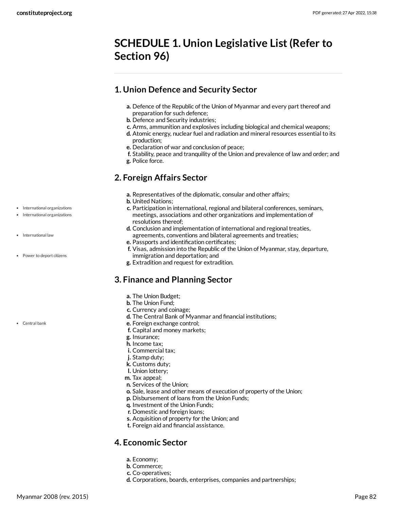# **SCHEDULE 1. Union Legislative List (Refer to Section 96)**

### **1. Union Defence and Security Sector**

- **a.** Defence of the Republic of the Union of Myanmar and every part thereof and preparation for such defence;
- **b.** Defence and Security industries;
- **c.** Arms, ammunition and explosives including biological and chemical weapons;
- **d.** Atomic energy, nuclear fuel and radiation and mineral resources essential to its production;
- **e.** Declaration of war and conclusion of peace;
- **f.** Stability, peace and tranquility of the Union and prevalence of law and order; and **g.** Police force.

### <span id="page-81-1"></span>**2. Foreign Affairs Sector**

- **a.** Representatives of the diplomatic, consular and other affairs;
- **b.** United Nations;
- **c.** Participation in international, regional and bilateral conferences, seminars, meetings, associations and other organizations and implementation of resolutions thereof;
- **d.** Conclusion and implementation of international and regional treaties, agreements, conventions and bilateral agreements and treaties;
- **e.** Passports and identification certificates;
- **f.** Visas, admission into the Republic of the Union of Myanmar, stay, departure, immigration and deportation; and
- **g.** Extradition and request for extradition.

### <span id="page-81-0"></span>**3. Finance and Planning Sector**

- **a.** The Union Budget;
- **b.** The Union Fund;
- **c.** Currency and coinage;
- **d.** The Central Bank of Myanmar and financial institutions;
- **e.** Foreign exchange control;
- **f.** Capital and money markets;
- **g.** Insurance;
- **h.** Income tax;
- **i.** Commercial tax;
- **j.** Stamp duty;
- **k.** Customs duty;
- **l.** Union lottery;
- **m.** Tax appeal;
- **n.** Services of the Union;
- **o.** Sale, lease and other means of execution of property of the Union;
- **p.** Disbursement of loans from the Union Funds;
- **q.** Investment of the Union Funds;
- **r.** Domestic and foreign loans;
- **s.** Acquisition of property for the Union; and
- **t.** Foreign aid and financial assistance.

### **4. Economic Sector**

- **a.** Economy;
- **b.** Commerce;
- **c.** Co-operatives;
- **d.** Corporations, boards, enterprises, companies and partnerships;

• International organizations • International organizations

• International law

• Power to deport citizens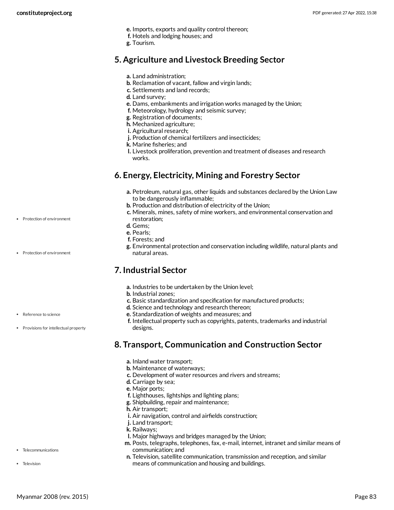- **e.** Imports, exports and quality control thereon;
- **f.** Hotels and lodging houses; and
- **g.** Tourism.

### **5. Agriculture and Livestock Breeding Sector**

- **a.** Land administration;
- **b.** Reclamation of vacant, fallow and virgin lands;
- **c.** Settlements and land records;
- **d.** Land survey;
- **e.** Dams, embankments and irrigation works managed by the Union;
- **f.** Meteorology, hydrology and seismic survey;
- **g.** Registration of documents;
- **h.** Mechanized agriculture;
- **i.** Agricultural research;
- **j.** Production of chemical fertilizers and insecticides;
- **k.** Marine fisheries; and
- **l.** Livestock proliferation, prevention and treatment of diseases and research works.

### <span id="page-82-0"></span>**6. Energy, Electricity, Mining and Forestry Sector**

- **a.** Petroleum, natural gas, other liquids and substances declared by the Union Law to be dangerously inflammable;
- **b.** Production and distribution of electricity of the Union;
- **c.** Minerals, mines, safety of mine workers, and environmental conservation and restoration;
- **d.** Gems;
- **e.** Pearls;
- **f.** Forests; and
- **g.** Environmental protection and conservation including wildlife, natural plants and natural areas.

### <span id="page-82-1"></span>**7. Industrial Sector**

- **a.** Industries to be undertaken by the Union level;
- **b.** Industrial zones;
- **c.** Basic standardization and specification for manufactured products;
- **d.** Science and technology and research thereon;
- **e.** Standardization of weights and measures; and
- **f.** Intellectual property such as copyrights, patents, trademarks and industrial designs.

### <span id="page-82-2"></span>**8. Transport, Communication and Construction Sector**

- **a.** Inland water transport;
- **b.** Maintenance of waterways;
- **c.** Development of water resources and rivers and streams;
- **d.** Carriage by sea;
- **e.** Major ports;
- **f.** Lighthouses, lightships and lighting plans;
- **g.** Shipbuilding, repair and maintenance;
- **h.** Air transport;
- **i.** Air navigation, control and airfields construction;
- **j.** Land transport;
- **k.** Railways;
- **l.** Major highways and bridges managed by the Union;
- **m.** Posts, telegraphs, telephones, fax, e-mail, internet, intranet and similar means of communication; and
- **n.** Television, satellite communication, transmission and reception, and similar means of communication and housing and buildings.

• Protection of environment

• Protection of environment

- Reference to science
- Provisions for intellectual property

#### • Telecommunications

**•** Television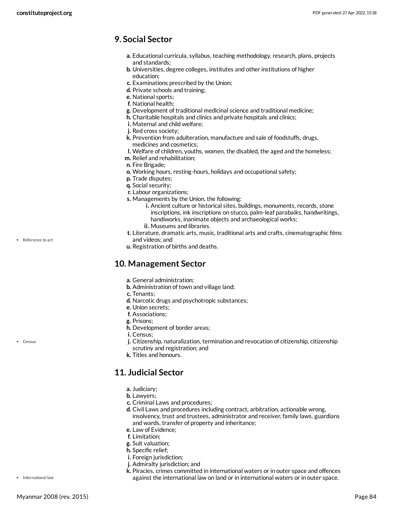### <span id="page-83-2"></span>**9. Social Sector**

- **a.** Educational curricula, syllabus, teaching methodology, research, plans, projects and standards;
- **b.** Universities, degree colleges, institutes and other institutions of higher education;
- **c.** Examinations prescribed by the Union;
- **d.** Private schools and training;
- **e.** National sports;
- **f.** National health;
- **g.** Development of traditional medicinal science and traditional medicine;
- **h.** Charitable hospitals and clinics and private hospitals and clinics;
	- **i.** Maternal and child welfare;
	- **j.** Red cross society;
	- **k.** Prevention from adulteration, manufacture and sale of foodstuffs, drugs, medicines and cosmetics;
- **l.** Welfare of children, youths, women, the disabled, the aged and the homeless;
- **m.** Relief and rehabilitation;
- **n.** Fire Brigade;
- **o.** Working hours, resting-hours, holidays and occupational safety;
- **p.** Trade disputes;
- **q.** Social security;
- **r.** Labour organizations;
- **s.** Managements by the Union, the following:
	- **i.** Ancient culture or historical sites, buildings, monuments, records, stone inscriptions, ink inscriptions on stucco, palm-leaf parabaiks, handwritings, handiworks, inanimate objects and archaeological works; **ii.** Museums and libraries.
- **t.** Literature, dramatic arts, music, traditional arts and crafts, cinematographic films and videos; and
- **u.** Registration of births and deaths.

### <span id="page-83-0"></span>**10. Management Sector**

- **a.** General administration;
- **b.** Administration of town and village land;
- **c.** Tenants;
- **d.** Narcotic drugs and psychotropic substances;
- **e.** Union secrets;
- **f.** Associations;
- **g.** Prisons;
	- **h.** Development of border areas;
	- **i.** Census;
	- **j.** Citizenship, naturalization, termination and revocation of citizenship, citizenship scrutiny and registration; and
	- **k.** Titles and honours.

### <span id="page-83-1"></span>**11. Judicial Sector**

- **a.** Judiciary;
- **b.** Lawyers;
- **c.** Criminal Laws and procedures;
- **d.** Civil Laws and procedures including contract, arbitration, actionable wrong, insolvency, trust and trustees, administrator and receiver, family laws, guardians and wards, transfer of property and inheritance;
- **e.** Law of Evidence;
- **f.** Limitation;
- **g.** Suit valuation;
- **h.** Specific relief;
- **i.** Foreign jurisdiction;
- **j.** Admiralty jurisdiction; and
- **k.** Piracies, crimes committed in international waters or in outer space and offences against the international law on land or in international waters or in outer space.

• Census

• Reference to art

• International law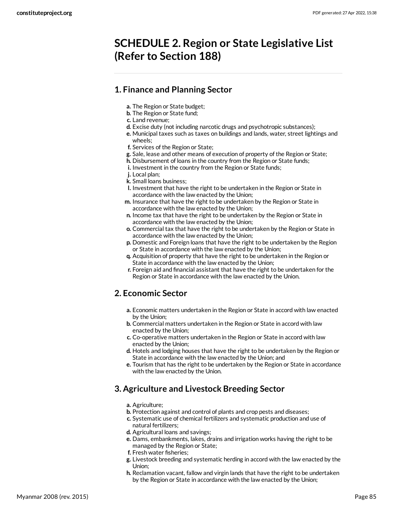# **SCHEDULE 2. Region or State Legislative List (Refer to Section 188)**

### **1. Finance and Planning Sector**

- **a.** The Region or State budget;
- **b.** The Region or State fund;
- **c.** Land revenue;
- **d.** Excise duty (not including narcotic drugs and psychotropic substances);
- **e.** Municipal taxes such as taxes on buildings and lands, water, street lightings and wheels;
- **f.** Services of the Region or State;
- **g.** Sale, lease and other means of execution of property of the Region or State;
- **h.** Disbursement of loans in the country from the Region or State funds;
- **i.** Investment in the country from the Region or State funds;
- **j.** Local plan;
- **k.** Small loans business;
- **l.** Investment that have the right to be undertaken in the Region or State in accordance with the law enacted by the Union;
- **m.** Insurance that have the right to be undertaken by the Region or State in accordance with the law enacted by the Union;
- **n.** Income tax that have the right to be undertaken by the Region or State in accordance with the law enacted by the Union;
- **o.** Commercial tax that have the right to be undertaken by the Region or State in accordance with the law enacted by the Union;
- **p.** Domestic and Foreign loans that have the right to be undertaken by the Region or State in accordance with the law enacted by the Union;
- **q.** Acquisition of property that have the right to be undertaken in the Region or State in accordance with the law enacted by the Union;
- **r.** Foreign aid and financial assistant that have the right to be undertaken for the Region or State in accordance with the law enacted by the Union.

### **2. Economic Sector**

- **a.** Economic matters undertaken in the Region or State in accord with law enacted by the Union;
- **b.** Commercial matters undertaken in the Region or State in accord with law enacted by the Union;
- **c.** Co-operative matters undertaken in the Region or State in accord with law enacted by the Union;
- **d.** Hotels and lodging houses that have the right to be undertaken by the Region or State in accordance with the law enacted by the Union; and
- **e.** Tourism that has the right to be undertaken by the Region or State in accordance with the law enacted by the Union.

### **3. Agriculture and Livestock Breeding Sector**

- **a.** Agriculture;
- **b.** Protection against and control of plants and crop pests and diseases;
- **c.** Systematic use of chemical fertilizers and systematic production and use of natural fertilizers;
- **d.** Agricultural loans and savings;
- **e.** Dams, embankments, lakes, drains and irrigation works having the right to be managed by the Region or State;
- **f.** Fresh water fisheries;
- **g.** Livestock breeding and systematic herding in accord with the law enacted by the Union;
- **h.** Reclamation vacant, fallow and virgin lands that have the right to be undertaken by the Region or State in accordance with the law enacted by the Union;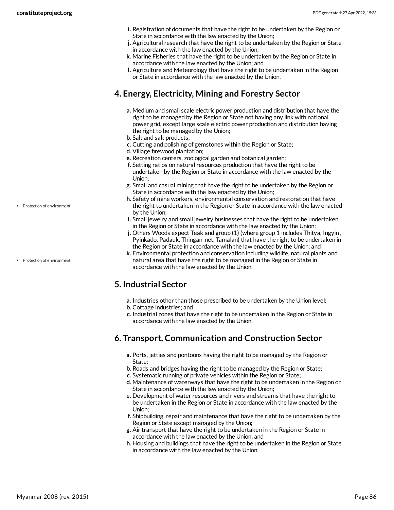- **i.** Registration of documents that have the right to be undertaken by the Region or State in accordance with the law enacted by the Union;
- **j.** Agricultural research that have the right to be undertaken by the Region or State in accordance with the law enacted by the Union;
- **k.** Marine Fisheries that have the right to be undertaken by the Region or State in accordance with the law enacted by the Union; and
- **l.** Agriculture and Meteorology that have the right to be undertaken in the Region or State in accordance with the law enacted by the Union.

### <span id="page-85-0"></span>**4. Energy, Electricity, Mining and Forestry Sector**

- **a.** Medium and small scale electric power production and distribution that have the right to be managed by the Region or State not having any link with national power grid, except large scale electric power production and distribution having the right to be managed by the Union;
- **b.** Salt and salt products;
- **c.** Cutting and polishing of gemstones within the Region or State;
- **d.** Village firewood plantation;
- **e.** Recreation centers, zoological garden and botanical garden;
- **f.** Setting ratios on natural resources production that have the right to be undertaken by the Region or State in accordance with the law enacted by the Union;
- **g.** Small and casual mining that have the right to be undertaken by the Region or State in accordance with the law enacted by the Union;
- **h.** Safety of mine workers, environmental conservation and restoration that have the right to undertaken in the Region or State in accordance with the law enacted by the Union;
- **i.** Small jewelry and small jewelry businesses that have the right to be undertaken in the Region or State in accordance with the law enacted by the Union;
- **j.** Others Woods expect Teak and group (1) (where group 1 includes Thitya, Ingyin , Pyinkado, Padauk, Thingan-net, Tamalan) that have the right to be undertaken in the Region or State in accordance with the law enacted by the Union; and
- **k.** Environmental protection and conservation including wildlife, natural plants and natural area that have the right to be managed in the Region or State in accordance with the law enacted by the Union.

### **5. Industrial Sector**

- **a.** Industries other than those prescribed to be undertaken by the Union level;
- **b.** Cottage industries; and
- **c.** Industrial zones that have the right to be undertaken in the Region or State in accordance with the law enacted by the Union.

### **6. Transport, Communication and Construction Sector**

- **a.** Ports, jetties and pontoons having the right to be managed by the Region or State;
- **b.** Roads and bridges having the right to be managed by the Region or State;
- **c.** Systematic running of private vehicles within the Region or State;
- **d.** Maintenance of waterways that have the right to be undertaken in the Region or State in accordance with the law enacted by the Union;
- **e.** Development of water resources and rivers and streams that have the right to be undertaken in the Region or State in accordance with the law enacted by the Union;
- **f.** Shipbuilding, repair and maintenance that have the right to be undertaken by the Region or State except managed by the Union;
- **g.** Air transport that have the right to be undertaken in the Region or State in accordance with the law enacted by the Union; and
- <span id="page-85-1"></span>**h.** Housing and buildings that have the right to be undertaken in the Region or State in accordance with the law enacted by the Union.

Protection of environment

• Protection of environment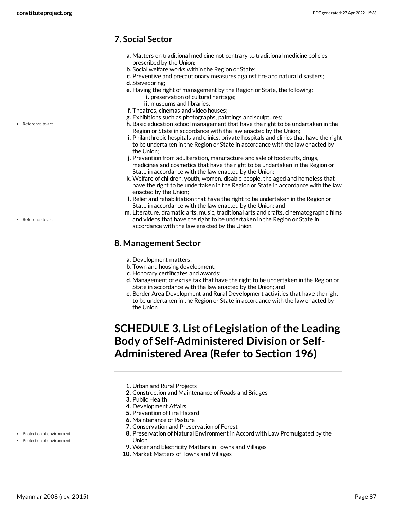## **7. Social Sector**

- **a.** Matters on traditional medicine not contrary to traditional medicine policies prescribed by the Union;
- **b.** Social welfare works within the Region or State;
- **c.** Preventive and precautionary measures against fire and natural disasters;
- **d.** Stevedoring;
- **e.** Having the right of management by the Region or State, the following:
	- **i.** preservation of cultural heritage;
	- **ii.** museums and libraries.
- **f.** Theatres, cinemas and video houses;
- **g.** Exhibitions such as photographs, paintings and sculptures;
- **h.** Basic education school management that have the right to be undertaken in the Region or State in accordance with the law enacted by the Union;
- **i.** Philanthropic hospitals and clinics, private hospitals and clinics that have the right to be undertaken in the Region or State in accordance with the law enacted by the Union;
- **j.** Prevention from adulteration, manufacture and sale of foodstuffs, drugs, medicines and cosmetics that have the right to be undertaken in the Region or State in accordance with the law enacted by the Union;
- **k.** Welfare of children, youth, women, disable people, the aged and homeless that have the right to be undertaken in the Region or State in accordance with the law enacted by the Union;
- **l.** Relief and rehabilitation that have the right to be undertaken in the Region or State in accordance with the law enacted by the Union; and
- **m.** Literature, dramatic arts, music, traditional arts and crafts, cinematographic films and videos that have the right to be undertaken in the Region or State in accordance with the law enacted by the Union.

### **8. Management Sector**

- **a.** Development matters;
- **b.** Town and housing development;
- **c.** Honorary certificates and awards;
- **d.** Management of excise tax that have the right to be undertaken in the Region or State in accordance with the law enacted by the Union; and
- **e.** Border Area Development and Rural Development activities that have the right to be undertaken in the Region or State in accordance with the law enacted by the Union.

# <span id="page-86-0"></span>**SCHEDULE 3. List of Legislation ofthe Leading Body of Self-Administered Division or Self-Administered Area (Refer to Section 196)**

- **1.** Urban and Rural Projects
- **2.** Construction and Maintenance of Roads and Bridges
- **3.** Public Health
- **4.** Development Affairs
- **5.** Prevention of Fire Hazard
- **6.** Maintenance of Pasture
- **7.** Conservation and Preservation of Forest
- **8.** Preservation of Natural Environment in Accord with Law Promulgated by the Union
- **9.** Water and Electricity Matters in Towns and Villages
- **10.** Market Matters of Towns and Villages

• Reference to art

Reference to art

• Protection of environment • Protection of environment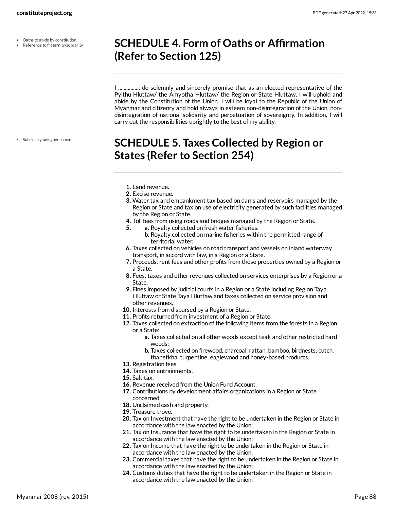- Oaths to abide by constitution
- Reference to fraternity/solidarity

# <span id="page-87-0"></span>**SCHEDULE 4. Form of Oaths or Affirmation (Refer to Section 125)**

I ................ do solemnly and sincerely promise that as an elected representative of the Pyithu Hluttaw/ the Amyotha Hluttaw/ the Region or State Hluttaw, I will uphold and abide by the Constitution of the Union. I will be loyal to the Republic of the Union of Myanmar and citizenry and hold always in esteem non-disintegration of the Union, nondisintegration of national solidarity and perpetuation of sovereignty. In addition, I will carry out the responsibilities uprightly to the best of my ability.

#### Subsidiary unit government

# <span id="page-87-1"></span>**SCHEDULE 5. Taxes Collected by Region or States (Refer to Section 254)**

- **1.** Land revenue.
- **2.** Excise revenue.
- **3.** Water tax and embankment tax based on dams and reservoirs managed by the Region or State and tax on use of electricity generated by such facilities managed by the Region or State.
- **4.** Toll fees from using roads and bridges managed by the Region or State.
- **5. a.** Royalty collected on fresh water fisheries.
	- **b.** Royalty collected on marine fisheries within the permitted range of territorial water.
- **6.** Taxes collected on vehicles on road transport and vessels on inland waterway transport, in accord with law, in a Region or a State.
- **7.** Proceeds, rent fees and other profits from those properties owned by a Region or a State.
- **8.** Fees, taxes and other revenues collected on services enterprises by a Region or a State.
- **9.** Fines imposed by judicial courts in a Region or a State including Region Taya Hluttaw or State Taya Hluttaw and taxes collected on service provision and other revenues.
- **10.** Interests from disbursed by a Region or State.
- **11.** Profits returned from investment of a Region or State.
- **12.** Taxes collected on extraction of the following items from the forests in a Region or a State:
	- **a.** Taxes collected on all other woods except teak and other restricted hard woods;
	- **b.** Taxes collected on firewood, charcoal, rattan, bamboo, birdnests, cutch, thanetkha, turpentine, eaglewood and honey-based products.
- **13.** Registration fees.
- **14.** Taxes on entrainments.
- **15.** Salt tax.
- **16.** Revenue received from the Union Fund Account.
- **17.** Contributions by development affairs organizations in a Region or State concerned.
- **18.** Unclaimed cash and property.
- **19.** Treasure trove.
- **20.** Tax on Investment that have the right to be undertaken in the Region or State in accordance with the law enacted by the Union;
- **21.** Tax on Insurance that have the right to be undertaken in the Region or State in accordance with the law enacted by the Union;
- **22.** Tax on Income that have the right to be undertaken in the Region or State in accordance with the law enacted by the Union;
- **23.** Commercial taxes that have the right to be undertaken in the Region or State in accordance with the law enacted by the Union;
- **24.** Customs duties that have the right to be undertaken in the Region or State in accordance with the law enacted by the Union;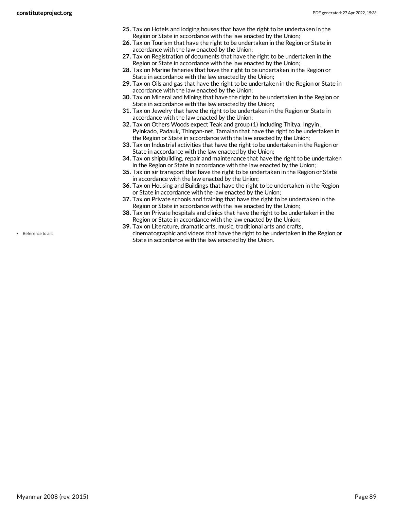- **25.** Tax on Hotels and lodging houses that have the right to be undertaken in the Region or State in accordance with the law enacted by the Union;
- **26.** Tax on Tourism that have the right to be undertaken in the Region or State in accordance with the law enacted by the Union;
- **27.** Tax on Registration of documents that have the right to be undertaken in the Region or State in accordance with the law enacted by the Union;
- **28.** Tax on Marine fisheries that have the right to be undertaken in the Region or State in accordance with the law enacted by the Union;
- **29.** Tax on Oils and gas that have the right to be undertaken in the Region or State in accordance with the law enacted by the Union;
- **30.** Tax on Mineral and Mining that have the right to be undertaken in the Region or State in accordance with the law enacted by the Union;
- **31.** Tax on Jewelry that have the right to be undertaken in the Region or State in accordance with the law enacted by the Union;
- **32.** Tax on Others Woods expect Teak and group (1) including Thitya, Ingyin , Pyinkado, Padauk, Thingan-net, Tamalan that have the right to be undertaken in the Region or State in accordance with the law enacted by the Union;
- **33.** Tax on Industrial activities that have the right to be undertaken in the Region or State in accordance with the law enacted by the Union;
- **34.** Tax on shipbuilding, repair and maintenance that have the right to be undertaken in the Region or State in accordance with the law enacted by the Union;
- **35.** Tax on air transport that have the right to be undertaken in the Region or State in accordance with the law enacted by the Union;
- **36.** Tax on Housing and Buildings that have the right to be undertaken in the Region or State in accordance with the law enacted by the Union;
- **37.** Tax on Private schools and training that have the right to be undertaken in the Region or State in accordance with the law enacted by the Union;
- **38.** Tax on Private hospitals and clinics that have the right to be undertaken in the Region or State in accordance with the law enacted by the Union;
- **39.** Tax on Literature, dramatic arts, music, traditional arts and crafts, cinematographic and videos that have the right to be undertaken in the Region or State in accordance with the law enacted by the Union.

Reference to art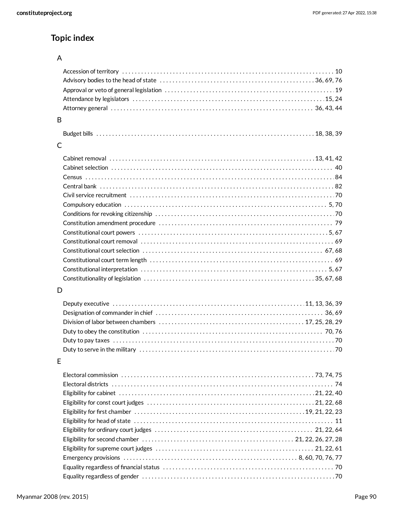# **Topic index**

### A

| B |  |
|---|--|
|   |  |
| C |  |
|   |  |
|   |  |
|   |  |
|   |  |
|   |  |
|   |  |
|   |  |
|   |  |
|   |  |
|   |  |
|   |  |
|   |  |
|   |  |
|   |  |
| D |  |
|   |  |
|   |  |
|   |  |
|   |  |
|   |  |
|   |  |
| E |  |
|   |  |
|   |  |
|   |  |
|   |  |
|   |  |
|   |  |
|   |  |
|   |  |
|   |  |
|   |  |
|   |  |
|   |  |
|   |  |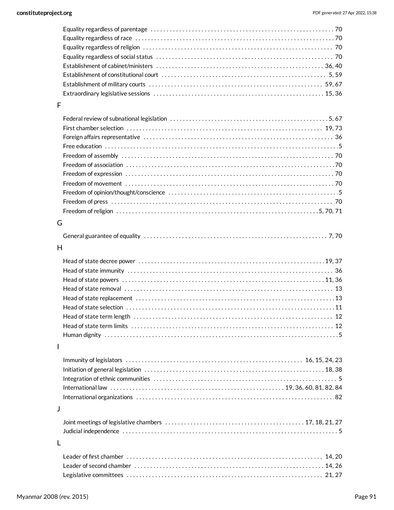### F

### G

|--|--|--|

### H

### I

### J

### L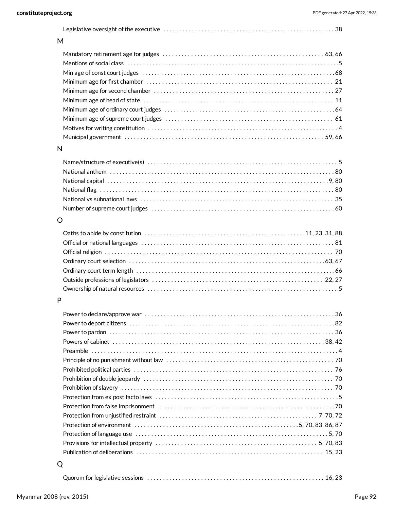|--|--|--|

### M

### N

### O

### P

| Protection of language use $\dots\dots\dots\dots\dots\dots\dots\dots\dots\dots\dots\dots\dots\dots\dots\dots\dots\dots$ |  |
|-------------------------------------------------------------------------------------------------------------------------|--|
|                                                                                                                         |  |
|                                                                                                                         |  |
|                                                                                                                         |  |

|--|--|--|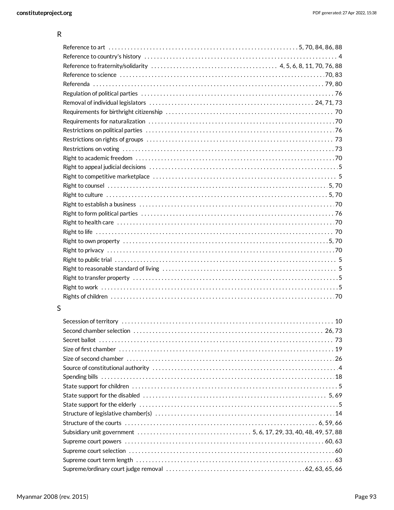### ${\sf R}$

### $\mathsf{S}$

| Size of first chamber $\dots\dots\dots\dots\dots\dots\dots\dots\dots\dots\dots\dots\dots\dots\dots\dots\dots\dots$ |  |
|--------------------------------------------------------------------------------------------------------------------|--|
|                                                                                                                    |  |
|                                                                                                                    |  |
|                                                                                                                    |  |
|                                                                                                                    |  |
|                                                                                                                    |  |
|                                                                                                                    |  |
|                                                                                                                    |  |
|                                                                                                                    |  |
|                                                                                                                    |  |
|                                                                                                                    |  |
|                                                                                                                    |  |
|                                                                                                                    |  |
|                                                                                                                    |  |